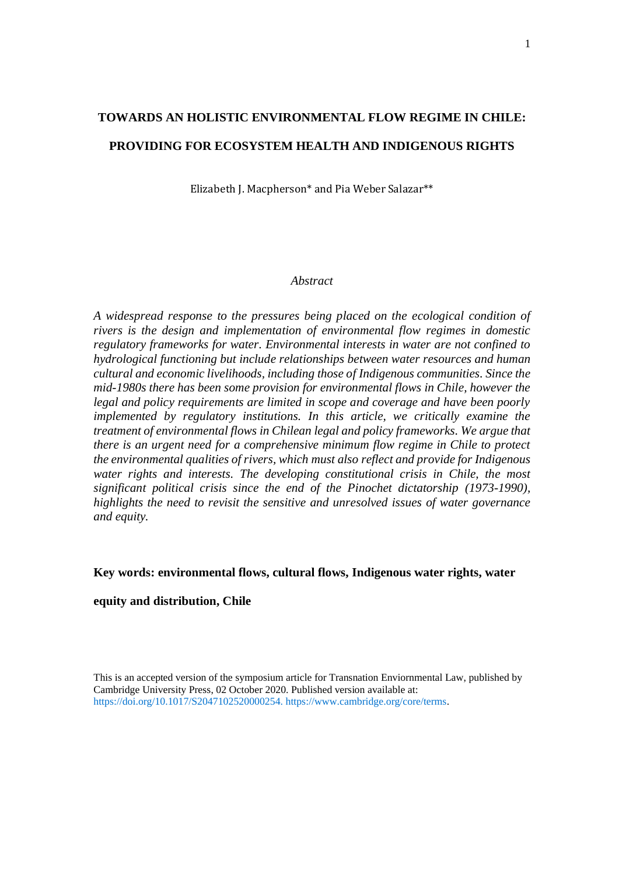# **TOWARDS AN HOLISTIC ENVIRONMENTAL FLOW REGIME IN CHILE: PROVIDING FOR ECOSYSTEM HEALTH AND INDIGENOUS RIGHTS**

Elizabeth J. Macpherson\* and Pia Weber Salazar\*\*

## *Abstract*

*A widespread response to the pressures being placed on the ecological condition of rivers is the design and implementation of environmental flow regimes in domestic regulatory frameworks for water. Environmental interests in water are not confined to hydrological functioning but include relationships between water resources and human cultural and economic livelihoods, including those of Indigenous communities. Since the mid-1980s there has been some provision for environmental flows in Chile, however the legal and policy requirements are limited in scope and coverage and have been poorly implemented by regulatory institutions. In this article, we critically examine the treatment of environmental flows in Chilean legal and policy frameworks. We argue that there is an urgent need for a comprehensive minimum flow regime in Chile to protect the environmental qualities of rivers, which must also reflect and provide for Indigenous water rights and interests. The developing constitutional crisis in Chile, the most significant political crisis since the end of the Pinochet dictatorship (1973-1990), highlights the need to revisit the sensitive and unresolved issues of water governance and equity.*

## **Key words: environmental flows, cultural flows, Indigenous water rights, water**

# **equity and distribution, Chile**

This is an accepted version of the symposium article for Transnation Enviornmental Law, published by Cambridge University Press, 02 October 2020. Published version available at: https://doi.org/10.1017/S2047102520000254. https://www.cambridge.org/core/terms.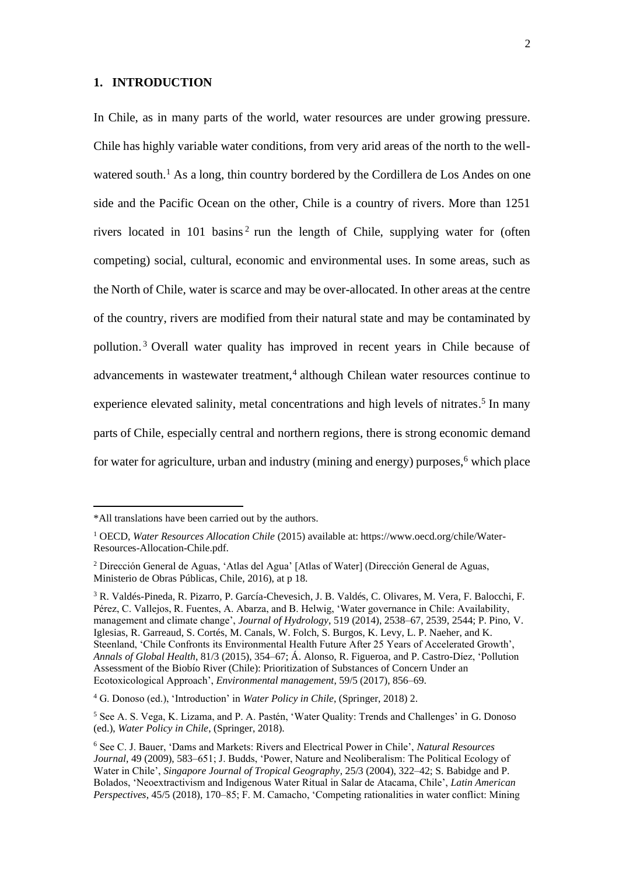#### **1. INTRODUCTION**

In Chile, as in many parts of the world, water resources are under growing pressure. Chile has highly variable water conditions, from very arid areas of the north to the wellwatered south.<sup>1</sup> As a long, thin country bordered by the Cordillera de Los Andes on one side and the Pacific Ocean on the other, Chile is a country of rivers. More than 1251 rivers located in 101 basins<sup>2</sup> run the length of Chile, supplying water for (often competing) social, cultural, economic and environmental uses. In some areas, such as the North of Chile, water is scarce and may be over-allocated. In other areas at the centre of the country, rivers are modified from their natural state and may be contaminated by pollution. <sup>3</sup> Overall water quality has improved in recent years in Chile because of advancements in wastewater treatment,<sup>4</sup> although Chilean water resources continue to experience elevated salinity, metal concentrations and high levels of nitrates.<sup>5</sup> In many parts of Chile, especially central and northern regions, there is strong economic demand for water for agriculture, urban and industry (mining and energy) purposes,<sup> $6$ </sup> which place

<sup>\*</sup>All translations have been carried out by the authors.

<sup>1</sup> OECD, *Water Resources Allocation Chile* (2015) available at: https://www.oecd.org/chile/Water-Resources-Allocation-Chile.pdf.

<sup>2</sup> Dirección General de Aguas, 'Atlas del Agua' [Atlas of Water] (Dirección General de Aguas, Ministerio de Obras Públicas, Chile, 2016), at p 18.

<sup>3</sup> R. Valdés-Pineda, R. Pizarro, P. García-Chevesich, J. B. Valdés, C. Olivares, M. Vera, F. Balocchi, F. Pérez, C. Vallejos, R. Fuentes, A. Abarza, and B. Helwig, 'Water governance in Chile: Availability, management and climate change', *Journal of Hydrology*, 519 (2014), 2538–67, 2539, 2544; P. Pino, V. Iglesias, R. Garreaud, S. Cortés, M. Canals, W. Folch, S. Burgos, K. Levy, L. P. Naeher, and K. Steenland, 'Chile Confronts its Environmental Health Future After 25 Years of Accelerated Growth', *Annals of Global Health*, 81/3 (2015), 354–67; Á. Alonso, R. Figueroa, and P. Castro-Díez, 'Pollution Assessment of the Biobío River (Chile): Prioritization of Substances of Concern Under an Ecotoxicological Approach', *Environmental management*, 59/5 (2017), 856–69.

<sup>4</sup> G. Donoso (ed.), 'Introduction' in *Water Policy in Chile*, (Springer, 2018) 2.

<sup>5</sup> See A. S. Vega, K. Lizama, and P. A. Pastén, 'Water Quality: Trends and Challenges' in G. Donoso (ed.), *Water Policy in Chile*, (Springer, 2018).

<sup>6</sup> See C. J. Bauer, 'Dams and Markets: Rivers and Electrical Power in Chile', *Natural Resources Journal*, 49 (2009), 583–651; J. Budds, 'Power, Nature and Neoliberalism: The Political Ecology of Water in Chile', *Singapore Journal of Tropical Geography*, 25/3 (2004), 322–42; S. Babidge and P. Bolados, 'Neoextractivism and Indigenous Water Ritual in Salar de Atacama, Chile', *Latin American Perspectives*, 45/5 (2018), 170–85; F. M. Camacho, 'Competing rationalities in water conflict: Mining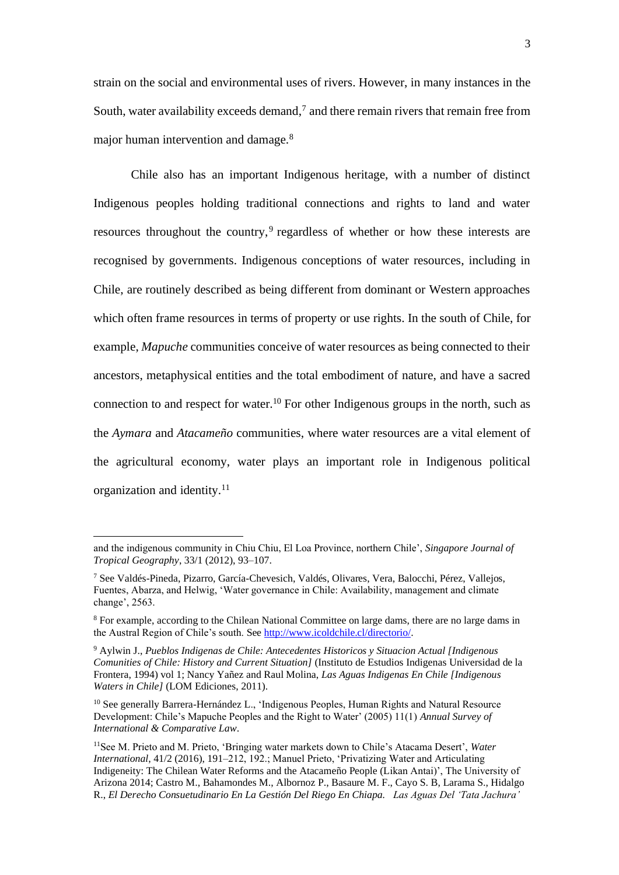strain on the social and environmental uses of rivers. However, in many instances in the South, water availability exceeds demand,<sup>7</sup> and there remain rivers that remain free from major human intervention and damage.<sup>8</sup>

Chile also has an important Indigenous heritage, with a number of distinct Indigenous peoples holding traditional connections and rights to land and water resources throughout the country,<sup>9</sup> regardless of whether or how these interests are recognised by governments. Indigenous conceptions of water resources, including in Chile, are routinely described as being different from dominant or Western approaches which often frame resources in terms of property or use rights. In the south of Chile, for example, *Mapuche* communities conceive of water resources as being connected to their ancestors, metaphysical entities and the total embodiment of nature, and have a sacred connection to and respect for water. <sup>10</sup> For other Indigenous groups in the north, such as the *Aymara* and *Atacameño* communities, where water resources are a vital element of the agricultural economy, water plays an important role in Indigenous political organization and identity. 11

and the indigenous community in Chiu Chiu, El Loa Province, northern Chile', *Singapore Journal of Tropical Geography*, 33/1 (2012), 93–107.

<sup>7</sup> See Valdés-Pineda, Pizarro, García-Chevesich, Valdés, Olivares, Vera, Balocchi, Pérez, Vallejos, Fuentes, Abarza, and Helwig, 'Water governance in Chile: Availability, management and climate change', 2563.

<sup>8</sup> For example, according to the Chilean National Committee on large dams, there are no large dams in the Austral Region of Chile's south. See [http://www.icoldchile.cl/directorio/.](http://www.icoldchile.cl/directorio/)

<sup>9</sup> Aylwin J., *Pueblos Indigenas de Chile: Antecedentes Historicos y Situacion Actual [Indigenous Comunities of Chile: History and Current Situation]* (Instituto de Estudios Indigenas Universidad de la Frontera, 1994) vol 1; Nancy Yañez and Raul Molina, *Las Aguas Indigenas En Chile [Indigenous Waters in Chile]* (LOM Ediciones, 2011).

<sup>&</sup>lt;sup>10</sup> See generally Barrera-Hernández L., 'Indigenous Peoples, Human Rights and Natural Resource Development: Chile's Mapuche Peoples and the Right to Water' (2005) 11(1) *Annual Survey of International & Comparative Law*.

<sup>11</sup>See M. Prieto and M. Prieto, 'Bringing water markets down to Chile's Atacama Desert', *Water International*, 41/2 (2016), 191–212, 192.; Manuel Prieto, 'Privatizing Water and Articulating Indigeneity: The Chilean Water Reforms and the Atacameño People (Likan Antai)', The University of Arizona 2014; Castro M., Bahamondes M., Albornoz P., Basaure M. F., Cayo S. B, Larama S., Hidalgo R., *El Derecho Consuetudinario En La Gestión Del Riego En Chiapa. Las Aguas Del 'Tata Jachura'*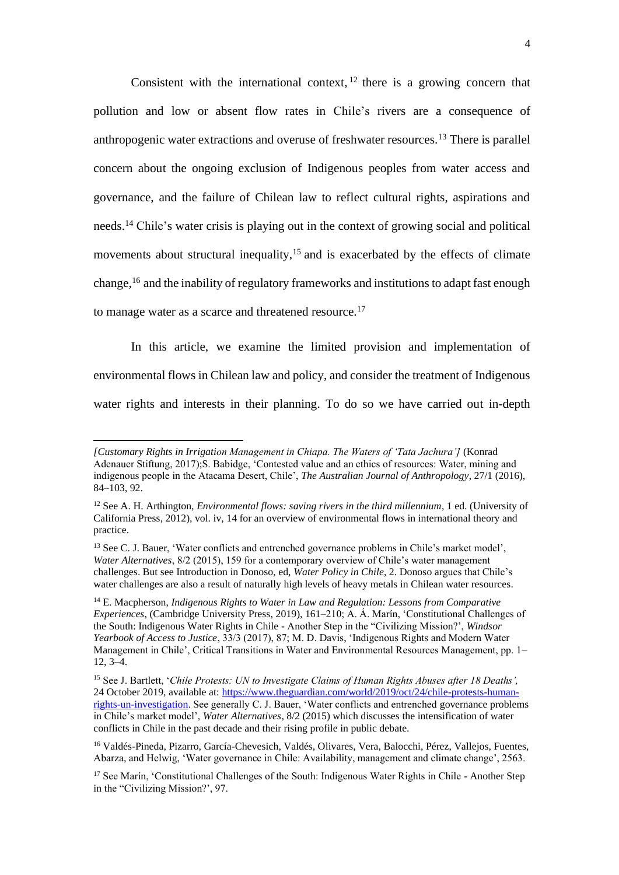Consistent with the international context,  $12$  there is a growing concern that pollution and low or absent flow rates in Chile's rivers are a consequence of anthropogenic water extractions and overuse of freshwater resources.<sup>13</sup> There is parallel concern about the ongoing exclusion of Indigenous peoples from water access and governance, and the failure of Chilean law to reflect cultural rights, aspirations and needs.<sup>14</sup> Chile's water crisis is playing out in the context of growing social and political movements about structural inequality,<sup>15</sup> and is exacerbated by the effects of climate change, <sup>16</sup> and the inability of regulatory frameworks and institutions to adapt fast enough to manage water as a scarce and threatened resource.<sup>17</sup>

In this article, we examine the limited provision and implementation of environmental flows in Chilean law and policy, and consider the treatment of Indigenous water rights and interests in their planning. To do so we have carried out in-depth

*<sup>[</sup>Customary Rights in Irrigation Management in Chiapa. The Waters of 'Tata Jachura']* (Konrad Adenauer Stiftung, 2017);S. Babidge, 'Contested value and an ethics of resources: Water, mining and indigenous people in the Atacama Desert, Chile', *The Australian Journal of Anthropology*, 27/1 (2016), 84–103, 92.

<sup>12</sup> See A. H. Arthington, *Environmental flows: saving rivers in the third millennium*, 1 ed. (University of California Press, 2012), vol. iv, 14 for an overview of environmental flows in international theory and practice.

<sup>&</sup>lt;sup>13</sup> See C. J. Bauer, 'Water conflicts and entrenched governance problems in Chile's market model', *Water Alternatives*, 8/2 (2015), 159 for a contemporary overview of Chile's water management challenges. But see Introduction in Donoso, ed, *Water Policy in Chile*, 2. Donoso argues that Chile's water challenges are also a result of naturally high levels of heavy metals in Chilean water resources.

<sup>14</sup> E. Macpherson, *Indigenous Rights to Water in Law and Regulation: Lessons from Comparative Experiences*, (Cambridge University Press, 2019), 161–210; A. Á. Marín, 'Constitutional Challenges of the South: Indigenous Water Rights in Chile - Another Step in the "Civilizing Mission?', *Windsor Yearbook of Access to Justice*, 33/3 (2017), 87; M. D. Davis, 'Indigenous Rights and Modern Water Management in Chile', Critical Transitions in Water and Environmental Resources Management, pp. 1– 12, 3–4.

<sup>15</sup> See J. Bartlett, '*Chile Protests: UN to Investigate Claims of Human Rights Abuses after 18 Deaths',*  24 October 2019, available at[: https://www.theguardian.com/world/2019/oct/24/chile-protests-human](https://www.theguardian.com/world/2019/oct/24/chile-protests-human-rights-un-investigation)[rights-un-investigation.](https://www.theguardian.com/world/2019/oct/24/chile-protests-human-rights-un-investigation) See generally C. J. Bauer, 'Water conflicts and entrenched governance problems in Chile's market model', *Water Alternatives*, 8/2 (2015) which discusses the intensification of water conflicts in Chile in the past decade and their rising profile in public debate.

<sup>16</sup> Valdés-Pineda, Pizarro, García-Chevesich, Valdés, Olivares, Vera, Balocchi, Pérez, Vallejos, Fuentes, Abarza, and Helwig, 'Water governance in Chile: Availability, management and climate change', 2563.

<sup>&</sup>lt;sup>17</sup> See Marín, 'Constitutional Challenges of the South: Indigenous Water Rights in Chile - Another Step in the "Civilizing Mission?', 97.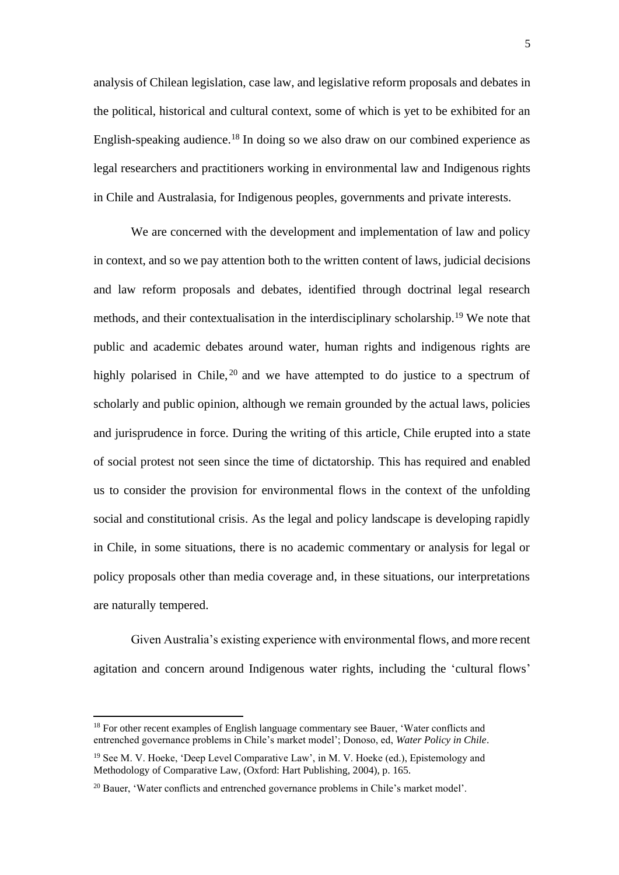analysis of Chilean legislation, case law, and legislative reform proposals and debates in the political, historical and cultural context, some of which is yet to be exhibited for an English-speaking audience.<sup>18</sup> In doing so we also draw on our combined experience as legal researchers and practitioners working in environmental law and Indigenous rights in Chile and Australasia, for Indigenous peoples, governments and private interests.

We are concerned with the development and implementation of law and policy in context, and so we pay attention both to the written content of laws, judicial decisions and law reform proposals and debates, identified through doctrinal legal research methods, and their contextualisation in the interdisciplinary scholarship.<sup>19</sup> We note that public and academic debates around water, human rights and indigenous rights are highly polarised in Chile, <sup>20</sup> and we have attempted to do justice to a spectrum of scholarly and public opinion, although we remain grounded by the actual laws, policies and jurisprudence in force. During the writing of this article, Chile erupted into a state of social protest not seen since the time of dictatorship. This has required and enabled us to consider the provision for environmental flows in the context of the unfolding social and constitutional crisis. As the legal and policy landscape is developing rapidly in Chile, in some situations, there is no academic commentary or analysis for legal or policy proposals other than media coverage and, in these situations, our interpretations are naturally tempered.

Given Australia's existing experience with environmental flows, and more recent agitation and concern around Indigenous water rights, including the 'cultural flows'

<sup>&</sup>lt;sup>18</sup> For other recent examples of English language commentary see Bauer, 'Water conflicts and entrenched governance problems in Chile's market model'; Donoso, ed, *Water Policy in Chile*.

<sup>19</sup> See M. V. Hoeke, 'Deep Level Comparative Law', in M. V. Hoeke (ed.), Epistemology and Methodology of Comparative Law, (Oxford: Hart Publishing, 2004), p. 165.

<sup>&</sup>lt;sup>20</sup> Bauer, 'Water conflicts and entrenched governance problems in Chile's market model'.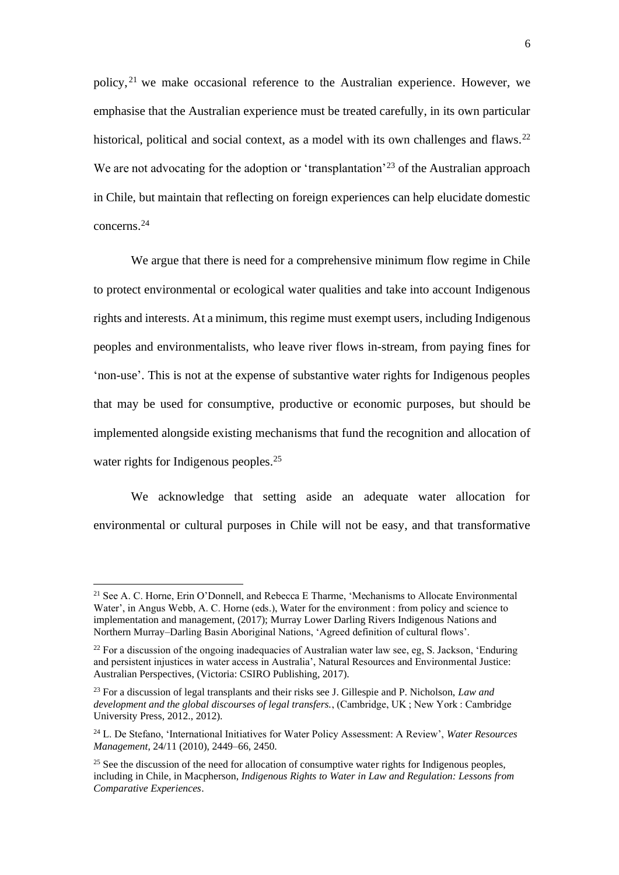policy,<sup>21</sup> we make occasional reference to the Australian experience. However, we emphasise that the Australian experience must be treated carefully, in its own particular historical, political and social context, as a model with its own challenges and flaws.<sup>22</sup> We are not advocating for the adoption or 'transplantation'<sup>23</sup> of the Australian approach in Chile, but maintain that reflecting on foreign experiences can help elucidate domestic concerns.<sup>24</sup>

We argue that there is need for a comprehensive minimum flow regime in Chile to protect environmental or ecological water qualities and take into account Indigenous rights and interests. At a minimum, this regime must exempt users, including Indigenous peoples and environmentalists, who leave river flows in-stream, from paying fines for 'non-use'. This is not at the expense of substantive water rights for Indigenous peoples that may be used for consumptive, productive or economic purposes, but should be implemented alongside existing mechanisms that fund the recognition and allocation of water rights for Indigenous peoples.<sup>25</sup>

We acknowledge that setting aside an adequate water allocation for environmental or cultural purposes in Chile will not be easy, and that transformative

<sup>21</sup> See A. C. Horne, Erin O'Donnell, and Rebecca E Tharme, 'Mechanisms to Allocate Environmental Water', in Angus Webb, A. C. Horne (eds.), Water for the environment : from policy and science to implementation and management, (2017); Murray Lower Darling Rivers Indigenous Nations and Northern Murray–Darling Basin Aboriginal Nations, 'Agreed definition of cultural flows'.

 $^{22}$  For a discussion of the ongoing inadequacies of Australian water law see, eg, S. Jackson, 'Enduring' and persistent injustices in water access in Australia', Natural Resources and Environmental Justice: Australian Perspectives, (Victoria: CSIRO Publishing, 2017).

<sup>23</sup> For a discussion of legal transplants and their risks see J. Gillespie and P. Nicholson, *Law and development and the global discourses of legal transfers.*, (Cambridge, UK ; New York : Cambridge University Press, 2012., 2012).

<sup>24</sup> L. De Stefano, 'International Initiatives for Water Policy Assessment: A Review', *Water Resources Management*, 24/11 (2010), 2449–66, 2450.

 $25$  See the discussion of the need for allocation of consumptive water rights for Indigenous peoples, including in Chile, in Macpherson, *Indigenous Rights to Water in Law and Regulation: Lessons from Comparative Experiences*.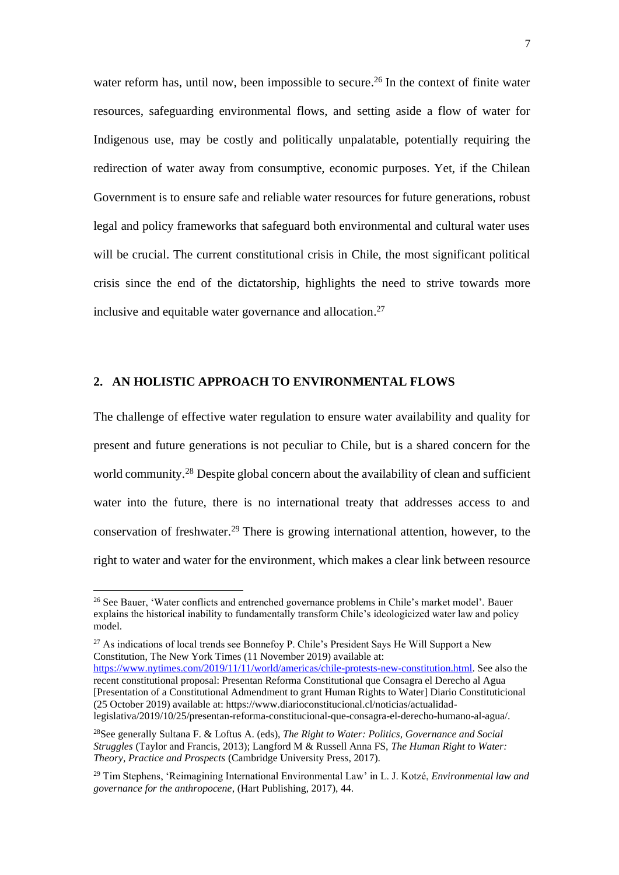water reform has, until now, been impossible to secure.<sup>26</sup> In the context of finite water resources, safeguarding environmental flows, and setting aside a flow of water for Indigenous use, may be costly and politically unpalatable, potentially requiring the redirection of water away from consumptive, economic purposes. Yet, if the Chilean Government is to ensure safe and reliable water resources for future generations, robust legal and policy frameworks that safeguard both environmental and cultural water uses will be crucial. The current constitutional crisis in Chile, the most significant political crisis since the end of the dictatorship, highlights the need to strive towards more inclusive and equitable water governance and allocation. 27

# **2. AN HOLISTIC APPROACH TO ENVIRONMENTAL FLOWS**

The challenge of effective water regulation to ensure water availability and quality for present and future generations is not peculiar to Chile, but is a shared concern for the world community.<sup>28</sup> Despite global concern about the availability of clean and sufficient water into the future, there is no international treaty that addresses access to and conservation of freshwater. <sup>29</sup> There is growing international attention, however, to the right to water and water for the environment, which makes a clear link between resource

 $27$  As indications of local trends see Bonnefov P. Chile's President Says He Will Support a New Constitution, The New York Times (11 November 2019) available at: [https://www.nytimes.com/2019/11/11/world/americas/chile-protests-new-constitution.html.](https://www.nytimes.com/2019/11/11/world/americas/chile-protests-new-constitution.html) See also the recent constitutional proposal: Presentan Reforma Constitutional que Consagra el Derecho al Agua [Presentation of a Constitutional Admendment to grant Human Rights to Water] Diario Constituticional (25 October 2019) available at: https://www.diarioconstitucional.cl/noticias/actualidad-

legislativa/2019/10/25/presentan-reforma-constitucional-que-consagra-el-derecho-humano-al-agua/.

<sup>&</sup>lt;sup>26</sup> See Bauer, 'Water conflicts and entrenched governance problems in Chile's market model'. Bauer explains the historical inability to fundamentally transform Chile's ideologicized water law and policy model.

<sup>28</sup>See generally Sultana F. & Loftus A. (eds), *The Right to Water: Politics, Governance and Social Struggles* (Taylor and Francis, 2013); Langford M & Russell Anna FS, *The Human Right to Water: Theory, Practice and Prospects* (Cambridge University Press, 2017).

<sup>29</sup> Tim Stephens, 'Reimagining International Environmental Law' in L. J. Kotzé, *Environmental law and governance for the anthropocene*, (Hart Publishing, 2017), 44.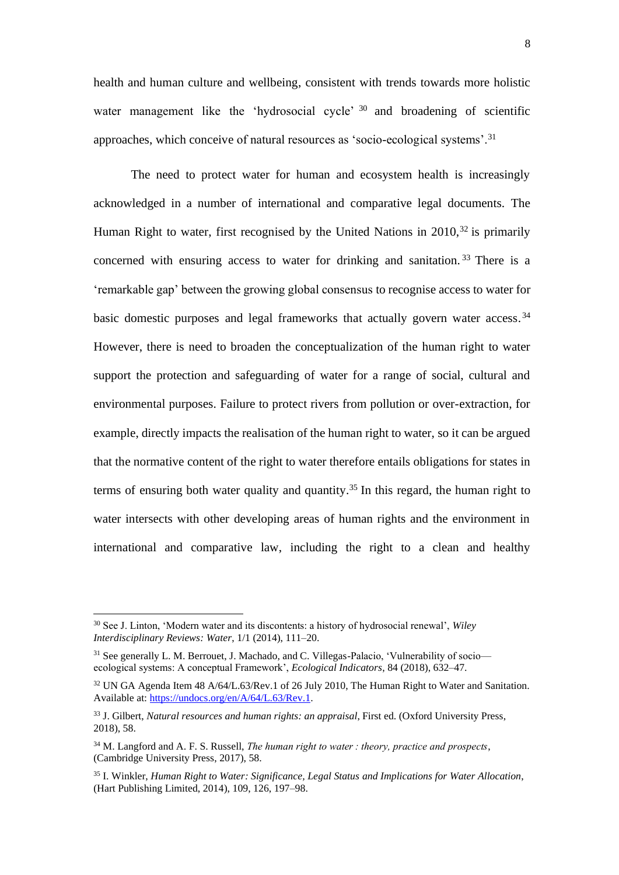health and human culture and wellbeing, consistent with trends towards more holistic water management like the 'hydrosocial cycle' <sup>30</sup> and broadening of scientific approaches, which conceive of natural resources as 'socio-ecological systems'.<sup>31</sup>

The need to protect water for human and ecosystem health is increasingly acknowledged in a number of international and comparative legal documents. The Human Right to water, first recognised by the United Nations in  $2010$ <sup>32</sup> is primarily concerned with ensuring access to water for drinking and sanitation. <sup>33</sup> There is a 'remarkable gap' between the growing global consensus to recognise access to water for basic domestic purposes and legal frameworks that actually govern water access.<sup>34</sup> However, there is need to broaden the conceptualization of the human right to water support the protection and safeguarding of water for a range of social, cultural and environmental purposes. Failure to protect rivers from pollution or over-extraction, for example, directly impacts the realisation of the human right to water, so it can be argued that the normative content of the right to water therefore entails obligations for states in terms of ensuring both water quality and quantity. <sup>35</sup> In this regard, the human right to water intersects with other developing areas of human rights and the environment in international and comparative law, including the right to a clean and healthy

<sup>30</sup> See J. Linton, 'Modern water and its discontents: a history of hydrosocial renewal', *Wiley Interdisciplinary Reviews: Water*, 1/1 (2014), 111–20.

<sup>&</sup>lt;sup>31</sup> See generally L. M. Berrouet, J. Machado, and C. Villegas-Palacio, 'Vulnerability of socio ecological systems: A conceptual Framework', *Ecological Indicators*, 84 (2018), 632–47.

<sup>&</sup>lt;sup>32</sup> UN GA Agenda Item 48 A/64/L.63/Rev.1 of 26 July 2010, The Human Right to Water and Sanitation. Available at: [https://undocs.org/en/A/64/L.63/Rev.1.](https://undocs.org/en/A/64/L.63/Rev.1)

<sup>33</sup> J. Gilbert, *Natural resources and human rights: an appraisal*, First ed. (Oxford University Press, 2018), 58.

<sup>34</sup> M. Langford and A. F. S. Russell, *The human right to water : theory, practice and prospects*, (Cambridge University Press, 2017), 58.

<sup>35</sup> I. Winkler, *Human Right to Water: Significance, Legal Status and Implications for Water Allocation*, (Hart Publishing Limited, 2014), 109, 126, 197–98.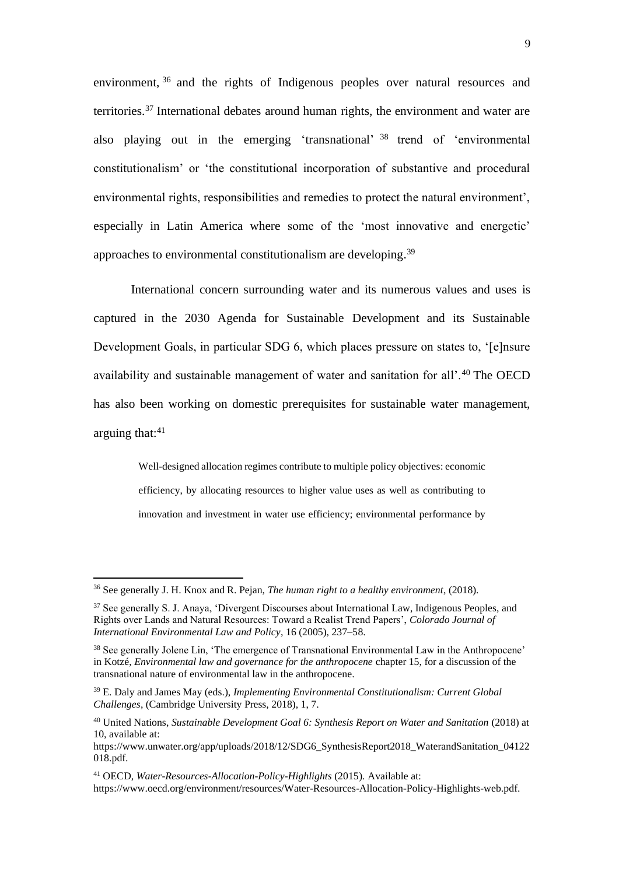environment, <sup>36</sup> and the rights of Indigenous peoples over natural resources and territories.<sup>37</sup> International debates around human rights, the environment and water are also playing out in the emerging 'transnational' <sup>38</sup> trend of 'environmental constitutionalism' or 'the constitutional incorporation of substantive and procedural environmental rights, responsibilities and remedies to protect the natural environment', especially in Latin America where some of the 'most innovative and energetic' approaches to environmental constitutionalism are developing.<sup>39</sup>

International concern surrounding water and its numerous values and uses is captured in the 2030 Agenda for Sustainable Development and its Sustainable Development Goals, in particular SDG 6, which places pressure on states to, '[e]nsure availability and sustainable management of water and sanitation for all'.<sup>40</sup> The OECD has also been working on domestic prerequisites for sustainable water management, arguing that: $41$ 

> Well-designed allocation regimes contribute to multiple policy objectives: economic efficiency, by allocating resources to higher value uses as well as contributing to innovation and investment in water use efficiency; environmental performance by

<sup>36</sup> See generally J. H. Knox and R. Pejan, *The human right to a healthy environment*, (2018).

<sup>&</sup>lt;sup>37</sup> See generally S. J. Anaya, 'Divergent Discourses about International Law, Indigenous Peoples, and Rights over Lands and Natural Resources: Toward a Realist Trend Papers', *Colorado Journal of International Environmental Law and Policy*, 16 (2005), 237–58.

<sup>&</sup>lt;sup>38</sup> See generally Jolene Lin, 'The emergence of Transnational Environmental Law in the Anthropocene' in Kotzé, *Environmental law and governance for the anthropocene* chapter 15, for a discussion of the transnational nature of environmental law in the anthropocene.

<sup>39</sup> E. Daly and James May (eds.), *Implementing Environmental Constitutionalism: Current Global Challenges*, (Cambridge University Press, 2018), 1, 7.

<sup>40</sup> United Nations, *Sustainable Development Goal 6: Synthesis Report on Water and Sanitation* (2018) at 10, available at:

https://www.unwater.org/app/uploads/2018/12/SDG6\_SynthesisReport2018\_WaterandSanitation\_04122 018.pdf.

<sup>41</sup> OECD, *Water-Resources-Allocation-Policy-Highlights* (2015). Available at: https://www.oecd.org/environment/resources/Water-Resources-Allocation-Policy-Highlights-web.pdf.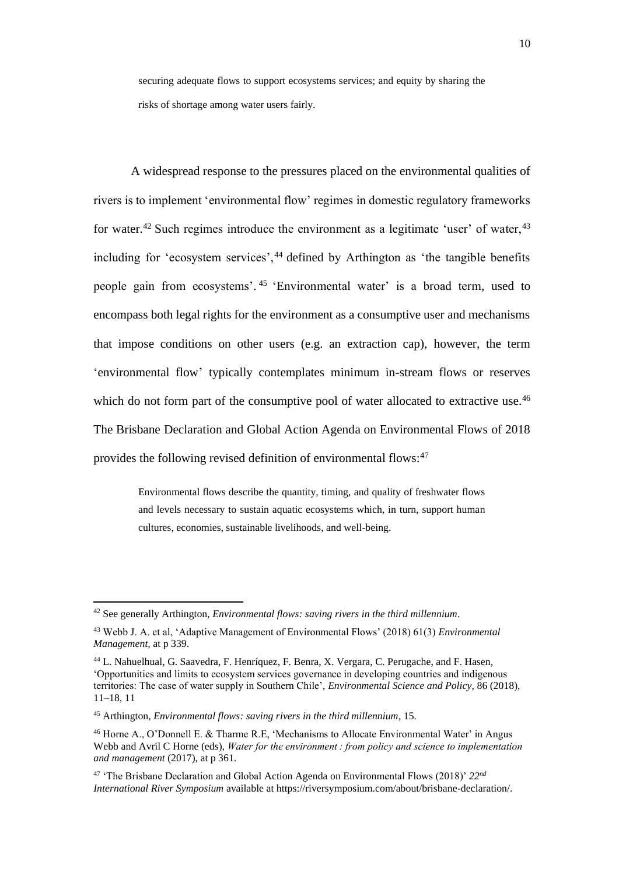securing adequate flows to support ecosystems services; and equity by sharing the risks of shortage among water users fairly.

A widespread response to the pressures placed on the environmental qualities of rivers is to implement 'environmental flow' regimes in domestic regulatory frameworks for water.<sup>42</sup> Such regimes introduce the environment as a legitimate 'user' of water, $43$ including for 'ecosystem services',<sup>44</sup> defined by Arthington as 'the tangible benefits people gain from ecosystems'. 45 'Environmental water' is a broad term, used to encompass both legal rights for the environment as a consumptive user and mechanisms that impose conditions on other users (e.g. an extraction cap), however, the term 'environmental flow' typically contemplates minimum in-stream flows or reserves which do not form part of the consumptive pool of water allocated to extractive use.<sup>46</sup> The Brisbane Declaration and Global Action Agenda on Environmental Flows of 2018 provides the following revised definition of environmental flows:<sup>47</sup>

> Environmental flows describe the quantity, timing, and quality of freshwater flows and levels necessary to sustain aquatic ecosystems which, in turn, support human cultures, economies, sustainable livelihoods, and well-being.

<sup>42</sup> See generally Arthington, *Environmental flows: saving rivers in the third millennium*.

<sup>43</sup> Webb J. A. et al, 'Adaptive Management of Environmental Flows' (2018) 61(3) *Environmental Management,* at p 339.

<sup>44</sup> L. Nahuelhual, G. Saavedra, F. Henríquez, F. Benra, X. Vergara, C. Perugache, and F. Hasen, 'Opportunities and limits to ecosystem services governance in developing countries and indigenous territories: The case of water supply in Southern Chile', *Environmental Science and Policy*, 86 (2018), 11–18, 11

<sup>45</sup> Arthington, *Environmental flows: saving rivers in the third millennium*, 15.

<sup>46</sup> Horne A., O'Donnell E. & Tharme R.E, 'Mechanisms to Allocate Environmental Water' in Angus Webb and Avril C Horne (eds), *Water for the environment : from policy and science to implementation and management* (2017), at p 361.

<sup>47</sup> 'The Brisbane Declaration and Global Action Agenda on Environmental Flows (2018)' *22nd International River Symposium* available at https://riversymposium.com/about/brisbane-declaration/.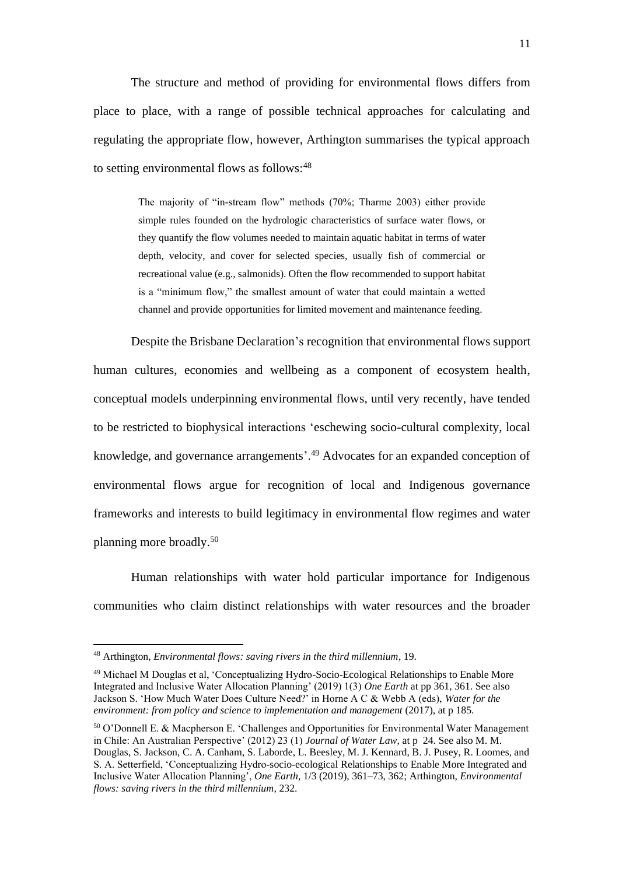The structure and method of providing for environmental flows differs from place to place, with a range of possible technical approaches for calculating and regulating the appropriate flow, however, Arthington summarises the typical approach to setting environmental flows as follows:  $48$ 

> The majority of "in-stream flow" methods (70%; Tharme 2003) either provide simple rules founded on the hydrologic characteristics of surface water flows, or they quantify the flow volumes needed to maintain aquatic habitat in terms of water depth, velocity, and cover for selected species, usually fish of commercial or recreational value (e.g., salmonids). Often the flow recommended to support habitat is a "minimum flow," the smallest amount of water that could maintain a wetted channel and provide opportunities for limited movement and maintenance feeding.

Despite the Brisbane Declaration's recognition that environmental flows support human cultures, economies and wellbeing as a component of ecosystem health, conceptual models underpinning environmental flows, until very recently, have tended to be restricted to biophysical interactions 'eschewing socio-cultural complexity, local knowledge, and governance arrangements'. <sup>49</sup> Advocates for an expanded conception of environmental flows argue for recognition of local and Indigenous governance frameworks and interests to build legitimacy in environmental flow regimes and water planning more broadly.<sup>50</sup>

Human relationships with water hold particular importance for Indigenous communities who claim distinct relationships with water resources and the broader

<sup>48</sup> Arthington, *Environmental flows: saving rivers in the third millennium*, 19.

<sup>49</sup> Michael M Douglas et al, 'Conceptualizing Hydro-Socio-Ecological Relationships to Enable More Integrated and Inclusive Water Allocation Planning' (2019) 1(3) *One Earth* at pp 361, 361. See also Jackson S. 'How Much Water Does Culture Need?' in Horne A C & Webb A (eds), *Water for the environment: from policy and science to implementation and management* (2017), at p 185.

<sup>50</sup> O'Donnell E. & Macpherson E. 'Challenges and Opportunities for Environmental Water Management in Chile: An Australian Perspective' (2012) 23 (1) *Journal of Water Law,* at p24. See also M. M. Douglas, S. Jackson, C. A. Canham, S. Laborde, L. Beesley, M. J. Kennard, B. J. Pusey, R. Loomes, and S. A. Setterfield, 'Conceptualizing Hydro-socio-ecological Relationships to Enable More Integrated and Inclusive Water Allocation Planning', *One Earth*, 1/3 (2019), 361–73, 362; Arthington, *Environmental flows: saving rivers in the third millennium*, 232.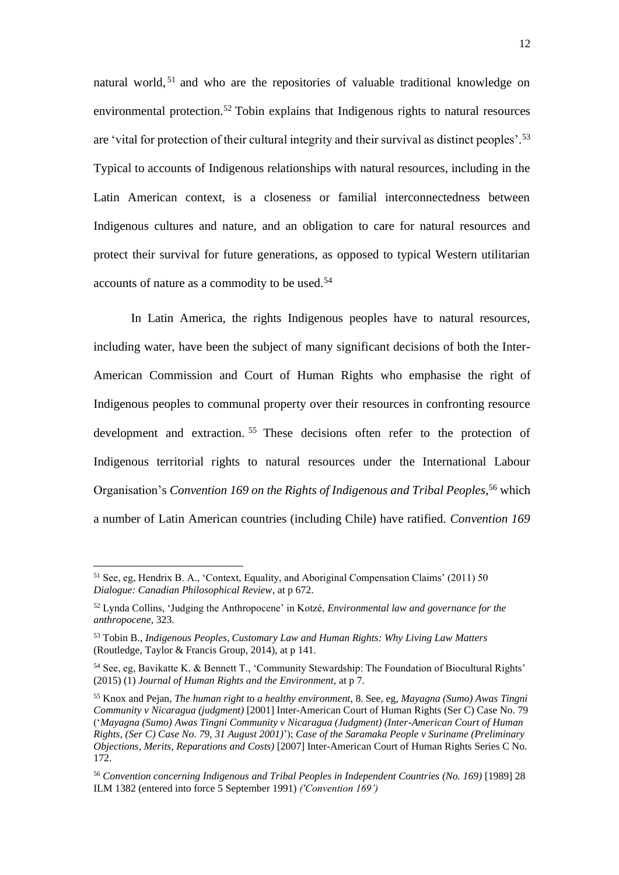natural world, <sup>51</sup> and who are the repositories of valuable traditional knowledge on environmental protection.<sup>52</sup> Tobin explains that Indigenous rights to natural resources are 'vital for protection of their cultural integrity and their survival as distinct peoples'.<sup>53</sup> Typical to accounts of Indigenous relationships with natural resources, including in the Latin American context, is a closeness or familial interconnectedness between Indigenous cultures and nature, and an obligation to care for natural resources and protect their survival for future generations, as opposed to typical Western utilitarian accounts of nature as a commodity to be used.<sup>54</sup>

In Latin America, the rights Indigenous peoples have to natural resources, including water, have been the subject of many significant decisions of both the Inter-American Commission and Court of Human Rights who emphasise the right of Indigenous peoples to communal property over their resources in confronting resource development and extraction. <sup>55</sup> These decisions often refer to the protection of Indigenous territorial rights to natural resources under the International Labour Organisation's *Convention 169 on the Rights of Indigenous and Tribal Peoples*, <sup>56</sup> which a number of Latin American countries (including Chile) have ratified. *Convention 169*

<sup>51</sup> See, eg, Hendrix B. A., 'Context, Equality, and Aboriginal Compensation Claims' (2011) 50 *Dialogue: Canadian Philosophical Review*, at p 672.

<sup>52</sup> Lynda Collins, 'Judging the Anthropocene' in Kotzé, *Environmental law and governance for the anthropocene*, 323.

<sup>53</sup> Tobin B., *Indigenous Peoples, Customary Law and Human Rights: Why Living Law Matters*  (Routledge, Taylor & Francis Group, 2014), at p 141.

<sup>54</sup> See, eg, Bavikatte K. & Bennett T., 'Community Stewardship: The Foundation of Biocultural Rights' (2015) (1) *Journal of Human Rights and the Environment,* at p 7.

<sup>55</sup> Knox and Pejan, *The human right to a healthy environment*, 8. See, eg, *Mayagna (Sumo) Awas Tingni Community v Nicaragua (judgment)* [2001] Inter-American Court of Human Rights (Ser C) Case No. 79 ('*Mayagna (Sumo) Awas Tingni Community v Nicaragua (Judgment) (Inter-American Court of Human Rights, (Ser C) Case No. 79, 31 August 2001)*'); *Case of the Saramaka People v Suriname (Preliminary Objections, Merits, Reparations and Costs)* [2007] Inter-American Court of Human Rights Series C No. 172.

<sup>&</sup>lt;sup>56</sup> Convention concerning Indigenous and Tribal Peoples in Independent Countries (No. 169) [1989] 28 ILM 1382 (entered into force 5 September 1991) *('Convention 169')*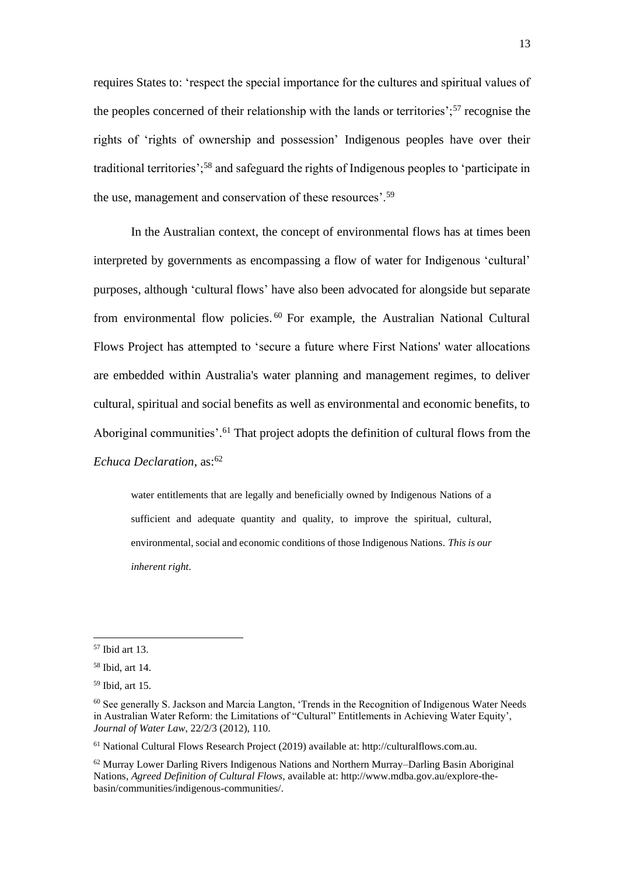requires States to: 'respect the special importance for the cultures and spiritual values of the peoples concerned of their relationship with the lands or territories';<sup>57</sup> recognise the rights of 'rights of ownership and possession' Indigenous peoples have over their traditional territories';<sup>58</sup> and safeguard the rights of Indigenous peoples to 'participate in the use, management and conservation of these resources'.<sup>59</sup>

In the Australian context, the concept of environmental flows has at times been interpreted by governments as encompassing a flow of water for Indigenous 'cultural' purposes, although 'cultural flows' have also been advocated for alongside but separate from environmental flow policies. <sup>60</sup> For example, the Australian National Cultural Flows Project has attempted to 'secure a future where First Nations' water allocations are embedded within Australia's water planning and management regimes, to deliver cultural, spiritual and social benefits as well as environmental and economic benefits, to Aboriginal communities'. <sup>61</sup> That project adopts the definition of cultural flows from the *Echuca Declaration*, as:<sup>62</sup>

water entitlements that are legally and beneficially owned by Indigenous Nations of a sufficient and adequate quantity and quality, to improve the spiritual, cultural, environmental, social and economic conditions of those Indigenous Nations. *This is our inherent right*.

<sup>57</sup> Ibid art 13.

<sup>58</sup> Ibid, art 14.

<sup>59</sup> Ibid, art 15.

<sup>60</sup> See generally S. Jackson and Marcia Langton, 'Trends in the Recognition of Indigenous Water Needs in Australian Water Reform: the Limitations of "Cultural" Entitlements in Achieving Water Equity', *Journal of Water Law*, 22/2/3 (2012), 110.

<sup>61</sup> National Cultural Flows Research Project (2019) available at: http://culturalflows.com.au.

 $62$  Murray Lower Darling Rivers Indigenous Nations and Northern Murray–Darling Basin Aboriginal Nations, *Agreed Definition of Cultural Flows,* available at: http://www.mdba.gov.au/explore-thebasin/communities/indigenous-communities/.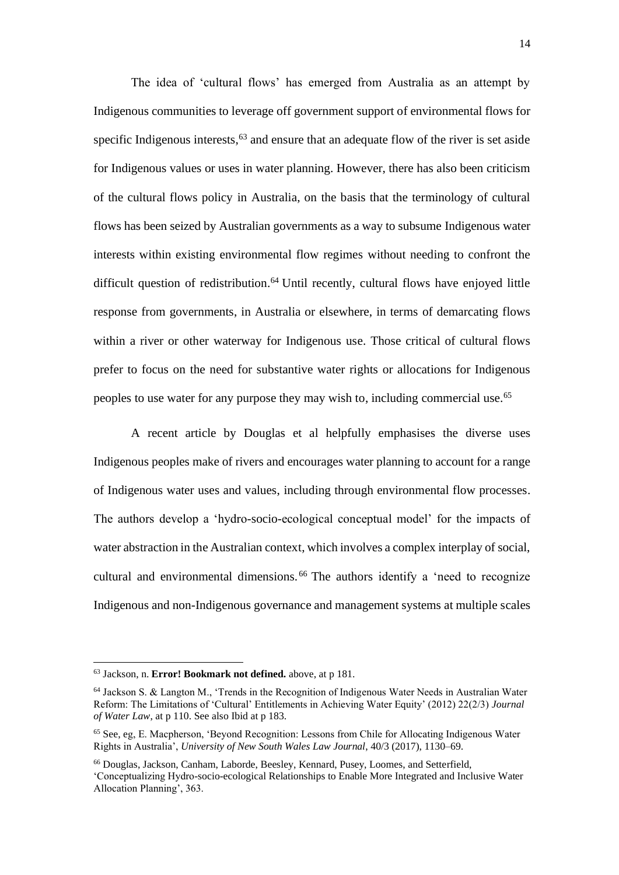The idea of 'cultural flows' has emerged from Australia as an attempt by Indigenous communities to leverage off government support of environmental flows for specific Indigenous interests,  $63$  and ensure that an adequate flow of the river is set aside for Indigenous values or uses in water planning. However, there has also been criticism of the cultural flows policy in Australia, on the basis that the terminology of cultural flows has been seized by Australian governments as a way to subsume Indigenous water interests within existing environmental flow regimes without needing to confront the difficult question of redistribution. <sup>64</sup> Until recently, cultural flows have enjoyed little response from governments, in Australia or elsewhere, in terms of demarcating flows within a river or other waterway for Indigenous use. Those critical of cultural flows prefer to focus on the need for substantive water rights or allocations for Indigenous peoples to use water for any purpose they may wish to, including commercial use. 65

A recent article by Douglas et al helpfully emphasises the diverse uses Indigenous peoples make of rivers and encourages water planning to account for a range of Indigenous water uses and values, including through environmental flow processes. The authors develop a 'hydro-socio-ecological conceptual model' for the impacts of water abstraction in the Australian context, which involves a complex interplay of social, cultural and environmental dimensions. <sup>66</sup> The authors identify a 'need to recognize Indigenous and non-Indigenous governance and management systems at multiple scales

<sup>63</sup> Jackson, n. **Error! Bookmark not defined.** above, at p 181.

<sup>64</sup> Jackson S. & Langton M., 'Trends in the Recognition of Indigenous Water Needs in Australian Water Reform: The Limitations of 'Cultural' Entitlements in Achieving Water Equity' (2012) 22(2/3) *Journal of Water Law*, at p 110. See also Ibid at p 183.

<sup>65</sup> See, eg, E. Macpherson, 'Beyond Recognition: Lessons from Chile for Allocating Indigenous Water Rights in Australia', *University of New South Wales Law Journal*, 40/3 (2017), 1130–69.

<sup>66</sup> Douglas, Jackson, Canham, Laborde, Beesley, Kennard, Pusey, Loomes, and Setterfield, 'Conceptualizing Hydro-socio-ecological Relationships to Enable More Integrated and Inclusive Water Allocation Planning', 363.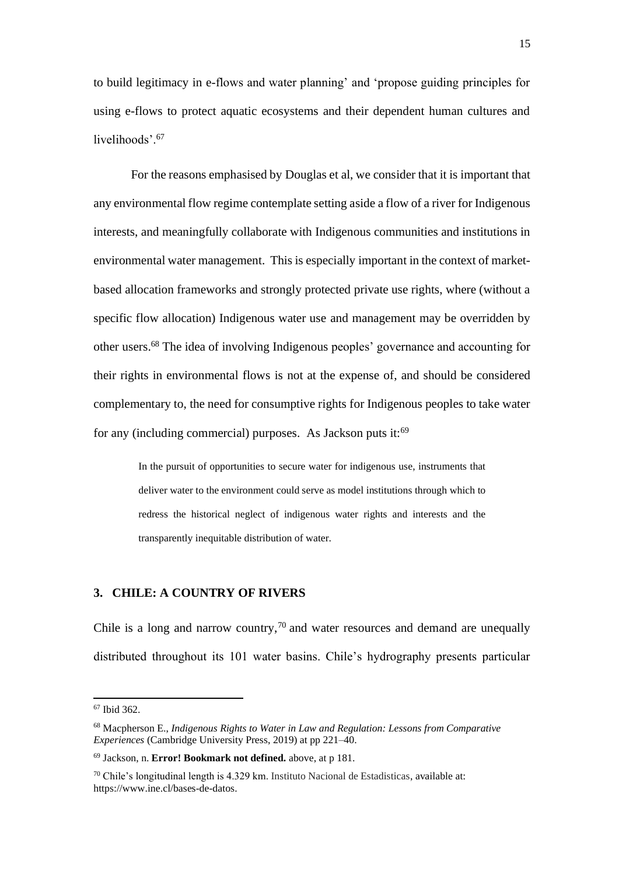to build legitimacy in e-flows and water planning' and 'propose guiding principles for using e-flows to protect aquatic ecosystems and their dependent human cultures and livelihoods'.<sup>67</sup>

For the reasons emphasised by Douglas et al, we consider that it is important that any environmental flow regime contemplate setting aside a flow of a river for Indigenous interests, and meaningfully collaborate with Indigenous communities and institutions in environmental water management. This is especially important in the context of marketbased allocation frameworks and strongly protected private use rights, where (without a specific flow allocation) Indigenous water use and management may be overridden by other users.<sup>68</sup> The idea of involving Indigenous peoples' governance and accounting for their rights in environmental flows is not at the expense of, and should be considered complementary to, the need for consumptive rights for Indigenous peoples to take water for any (including commercial) purposes. As Jackson puts it:<sup>69</sup>

> In the pursuit of opportunities to secure water for indigenous use, instruments that deliver water to the environment could serve as model institutions through which to redress the historical neglect of indigenous water rights and interests and the transparently inequitable distribution of water.

# **3. CHILE: A COUNTRY OF RIVERS**

Chile is a long and narrow country, $70$  and water resources and demand are unequally distributed throughout its 101 water basins. Chile's hydrography presents particular

<sup>67</sup> Ibid 362.

<sup>68</sup> Macpherson E., *Indigenous Rights to Water in Law and Regulation: Lessons from Comparative Experiences* (Cambridge University Press, 2019) at pp 221–40.

<sup>69</sup> Jackson, n. **Error! Bookmark not defined.** above, at p 181.

 $70$  Chile's longitudinal length is 4.329 km. Instituto Nacional de Estadisticas, available at: https://www.ine.cl/bases-de-datos.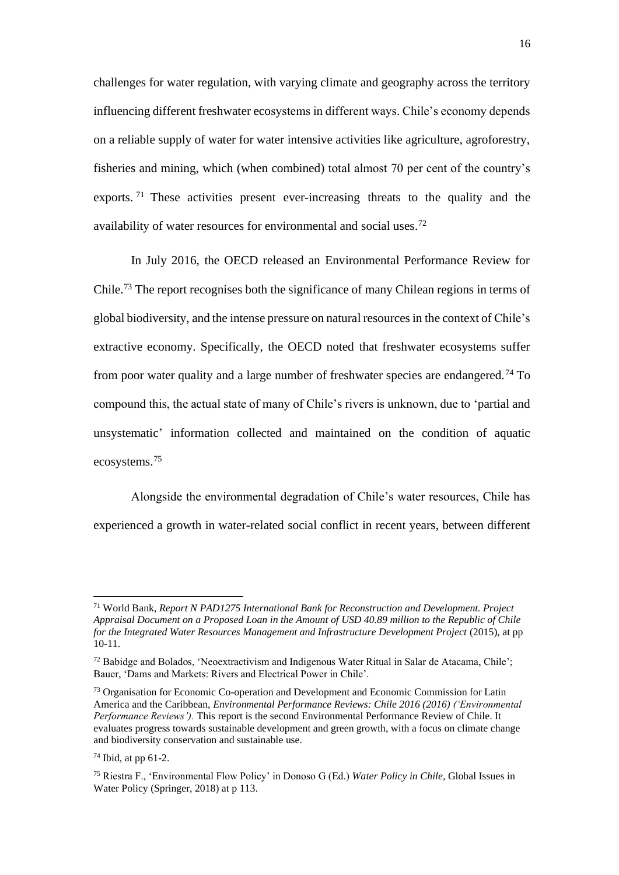challenges for water regulation, with varying climate and geography across the territory influencing different freshwater ecosystems in different ways. Chile's economy depends on a reliable supply of water for water intensive activities like agriculture, agroforestry, fisheries and mining, which (when combined) total almost 70 per cent of the country's exports.<sup>71</sup> These activities present ever-increasing threats to the quality and the availability of water resources for environmental and social uses. 72

In July 2016, the OECD released an Environmental Performance Review for Chile.<sup>73</sup> The report recognises both the significance of many Chilean regions in terms of global biodiversity, and the intense pressure on natural resources in the context of Chile's extractive economy. Specifically, the OECD noted that freshwater ecosystems suffer from poor water quality and a large number of freshwater species are endangered.<sup>74</sup> To compound this, the actual state of many of Chile's rivers is unknown, due to 'partial and unsystematic' information collected and maintained on the condition of aquatic ecosystems.<sup>75</sup>

Alongside the environmental degradation of Chile's water resources, Chile has experienced a growth in water-related social conflict in recent years, between different

<sup>71</sup> World Bank, *Report N PAD1275 International Bank for Reconstruction and Development. Project Appraisal Document on a Proposed Loan in the Amount of USD 40.89 million to the Republic of Chile for the Integrated Water Resources Management and Infrastructure Development Project* (2015), at pp 10-11.

<sup>72</sup> Babidge and Bolados, 'Neoextractivism and Indigenous Water Ritual in Salar de Atacama, Chile'; Bauer, 'Dams and Markets: Rivers and Electrical Power in Chile'.

<sup>73</sup> Organisation for Economic Co-operation and Development and Economic Commission for Latin America and the Caribbean, *Environmental Performance Reviews: Chile 2016 (2016) ('Environmental Performance Reviews').* This report is the second Environmental Performance Review of Chile. It evaluates progress towards sustainable development and green growth, with a focus on climate change and biodiversity conservation and sustainable use.

 $74$  Ibid, at pp 61-2.

<sup>75</sup> Riestra F., 'Environmental Flow Policy' in Donoso G (Ed.) *Water Policy in Chile*, Global Issues in Water Policy (Springer, 2018) at p 113.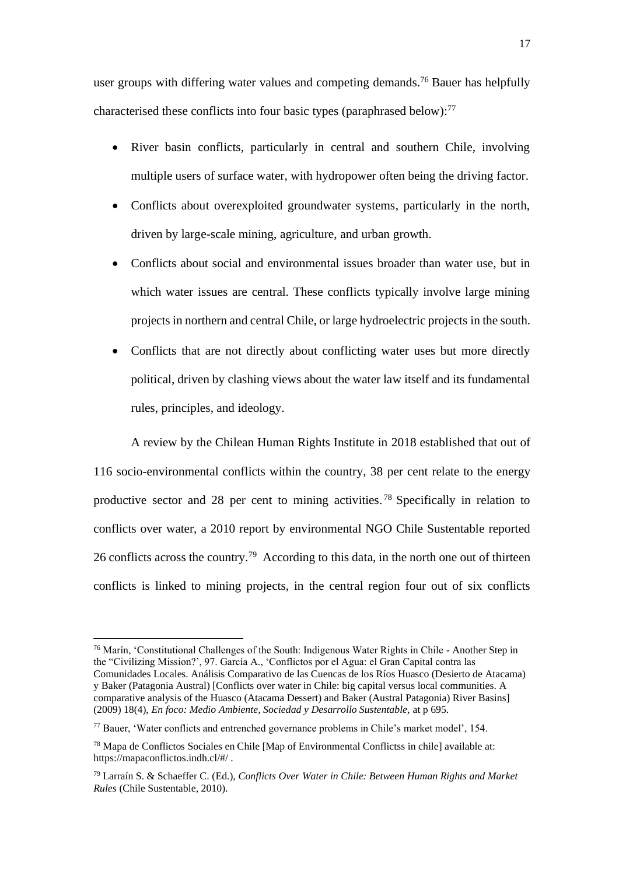user groups with differing water values and competing demands.<sup>76</sup> Bauer has helpfully characterised these conflicts into four basic types (paraphrased below):<sup>77</sup>

- River basin conflicts, particularly in central and southern Chile, involving multiple users of surface water, with hydropower often being the driving factor.
- Conflicts about overexploited groundwater systems, particularly in the north, driven by large-scale mining, agriculture, and urban growth.
- Conflicts about social and environmental issues broader than water use, but in which water issues are central. These conflicts typically involve large mining projects in northern and central Chile, or large hydroelectric projects in the south.
- Conflicts that are not directly about conflicting water uses but more directly political, driven by clashing views about the water law itself and its fundamental rules, principles, and ideology.

A review by the Chilean Human Rights Institute in 2018 established that out of 116 socio-environmental conflicts within the country, 38 per cent relate to the energy productive sector and 28 per cent to mining activities.<sup>78</sup> Specifically in relation to conflicts over water, a 2010 report by environmental NGO Chile Sustentable reported 26 conflicts across the country.<sup>79</sup> According to this data, in the north one out of thirteen conflicts is linked to mining projects, in the central region four out of six conflicts

<sup>76</sup> Marín, 'Constitutional Challenges of the South: Indigenous Water Rights in Chile - Another Step in the "Civilizing Mission?', 97. García A., 'Conflictos por el Agua: el Gran Capital contra las Comunidades Locales. Análisis Comparativo de las Cuencas de los Ríos Huasco (Desierto de Atacama) y Baker (Patagonia Austral) [Conflicts over water in Chile: big capital versus local communities. A comparative analysis of the Huasco (Atacama Dessert) and Baker (Austral Patagonia) River Basins] (2009) 18(4), *En foco: Medio Ambiente, Sociedad y Desarrollo Sustentable,* at p 695.

<sup>77</sup> Bauer, 'Water conflicts and entrenched governance problems in Chile's market model', 154.

<sup>78</sup> Mapa de Conflictos Sociales en Chile [Map of Environmental Conflictss in chile] available at: https://mapaconflictos.indh.cl/#/ .

<sup>79</sup> Larraín S. & Schaeffer C. (Ed.), *Conflicts Over Water in Chile: Between Human Rights and Market Rules* (Chile Sustentable, 2010).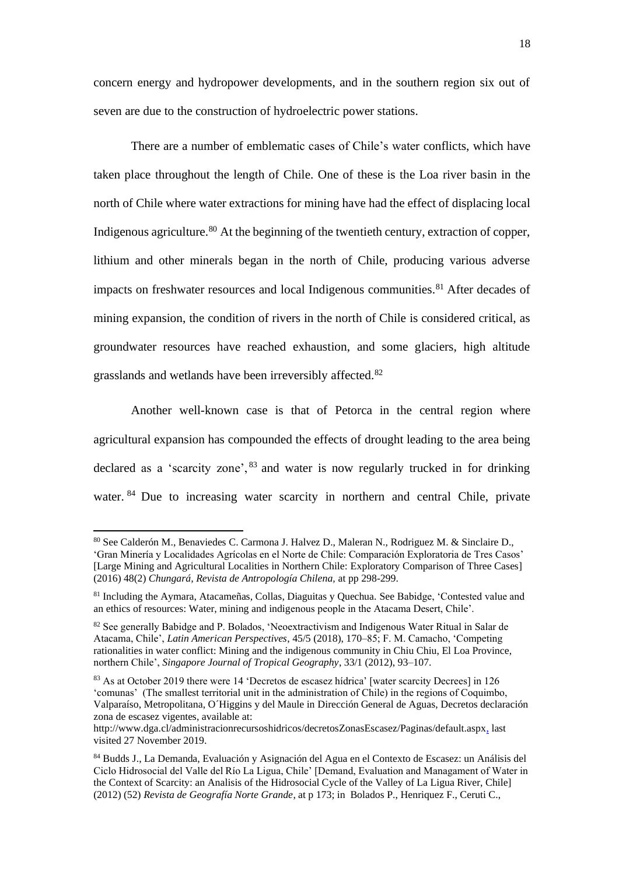concern energy and hydropower developments, and in the southern region six out of seven are due to the construction of hydroelectric power stations.

There are a number of emblematic cases of Chile's water conflicts, which have taken place throughout the length of Chile. One of these is the Loa river basin in the north of Chile where water extractions for mining have had the effect of displacing local Indigenous agriculture.<sup>80</sup> At the beginning of the twentieth century, extraction of copper, lithium and other minerals began in the north of Chile, producing various adverse impacts on freshwater resources and local Indigenous communities.<sup>81</sup> After decades of mining expansion, the condition of rivers in the north of Chile is considered critical, as groundwater resources have reached exhaustion, and some glaciers, high altitude grasslands and wetlands have been irreversibly affected.<sup>82</sup>

Another well-known case is that of Petorca in the central region where agricultural expansion has compounded the effects of drought leading to the area being declared as a 'scarcity zone',  $83$  and water is now regularly trucked in for drinking water. <sup>84</sup> Due to increasing water scarcity in northern and central Chile, private

<sup>80</sup> See Calderón M., Benaviedes C. Carmona J. Halvez D., Maleran N., Rodriguez M. & Sinclaire D., 'Gran Minería y Localidades Agrícolas en el Norte de Chile: Comparación Exploratoria de Tres Casos' [Large Mining and Agricultural Localities in Northern Chile: Exploratory Comparison of Three Cases] (2016) 48(2) *Chungará, Revista de Antropología Chilena,* at pp 298-299.

<sup>81</sup> Including the Aymara, Atacameñas, Collas, Diaguitas y Quechua. See Babidge, 'Contested value and an ethics of resources: Water, mining and indigenous people in the Atacama Desert, Chile'.

<sup>&</sup>lt;sup>82</sup> See generally Babidge and P. Bolados, 'Neoextractivism and Indigenous Water Ritual in Salar de Atacama, Chile', *Latin American Perspectives*, 45/5 (2018), 170–85; F. M. Camacho, 'Competing rationalities in water conflict: Mining and the indigenous community in Chiu Chiu, El Loa Province, northern Chile', *Singapore Journal of Tropical Geography*, 33/1 (2012), 93–107.

<sup>83</sup> As at October 2019 there were 14 'Decretos de escasez hídrica' [water scarcity Decrees] in 126 'comunas' (The smallest territorial unit in the administration of Chile) in the regions of Coquimbo, Valparaíso, Metropolitana, O´Higgins y del Maule in Dirección General de Aguas, Decretos declaración zona de escasez vigentes, available at:

http://www.dga.cl/administracionrecursoshidricos/decretosZonasEscasez/Paginas/default.aspx, last visited 27 November 2019.

<sup>84</sup> Budds J., La Demanda, Evaluación y Asignación del Agua en el Contexto de Escasez: un Análisis del Ciclo Hidrosocial del Valle del Río La Ligua, Chile' [Demand, Evaluation and Managament of Water in the Context of Scarcity: an Analisis of the Hidrosocial Cycle of the Valley of La Ligua River, Chile] (2012) (52) *Revista de Geografía Norte Grande*, at p 173; in Bolados P., Henriquez F., Ceruti C.,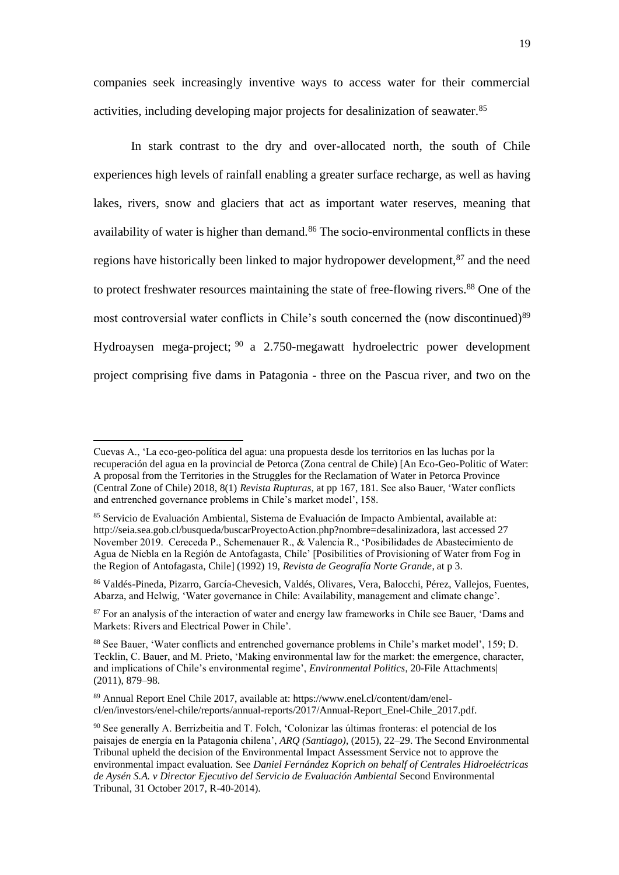companies seek increasingly inventive ways to access water for their commercial activities, including developing major projects for desalinization of seawater. 85

In stark contrast to the dry and over-allocated north, the south of Chile experiences high levels of rainfall enabling a greater surface recharge, as well as having lakes, rivers, snow and glaciers that act as important water reserves, meaning that availability of water is higher than demand.<sup>86</sup> The socio-environmental conflicts in these regions have historically been linked to major hydropower development,<sup>87</sup> and the need to protect freshwater resources maintaining the state of free-flowing rivers.<sup>88</sup> One of the most controversial water conflicts in Chile's south concerned the (now discontinued)<sup>89</sup> Hydroaysen mega-project; <sup>90</sup> a 2.750-megawatt hydroelectric power development project comprising five dams in Patagonia - three on the Pascua river, and two on the

Cuevas A., 'La eco-geo-política del agua: una propuesta desde los territorios en las luchas por la recuperación del agua en la provincial de Petorca (Zona central de Chile) [An Eco-Geo-Politic of Water: A proposal from the Territories in the Struggles for the Reclamation of Water in Petorca Province (Central Zone of Chile) 2018, 8(1) *Revista Rupturas,* at pp 167, 181. See also Bauer, 'Water conflicts and entrenched governance problems in Chile's market model', 158.

<sup>&</sup>lt;sup>85</sup> Servicio de Evaluación Ambiental, Sistema de Evaluación de Impacto Ambiental, available at: http://seia.sea.gob.cl/busqueda/buscarProyectoAction.php?nombre=desalinizadora, last accessed 27 November 2019. Cereceda P., Schemenauer R., & Valencia R., 'Posibilidades de Abastecimiento de Agua de Niebla en la Región de Antofagasta, Chile' [Posibilities of Provisioning of Water from Fog in the Region of Antofagasta, Chile] (1992) 19, *Revista de Geografía Norte Grande*, at p 3.

<sup>86</sup> Valdés-Pineda, Pizarro, García-Chevesich, Valdés, Olivares, Vera, Balocchi, Pérez, Vallejos, Fuentes, Abarza, and Helwig, 'Water governance in Chile: Availability, management and climate change'.

<sup>&</sup>lt;sup>87</sup> For an analysis of the interaction of water and energy law frameworks in Chile see Bauer, 'Dams and Markets: Rivers and Electrical Power in Chile'.

<sup>88</sup> See Bauer, 'Water conflicts and entrenched governance problems in Chile's market model', 159; D. Tecklin, C. Bauer, and M. Prieto, 'Making environmental law for the market: the emergence, character, and implications of Chile's environmental regime', *Environmental Politics*, 20-File Attachments| (2011), 879–98.

<sup>89</sup> Annual Report Enel Chile 2017, available at: https://www.enel.cl/content/dam/enelcl/en/investors/enel-chile/reports/annual-reports/2017/Annual-Report\_Enel-Chile\_2017.pdf.

<sup>90</sup> See generally A. Berrizbeitia and T. Folch, 'Colonizar las últimas fronteras: el potencial de los paisajes de energía en la Patagonia chilena', *ARQ (Santiago)*, (2015), 22–29. The Second Environmental Tribunal upheld the decision of the Environmental Impact Assessment Service not to approve the environmental impact evaluation. See *Daniel Fernández Koprich on behalf of Centrales Hidroeléctricas de Aysén S.A. v Director Ejecutivo del Servicio de Evaluación Ambiental* Second Environmental Tribunal, 31 October 2017, R-40-2014).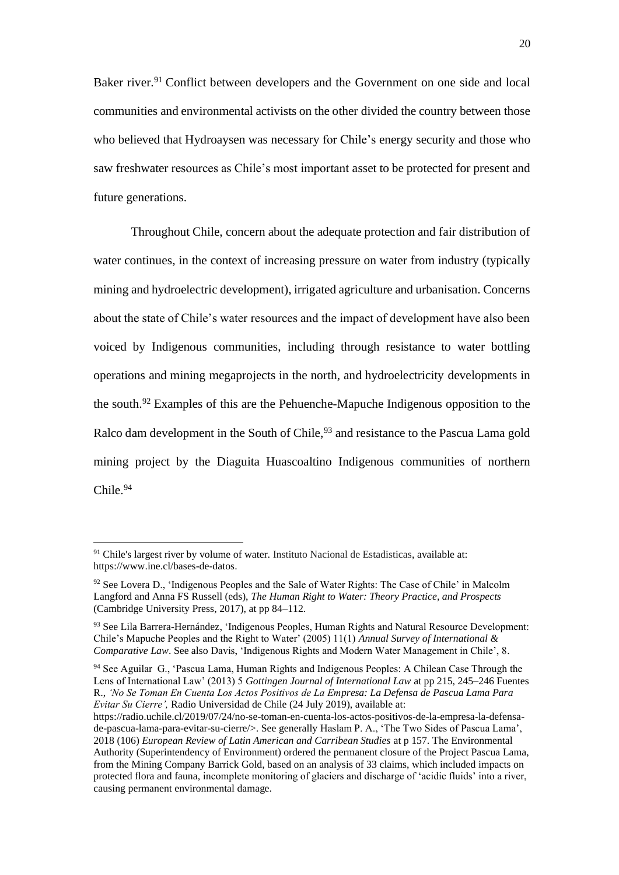Baker river.<sup>91</sup> Conflict between developers and the Government on one side and local communities and environmental activists on the other divided the country between those who believed that Hydroaysen was necessary for Chile's energy security and those who saw freshwater resources as Chile's most important asset to be protected for present and future generations.

Throughout Chile, concern about the adequate protection and fair distribution of water continues, in the context of increasing pressure on water from industry (typically mining and hydroelectric development), irrigated agriculture and urbanisation. Concerns about the state of Chile's water resources and the impact of development have also been voiced by Indigenous communities, including through resistance to water bottling operations and mining megaprojects in the north, and hydroelectricity developments in the south.<sup>92</sup> Examples of this are the Pehuenche-Mapuche Indigenous opposition to the Ralco dam development in the South of Chile,<sup>93</sup> and resistance to the Pascua Lama gold mining project by the Diaguita Huascoaltino Indigenous communities of northern Chile.<sup>94</sup>

<span id="page-19-0"></span><sup>&</sup>lt;sup>91</sup> Chile's largest river by volume of water. Instituto Nacional de Estadisticas, available at: https://www.ine.cl/bases-de-datos.

 $92$  See Lovera D., 'Indigenous Peoples and the Sale of Water Rights: The Case of Chile' in Malcolm Langford and Anna FS Russell (eds), *The Human Right to Water: Theory Practice, and Prospects* (Cambridge University Press, 2017), at pp 84–112.

<sup>&</sup>lt;sup>93</sup> See Lila Barrera-Hernández, 'Indigenous Peoples, Human Rights and Natural Resource Development: Chile's Mapuche Peoples and the Right to Water' (2005) 11(1) *Annual Survey of International & Comparative Law.* See also Davis, 'Indigenous Rights and Modern Water Management in Chile', 8.

<sup>94</sup> See Aguilar G., 'Pascua Lama, Human Rights and Indigenous Peoples: A Chilean Case Through the Lens of International Law' (2013) 5 *Gottingen Journal of International Law* at pp 215, 245–246 Fuentes R., *'No Se Toman En Cuenta Los Actos Positivos de La Empresa: La Defensa de Pascua Lama Para Evitar Su Cierre',* Radio Universidad de Chile (24 July 2019), available at:

https://radio.uchile.cl/2019/07/24/no-se-toman-en-cuenta-los-actos-positivos-de-la-empresa-la-defensade-pascua-lama-para-evitar-su-cierre/>. See generally Haslam P. A., 'The Two Sides of Pascua Lama', 2018 (106) *European Review of Latin American and Carribean Studies* at p 157. The Environmental Authority (Superintendency of Environment) ordered the permanent closure of the Project Pascua Lama, from the Mining Company Barrick Gold, based on an analysis of 33 claims, which included impacts on protected flora and fauna, incomplete monitoring of glaciers and discharge of 'acidic fluids' into a river, causing permanent environmental damage.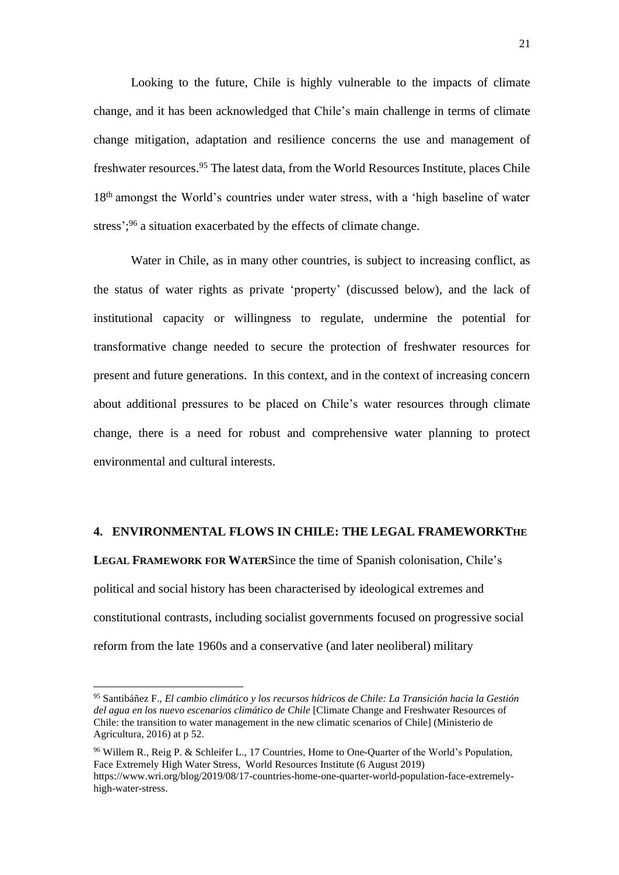Looking to the future, Chile is highly vulnerable to the impacts of climate change, and it has been acknowledged that Chile's main challenge in terms of climate change mitigation, adaptation and resilience concerns the use and management of freshwater resources.<sup>95</sup> The latest data, from the World Resources Institute, places Chile 18<sup>th</sup> amongst the World's countries under water stress, with a 'high baseline of water stress';<sup>96</sup> a situation exacerbated by the effects of climate change.

Water in Chile, as in many other countries, is subject to increasing conflict, as the status of water rights as private 'property' (discussed below), and the lack of institutional capacity or willingness to regulate, undermine the potential for transformative change needed to secure the protection of freshwater resources for present and future generations. In this context, and in the context of increasing concern about additional pressures to be placed on Chile's water resources through climate change, there is a need for robust and comprehensive water planning to protect environmental and cultural interests.

# **4. ENVIRONMENTAL FLOWS IN CHILE: THE LEGAL FRAMEWORKTHE**

**LEGAL FRAMEWORK FOR WATER**Since the time of Spanish colonisation, Chile's political and social history has been characterised by ideological extremes and constitutional contrasts, including socialist governments focused on progressive social reform from the late 1960s and a conservative (and later neoliberal) military

<sup>95</sup> Santibáñez F., *El cambio climático y los recursos hídricos de Chile: La Transición hacia la Gestión del agua en los nuevo escenarios climático de Chile* [Climate Change and Freshwater Resources of Chile: the transition to water management in the new climatic scenarios of Chile] (Ministerio de Agricultura, 2016) at p 52.

<sup>&</sup>lt;sup>96</sup> Willem R., Reig P. & Schleifer L., 17 Countries, Home to One-Quarter of the World's Population, Face Extremely High Water Stress, World Resources Institute (6 August 2019) https://www.wri.org/blog/2019/08/17-countries-home-one-quarter-world-population-face-extremelyhigh-water-stress.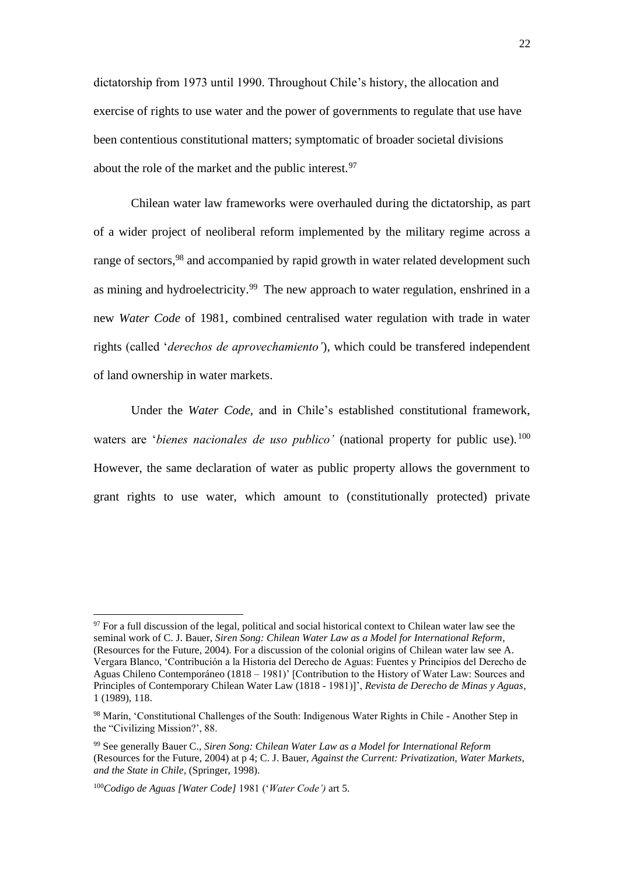dictatorship from 1973 until 1990. Throughout Chile's history, the allocation and exercise of rights to use water and the power of governments to regulate that use have been contentious constitutional matters; symptomatic of broader societal divisions about the role of the market and the public interest.  $97$ 

Chilean water law frameworks were overhauled during the dictatorship, as part of a wider project of neoliberal reform implemented by the military regime across a range of sectors,<sup>98</sup> and accompanied by rapid growth in water related development such as mining and hydroelectricity.<sup>99</sup> The new approach to water regulation, enshrined in a new *Water Code* of 1981, combined centralised water regulation with trade in water rights (called '*derechos de aprovechamiento'*), which could be transfered independent of land ownership in water markets.

Under the *Water Code,* and in Chile's established constitutional framework, waters are *'bienes nacionales de uso publico'* (national property for public use). <sup>100</sup> However, the same declaration of water as public property allows the government to grant rights to use water, which amount to (constitutionally protected) private

<sup>&</sup>lt;sup>97</sup> For a full discussion of the legal, political and social historical context to Chilean water law see the seminal work of C. J. Bauer, *Siren Song: Chilean Water Law as a Model for International Reform*, (Resources for the Future, 2004). For a discussion of the colonial origins of Chilean water law see A. Vergara Blanco, 'Contribución a la Historia del Derecho de Aguas: Fuentes y Principios del Derecho de Aguas Chileno Contemporáneo (1818 – 1981)' [Contribution to the History of Water Law: Sources and Principles of Contemporary Chilean Water Law (1818 - 1981)]', *Revista de Derecho de Minas y Aguas*, 1 (1989), 118.

<sup>98</sup> Marín, 'Constitutional Challenges of the South: Indigenous Water Rights in Chile - Another Step in the "Civilizing Mission?', 88.

<sup>99</sup> See generally Bauer C., *Siren Song: Chilean Water Law as a Model for International Reform* (Resources for the Future, 2004) at p 4; C. J. Bauer, *Against the Current: Privatization, Water Markets, and the State in Chile*, (Springer, 1998).

<sup>100</sup>*Codigo de Aguas [Water Code]* 1981 ('*Water Code')* art 5.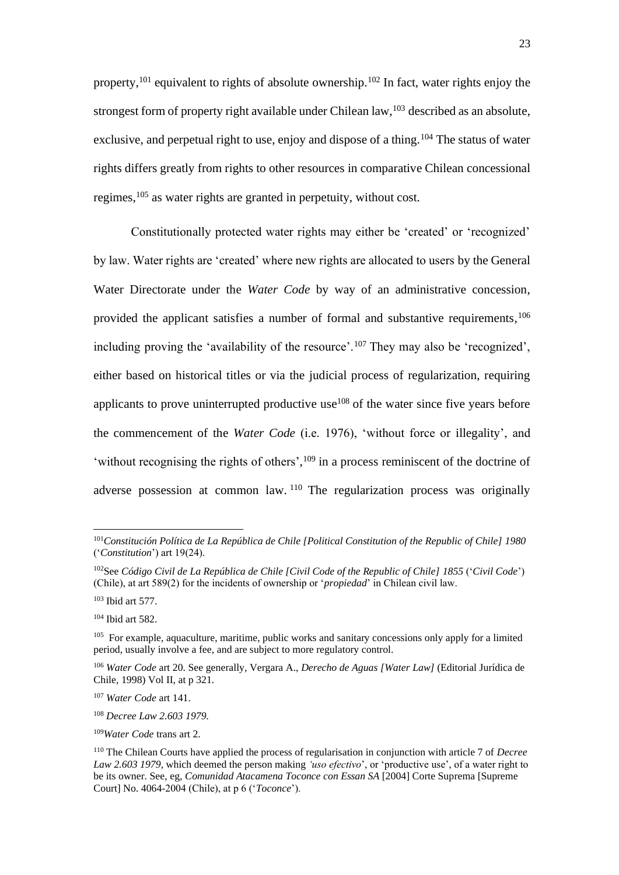property,<sup>101</sup> equivalent to rights of absolute ownership.<sup>102</sup> In fact, water rights enjoy the strongest form of property right available under Chilean law,<sup>103</sup> described as an absolute, exclusive, and perpetual right to use, enjoy and dispose of a thing.<sup>104</sup> The status of water rights differs greatly from rights to other resources in comparative Chilean concessional regimes, <sup>105</sup> as water rights are granted in perpetuity, without cost.

Constitutionally protected water rights may either be 'created' or 'recognized' by law. Water rights are 'created' where new rights are allocated to users by the General Water Directorate under the *Water Code* by way of an administrative concession, provided the applicant satisfies a number of formal and substantive requirements*,* 106 including proving the 'availability of the resource'.<sup>107</sup> They may also be 'recognized', either based on historical titles or via the judicial process of regularization, requiring applicants to prove uninterrupted productive use<sup>108</sup> of the water since five years before the commencement of the *Water Code* (i.e. 1976), 'without force or illegality', and 'without recognising the rights of others',<sup>109</sup> in a process reminiscent of the doctrine of adverse possession at common law. <sup>110</sup> The regularization process was originally

<sup>101</sup>*Constitución Política de La República de Chile [Political Constitution of the Republic of Chile] 1980* ('*Constitution*') art 19(24).

<sup>102</sup>See *Código Civil de La República de Chile [Civil Code of the Republic of Chile] 1855* ('*Civil Code*') (Chile), at art 589(2) for the incidents of ownership or '*propiedad*' in Chilean civil law.

<sup>103</sup> Ibid art 577.

<sup>104</sup> Ibid art 582.

<sup>&</sup>lt;sup>105</sup> For example, aquaculture, maritime, public works and sanitary concessions only apply for a limited period, usually involve a fee, and are subject to more regulatory control.

<sup>106</sup> *Water Code* art 20. See generally, Vergara A., *Derecho de Aguas [Water Law]* (Editorial Jurídica de Chile, 1998) Vol II, at p 321.

<sup>107</sup> *Water Code* art 141.

<sup>108</sup> *Decree Law 2.603 1979.*

<sup>109</sup>*Water Code* trans art 2.

<sup>110</sup> The Chilean Courts have applied the process of regularisation in conjunction with article 7 of *Decree Law 2.603 1979,* which deemed the person making *'uso efectivo*', or 'productive use', of a water right to be its owner. See, eg, *Comunidad Atacamena Toconce con Essan SA* [2004] Corte Suprema [Supreme Court] No. 4064-2004 (Chile), at p 6 ('*Toconce*').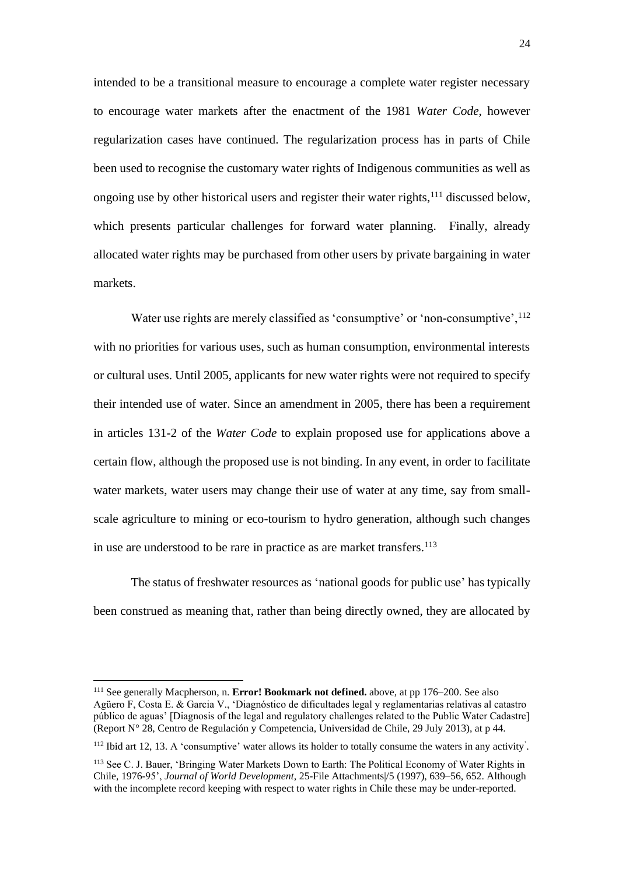intended to be a transitional measure to encourage a complete water register necessary to encourage water markets after the enactment of the 1981 *Water Code*, however regularization cases have continued. The regularization process has in parts of Chile been used to recognise the customary water rights of Indigenous communities as well as ongoing use by other historical users and register their water rights, <sup>111</sup> discussed below, which presents particular challenges for forward water planning. Finally, already allocated water rights may be purchased from other users by private bargaining in water markets.

Water use rights are merely classified as 'consumptive' or 'non-consumptive', <sup>112</sup> with no priorities for various uses, such as human consumption, environmental interests or cultural uses. Until 2005, applicants for new water rights were not required to specify their intended use of water. Since an amendment in 2005, there has been a requirement in articles 131-2 of the *Water Code* to explain proposed use for applications above a certain flow, although the proposed use is not binding. In any event, in order to facilitate water markets, water users may change their use of water at any time, say from smallscale agriculture to mining or eco-tourism to hydro generation, although such changes in use are understood to be rare in practice as are market transfers. 113

The status of freshwater resources as 'national goods for public use' has typically been construed as meaning that, rather than being directly owned, they are allocated by

<sup>111</sup> See generally Macpherson, n. **Error! Bookmark not defined.** above, at pp 176–200. See also Agüero F, Costa E. & Garcia V., 'Diagnóstico de dificultades legal y reglamentarias relativas al catastro público de aguas' [Diagnosis of the legal and regulatory challenges related to the Public Water Cadastre] (Report N° 28, Centro de Regulación y Competencia, Universidad de Chile, 29 July 2013), at p 44.

<sup>&</sup>lt;sup>112</sup> Ibid art 12, 13. A 'consumptive' water allows its holder to totally consume the waters in any activity'.

<sup>113</sup> See C. J. Bauer, 'Bringing Water Markets Down to Earth: The Political Economy of Water Rights in Chile, 1976-95', *Journal of World Development*, 25-File Attachments|/5 (1997), 639–56, 652. Although with the incomplete record keeping with respect to water rights in Chile these may be under-reported.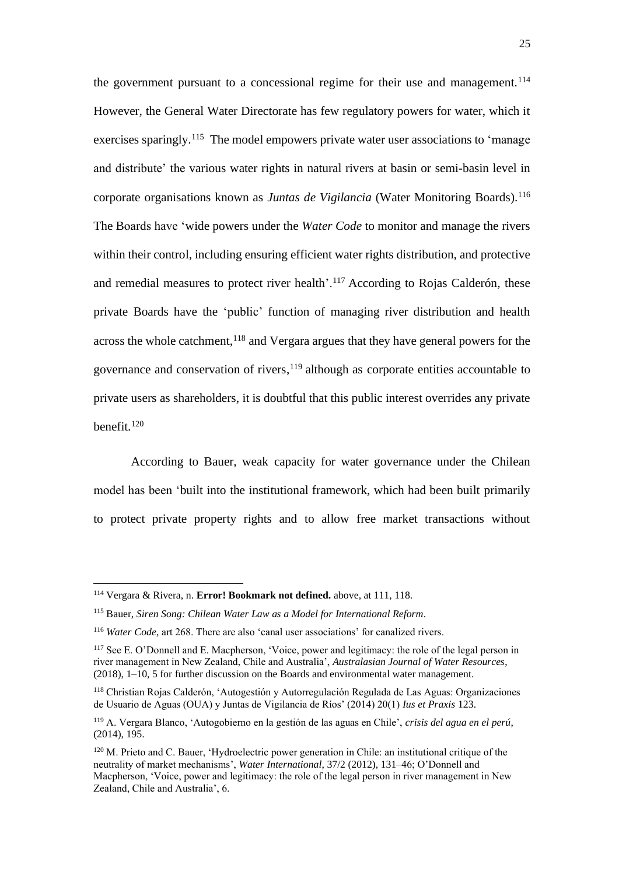the government pursuant to a concessional regime for their use and management.<sup>114</sup> However, the General Water Directorate has few regulatory powers for water, which it exercises sparingly.<sup>115</sup> The model empowers private water user associations to 'manage and distribute' the various water rights in natural rivers at basin or semi-basin level in corporate organisations known as *Juntas de Vigilancia* (Water Monitoring Boards).<sup>116</sup> The Boards have 'wide powers under the *Water Code* to monitor and manage the rivers within their control, including ensuring efficient water rights distribution, and protective and remedial measures to protect river health'.<sup>117</sup> According to Rojas Calderón, these private Boards have the 'public' function of managing river distribution and health across the whole catchment, <sup>118</sup> and Vergara argues that they have general powers for the governance and conservation of rivers,  $119$  although as corporate entities accountable to private users as shareholders, it is doubtful that this public interest overrides any private benefit.<sup>120</sup>

According to Bauer, weak capacity for water governance under the Chilean model has been 'built into the institutional framework, which had been built primarily to protect private property rights and to allow free market transactions without

<sup>114</sup> Vergara & Rivera, n. **Error! Bookmark not defined.** above, at 111, 118.

<sup>115</sup> Bauer, *Siren Song: Chilean Water Law as a Model for International Reform*.

<sup>116</sup> *Water Code,* art 268. There are also 'canal user associations' for canalized rivers.

<sup>117</sup> See E. O'Donnell and E. Macpherson, 'Voice, power and legitimacy: the role of the legal person in river management in New Zealand, Chile and Australia', *Australasian Journal of Water Resources*, (2018), 1–10, 5 for further discussion on the Boards and environmental water management.

<sup>118</sup> Christian Rojas Calderón, 'Autogestión y Autorregulación Regulada de Las Aguas: Organizaciones de Usuario de Aguas (OUA) y Juntas de Vigilancia de Ríos' (2014) 20(1) *Ius et Praxis* 123.

<sup>119</sup> A. Vergara Blanco, 'Autogobierno en la gestión de las aguas en Chile', *crisis del agua en el perú*, (2014), 195.

 $120$  M. Prieto and C. Bauer, 'Hydroelectric power generation in Chile: an institutional critique of the neutrality of market mechanisms', *Water International*, 37/2 (2012), 131–46; O'Donnell and Macpherson, 'Voice, power and legitimacy: the role of the legal person in river management in New Zealand, Chile and Australia', 6.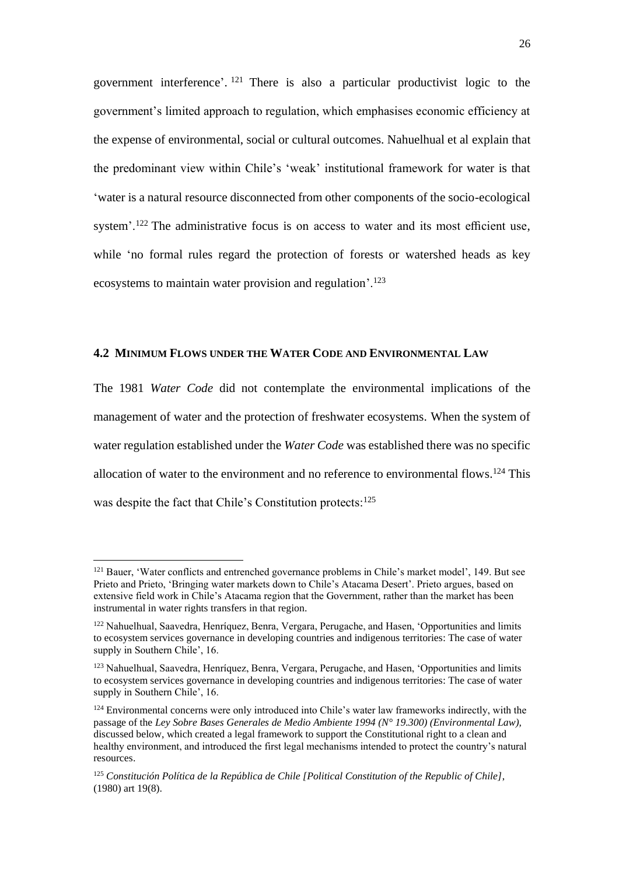government interference'. <sup>121</sup> There is also a particular productivist logic to the government's limited approach to regulation, which emphasises economic efficiency at the expense of environmental, social or cultural outcomes. Nahuelhual et al explain that the predominant view within Chile's 'weak' institutional framework for water is that 'water is a natural resource disconnected from other components of the socio-ecological system'.<sup>122</sup> The administrative focus is on access to water and its most efficient use, while 'no formal rules regard the protection of forests or watershed heads as key ecosystems to maintain water provision and regulation'.<sup>123</sup>

## **4.2 MINIMUM FLOWS UNDER THE WATER CODE AND ENVIRONMENTAL LAW**

The 1981 *Water Code* did not contemplate the environmental implications of the management of water and the protection of freshwater ecosystems. When the system of water regulation established under the *Water Code* was established there was no specific allocation of water to the environment and no reference to environmental flows.<sup>124</sup> This was despite the fact that Chile's Constitution protects:<sup>125</sup>

<sup>&</sup>lt;sup>121</sup> Bauer, 'Water conflicts and entrenched governance problems in Chile's market model', 149. But see Prieto and Prieto, 'Bringing water markets down to Chile's Atacama Desert'. Prieto argues, based on extensive field work in Chile's Atacama region that the Government, rather than the market has been instrumental in water rights transfers in that region.

<sup>122</sup> Nahuelhual, Saavedra, Henríquez, Benra, Vergara, Perugache, and Hasen, 'Opportunities and limits to ecosystem services governance in developing countries and indigenous territories: The case of water supply in Southern Chile', 16.

<sup>123</sup> Nahuelhual, Saavedra, Henríquez, Benra, Vergara, Perugache, and Hasen, 'Opportunities and limits to ecosystem services governance in developing countries and indigenous territories: The case of water supply in Southern Chile', 16.

<sup>&</sup>lt;sup>124</sup> Environmental concerns were only introduced into Chile's water law frameworks indirectly, with the passage of the *Ley Sobre Bases Generales de Medio Ambiente 1994 (N° 19.300) (Environmental Law),*  discussed below, which created a legal framework to support the Constitutional right to a clean and healthy environment, and introduced the first legal mechanisms intended to protect the country's natural resources.

<sup>125</sup> *Constitución Política de la República de Chile [Political Constitution of the Republic of Chile]*, (1980) art 19(8).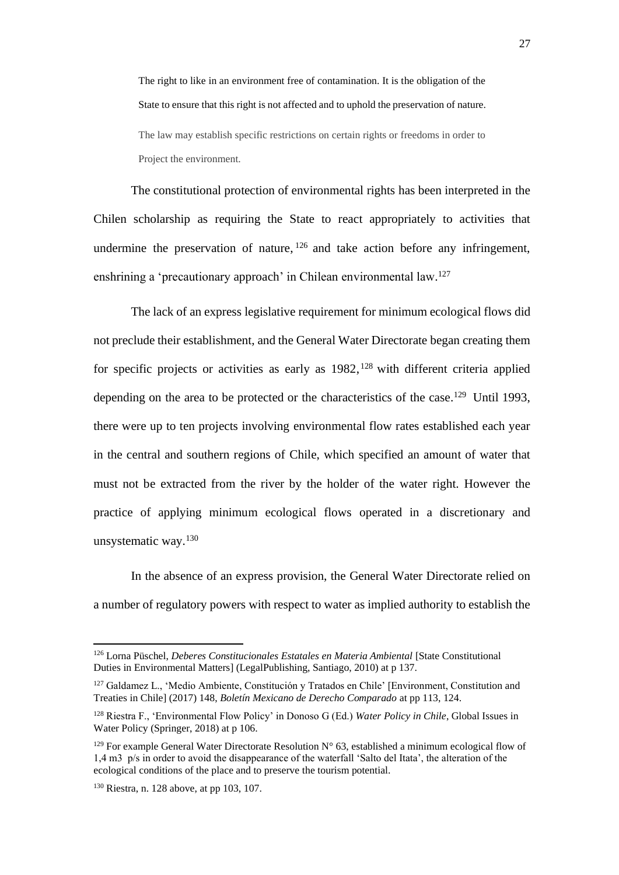The right to like in an environment free of contamination. It is the obligation of the State to ensure that this right is not affected and to uphold the preservation of nature.

The law may establish specific restrictions on certain rights or freedoms in order to Project the environment.

The constitutional protection of environmental rights has been interpreted in the Chilen scholarship as requiring the State to react appropriately to activities that undermine the preservation of nature,  $126$  and take action before any infringement, enshrining a 'precautionary approach' in Chilean environmental law.<sup>127</sup>

<span id="page-26-0"></span>The lack of an express legislative requirement for minimum ecological flows did not preclude their establishment, and the General Water Directorate began creating them for specific projects or activities as early as  $1982$ , <sup>128</sup> with different criteria applied depending on the area to be protected or the characteristics of the case.<sup>129</sup> Until 1993, there were up to ten projects involving environmental flow rates established each year in the central and southern regions of Chile, which specified an amount of water that must not be extracted from the river by the holder of the water right. However the practice of applying minimum ecological flows operated in a discretionary and unsystematic way.<sup>130</sup>

In the absence of an express provision, the General Water Directorate relied on a number of regulatory powers with respect to water as implied authority to establish the

<sup>126</sup> Lorna Püschel, *Deberes Constitucionales Estatales en Materia Ambiental* [State Constitutional Duties in Environmental Matters] (LegalPublishing, Santiago, 2010) at p 137.

<sup>127</sup> Galdamez L., 'Medio Ambiente, Constitución y Tratados en Chile' [Environment, Constitution and Treaties in Chile] (2017) 148, *Boletín Mexicano de Derecho Comparado* at pp 113, 124.

<sup>128</sup> Riestra F., 'Environmental Flow Policy' in Donoso G (Ed.) *Water Policy in Chile*, Global Issues in Water Policy (Springer, 2018) at p 106.

<sup>&</sup>lt;sup>129</sup> For example General Water Directorate Resolution  $N^{\circ}$  63, established a minimum ecological flow of 1,4 m3 p/s in order to avoid the disappearance of the waterfall 'Salto del Itata', the alteration of the ecological conditions of the place and to preserve the tourism potential.

<sup>130</sup> Riestra, n[. 128](#page-26-0) above, at pp 103, 107.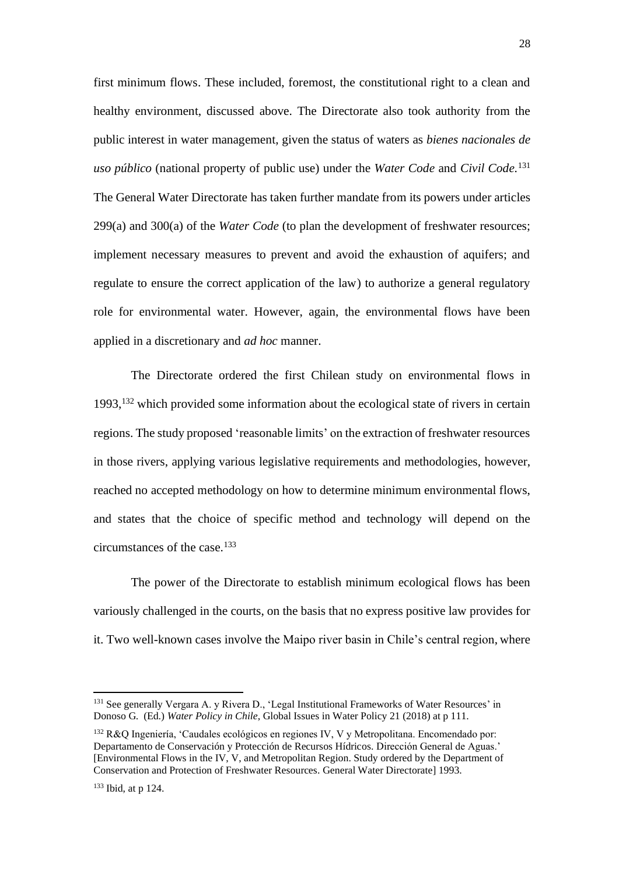first minimum flows. These included, foremost, the constitutional right to a clean and healthy environment, discussed above. The Directorate also took authority from the public interest in water management, given the status of waters as *bienes nacionales de uso público* (national property of public use) under the *Water Code* and *Civil Code.*<sup>131</sup> The General Water Directorate has taken further mandate from its powers under articles 299(a) and 300(a) of the *Water Code* (to plan the development of freshwater resources; implement necessary measures to prevent and avoid the exhaustion of aquifers; and regulate to ensure the correct application of the law) to authorize a general regulatory role for environmental water. However, again, the environmental flows have been applied in a discretionary and *ad hoc* manner.

The Directorate ordered the first Chilean study on environmental flows in 1993, <sup>132</sup> which provided some information about the ecological state of rivers in certain regions. The study proposed 'reasonable limits' on the extraction of freshwater resources in those rivers, applying various legislative requirements and methodologies, however, reached no accepted methodology on how to determine minimum environmental flows, and states that the choice of specific method and technology will depend on the circumstances of the case.<sup>133</sup>

The power of the Directorate to establish minimum ecological flows has been variously challenged in the courts, on the basis that no express positive law provides for it. Two well-known cases involve the Maipo river basin in Chile's central region, where

<sup>131</sup> See generally Vergara A. y Rivera D., 'Legal Institutional Frameworks of Water Resources' in Donoso G. (Ed.) *Water Policy in Chile*, Global Issues in Water Policy 21 (2018) at p 111.

<sup>132</sup> R&Q Ingeniería, 'Caudales ecológicos en regiones IV, V y Metropolitana. Encomendado por: Departamento de Conservación y Protección de Recursos Hídricos. Dirección General de Aguas.' [Environmental Flows in the IV, V, and Metropolitan Region. Study ordered by the Department of Conservation and Protection of Freshwater Resources. General Water Directorate] 1993.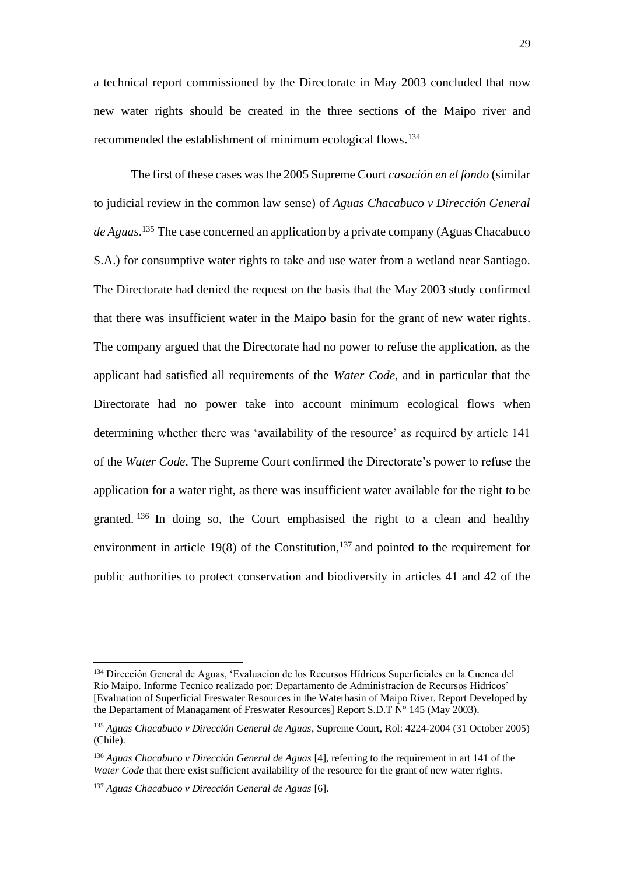a technical report commissioned by the Directorate in May 2003 concluded that now new water rights should be created in the three sections of the Maipo river and recommended the establishment of minimum ecological flows.<sup>134</sup>

The first of these cases was the 2005 Supreme Court *casación en el fondo* (similar to judicial review in the common law sense) of *Aguas Chacabuco v Dirección General de Aguas*. <sup>135</sup> The case concerned an application by a private company (Aguas Chacabuco S.A.) for consumptive water rights to take and use water from a wetland near Santiago. The Directorate had denied the request on the basis that the May 2003 study confirmed that there was insufficient water in the Maipo basin for the grant of new water rights. The company argued that the Directorate had no power to refuse the application, as the applicant had satisfied all requirements of the *Water Code*, and in particular that the Directorate had no power take into account minimum ecological flows when determining whether there was 'availability of the resource' as required by article 141 of the *Water Code*. The Supreme Court confirmed the Directorate's power to refuse the application for a water right, as there was insufficient water available for the right to be granted. <sup>136</sup> In doing so, the Court emphasised the right to a clean and healthy environment in article 19(8) of the Constitution,<sup>137</sup> and pointed to the requirement for public authorities to protect conservation and biodiversity in articles 41 and 42 of the

<sup>134</sup> Dirección General de Aguas, 'Evaluacion de los Recursos Hídricos Superficiales en la Cuenca del Rio Maipo. Informe Tecnico realizado por: Departamento de Administracion de Recursos Hidricos' [Evaluation of Superficial Freswater Resources in the Waterbasin of Maipo River. Report Developed by the Departament of Managament of Freswater Resources] Report S.D.T N° 145 (May 2003).

<sup>135</sup> *Aguas Chacabuco v Dirección General de Aguas*, Supreme Court, Rol: 4224-2004 (31 October 2005) (Chile).

<sup>136</sup> *Aguas Chacabuco v Dirección General de Aguas* [4], referring to the requirement in art 141 of the *Water Code* that there exist sufficient availability of the resource for the grant of new water rights.

<sup>137</sup> *Aguas Chacabuco v Dirección General de Aguas* [6].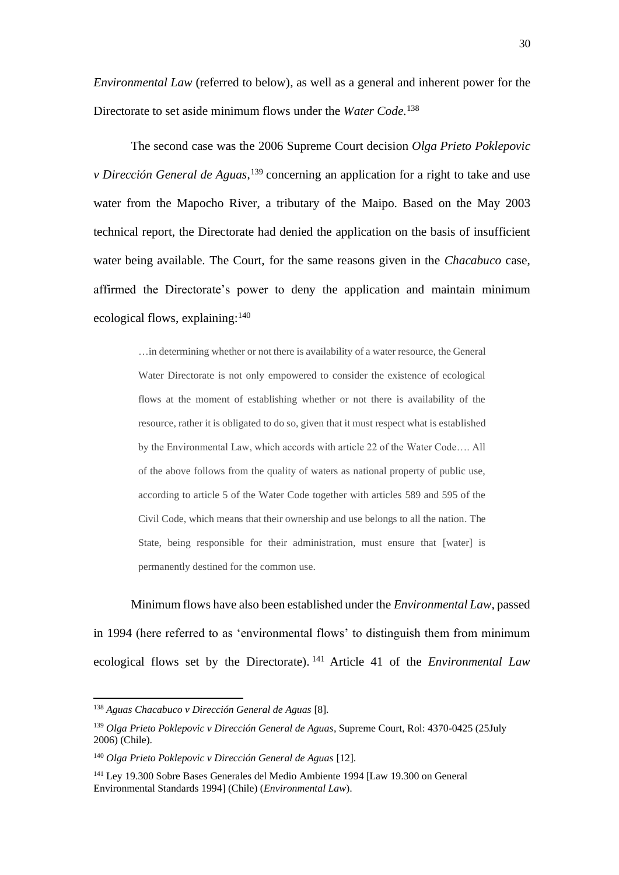*Environmental Law* (referred to below)*,* as well as a general and inherent power for the Directorate to set aside minimum flows under the *Water Code.* 138

The second case was the 2006 Supreme Court decision *Olga Prieto Poklepovic v Dirección General de Aguas*, <sup>139</sup> concerning an application for a right to take and use water from the Mapocho River, a tributary of the Maipo. Based on the May 2003 technical report, the Directorate had denied the application on the basis of insufficient water being available. The Court, for the same reasons given in the *Chacabuco* case, affirmed the Directorate's power to deny the application and maintain minimum ecological flows, explaining:<sup>140</sup>

> …in determining whether or not there is availability of a water resource, the General Water Directorate is not only empowered to consider the existence of ecological flows at the moment of establishing whether or not there is availability of the resource, rather it is obligated to do so, given that it must respect what is established by the Environmental Law, which accords with article 22 of the Water Code…. All of the above follows from the quality of waters as national property of public use, according to article 5 of the Water Code together with articles 589 and 595 of the Civil Code, which means that their ownership and use belongs to all the nation. The State, being responsible for their administration, must ensure that [water] is permanently destined for the common use.

Minimum flows have also been established under the *Environmental Law,* passed in 1994 (here referred to as 'environmental flows' to distinguish them from minimum ecological flows set by the Directorate). <sup>141</sup> Article 41 of the *Environmental Law*

<sup>138</sup> *Aguas Chacabuco v Dirección General de Aguas* [8].

<sup>139</sup> *Olga Prieto Poklepovic v Dirección General de Aguas*, Supreme Court, Rol: 4370-0425 (25July 2006) (Chile).

<sup>140</sup> *Olga Prieto Poklepovic v Dirección General de Aguas* [12].

<sup>141</sup> Ley 19.300 Sobre Bases Generales del Medio Ambiente 1994 [Law 19.300 on General Environmental Standards 1994] (Chile) (*Environmental Law*).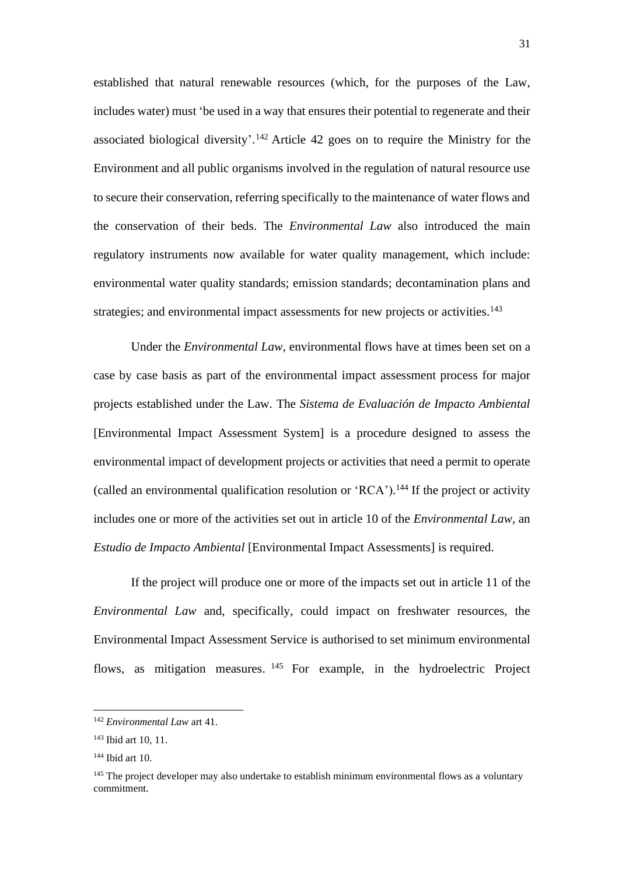established that natural renewable resources (which, for the purposes of the Law, includes water) must 'be used in a way that ensures their potential to regenerate and their associated biological diversity'. <sup>142</sup> Article 42 goes on to require the Ministry for the Environment and all public organisms involved in the regulation of natural resource use to secure their conservation, referring specifically to the maintenance of water flows and the conservation of their beds. The *Environmental Law* also introduced the main regulatory instruments now available for water quality management, which include: environmental water quality standards; emission standards; decontamination plans and strategies; and environmental impact assessments for new projects or activities.<sup>143</sup>

Under the *Environmental Law,* environmental flows have at times been set on a case by case basis as part of the environmental impact assessment process for major projects established under the Law. The *Sistema de Evaluación de Impacto Ambiental* [Environmental Impact Assessment System] is a procedure designed to assess the environmental impact of development projects or activities that need a permit to operate (called an environmental qualification resolution or 'RCA'). <sup>144</sup> If the project or activity includes one or more of the activities set out in article 10 of the *Environmental Law,* an *Estudio de Impacto Ambiental* [Environmental Impact Assessments] is required.

If the project will produce one or more of the impacts set out in article 11 of the *Environmental Law* and, specifically, could impact on freshwater resources, the Environmental Impact Assessment Service is authorised to set minimum environmental flows, as mitigation measures. <sup>145</sup> For example, in the hydroelectric Project

<sup>142</sup> *Environmental Law* art 41.

<sup>143</sup> Ibid art 10, 11.

<sup>144</sup> Ibid art 10.

<sup>&</sup>lt;sup>145</sup> The project developer may also undertake to establish minimum environmental flows as a voluntary commitment.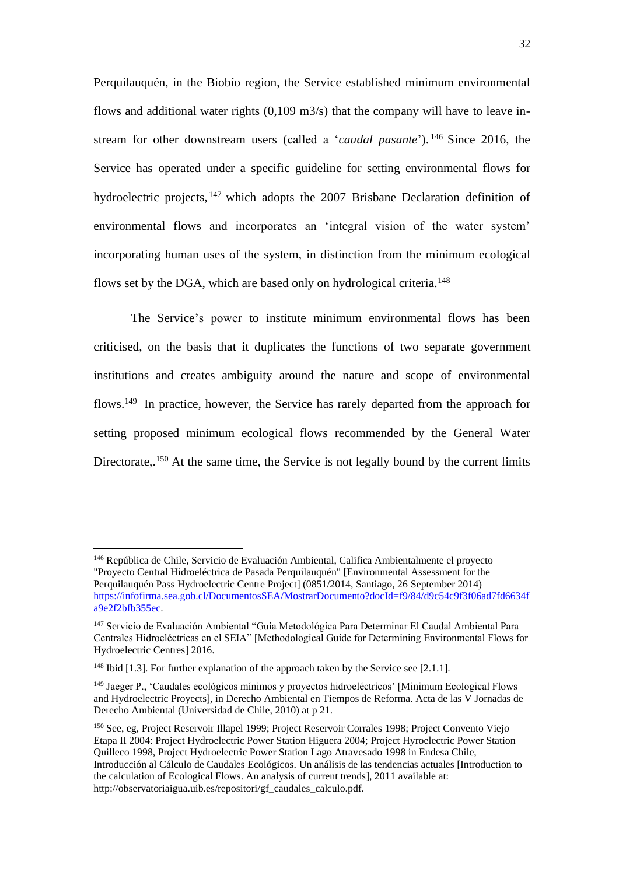Perquilauquén, in the Biobío region, the Service established minimum environmental flows and additional water rights (0,109 m3/s) that the company will have to leave instream for other downstream users (called a '*caudal pasante*'). <sup>146</sup> Since 2016, the Service has operated under a specific guideline for setting environmental flows for hydroelectric projects, <sup>147</sup> which adopts the 2007 Brisbane Declaration definition of environmental flows and incorporates an 'integral vision of the water system' incorporating human uses of the system, in distinction from the minimum ecological flows set by the DGA, which are based only on hydrological criteria.<sup>148</sup>

The Service's power to institute minimum environmental flows has been criticised, on the basis that it duplicates the functions of two separate government institutions and creates ambiguity around the nature and scope of environmental flows.<sup>149</sup> In practice, however, the Service has rarely departed from the approach for setting proposed minimum ecological flows recommended by the General Water Directorate,.<sup>150</sup> At the same time, the Service is not legally bound by the current limits

<sup>146</sup> República de Chile, Servicio de Evaluación Ambiental, Califica Ambientalmente el proyecto "Proyecto Central Hidroeléctrica de Pasada Perquilauquén" [Environmental Assessment for the Perquilauquén Pass Hydroelectric Centre Project] (0851/2014, Santiago, 26 September 2014) [https://infofirma.sea.gob.cl/DocumentosSEA/MostrarDocumento?docId=f9/84/d9c54c9f3f06ad7fd6634f](https://infofirma.sea.gob.cl/DocumentosSEA/MostrarDocumento?docId=f9/84/d9c54c9f3f06ad7fd6634fa9e2f2bfb355ec) [a9e2f2bfb355ec.](https://infofirma.sea.gob.cl/DocumentosSEA/MostrarDocumento?docId=f9/84/d9c54c9f3f06ad7fd6634fa9e2f2bfb355ec)

<sup>147</sup> Servicio de Evaluación Ambiental "Guía Metodológica Para Determinar El Caudal Ambiental Para Centrales Hidroeléctricas en el SEIA" [Methodological Guide for Determining Environmental Flows for Hydroelectric Centres] 2016.

<sup>&</sup>lt;sup>148</sup> Ibid [1.3]. For further explanation of the approach taken by the Service see [2.1.1].

<sup>149</sup> Jaeger P., 'Caudales ecológicos mínimos y proyectos hidroeléctricos' [Minimum Ecological Flows and Hydroelectric Proyects], in Derecho Ambiental en Tiempos de Reforma. Acta de las V Jornadas de Derecho Ambiental (Universidad de Chile, 2010) at p 21.

<sup>150</sup> See, eg, Project Reservoir Illapel 1999; Project Reservoir Corrales 1998; Project Convento Viejo Etapa II 2004: Project Hydroelectric Power Station Higuera 2004; Project Hyroelectric Power Station Quilleco 1998, Project Hydroelectric Power Station Lago Atravesado 1998 in Endesa Chile, Introducción al Cálculo de Caudales Ecológicos. Un análisis de las tendencias actuales [Introduction to the calculation of Ecological Flows. An analysis of current trends], 2011 available at: http://observatoriaigua.uib.es/repositori/gf\_caudales\_calculo.pdf.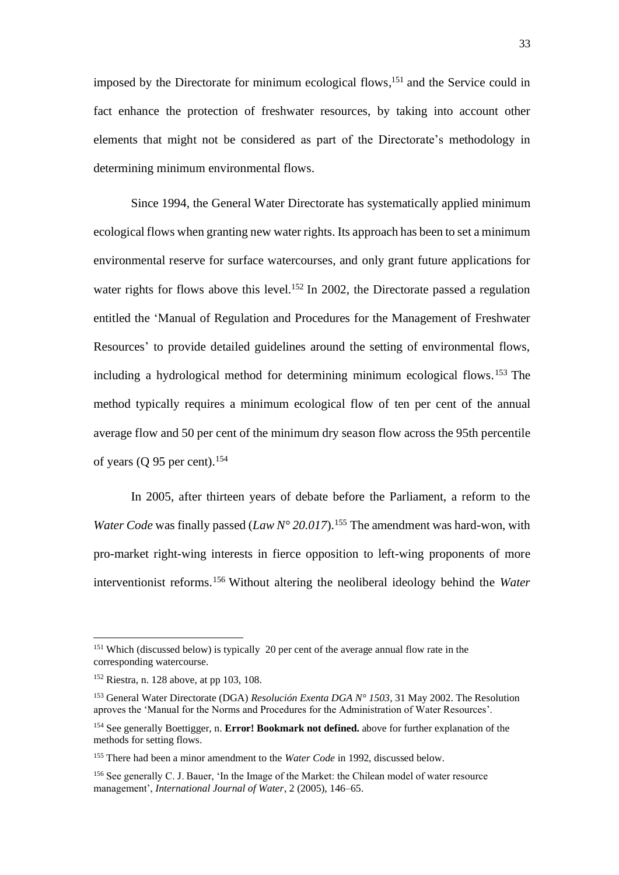imposed by the Directorate for minimum ecological flows, <sup>151</sup> and the Service could in fact enhance the protection of freshwater resources, by taking into account other elements that might not be considered as part of the Directorate's methodology in determining minimum environmental flows.

Since 1994, the General Water Directorate has systematically applied minimum ecological flows when granting new water rights. Its approach has been to set a minimum environmental reserve for surface watercourses, and only grant future applications for water rights for flows above this level.<sup>152</sup> In 2002, the Directorate passed a regulation entitled the 'Manual of Regulation and Procedures for the Management of Freshwater Resources' to provide detailed guidelines around the setting of environmental flows, including a hydrological method for determining minimum ecological flows. <sup>153</sup> The method typically requires a minimum ecological flow of ten per cent of the annual average flow and 50 per cent of the minimum dry season flow across the 95th percentile of years (Q 95 per cent). 154

In 2005, after thirteen years of debate before the Parliament, a reform to the *Water Code* was finally passed (*Law N° 20.017*).<sup>155</sup> The amendment was hard-won, with pro-market right-wing interests in fierce opposition to left-wing proponents of more interventionist reforms.<sup>156</sup> Without altering the neoliberal ideology behind the *Water* 

<sup>&</sup>lt;sup>151</sup> Which (discussed below) is typically 20 per cent of the average annual flow rate in the corresponding watercourse.

<sup>152</sup> Riestra, n[. 128](#page-26-0) above, at pp 103, 108.

<sup>153</sup> General Water Directorate (DGA) *Resolución Exenta DGA N° 1503*, 31 May 2002. The Resolution aproves the 'Manual for the Norms and Procedures for the Administration of Water Resources'.

<sup>154</sup> See generally Boettigger, n. **Error! Bookmark not defined.** above for further explanation of the methods for setting flows.

<sup>155</sup> There had been a minor amendment to the *Water Code* in 1992, discussed below.

<sup>156</sup> See generally C. J. Bauer, 'In the Image of the Market: the Chilean model of water resource management', *International Journal of Water*, 2 (2005), 146–65.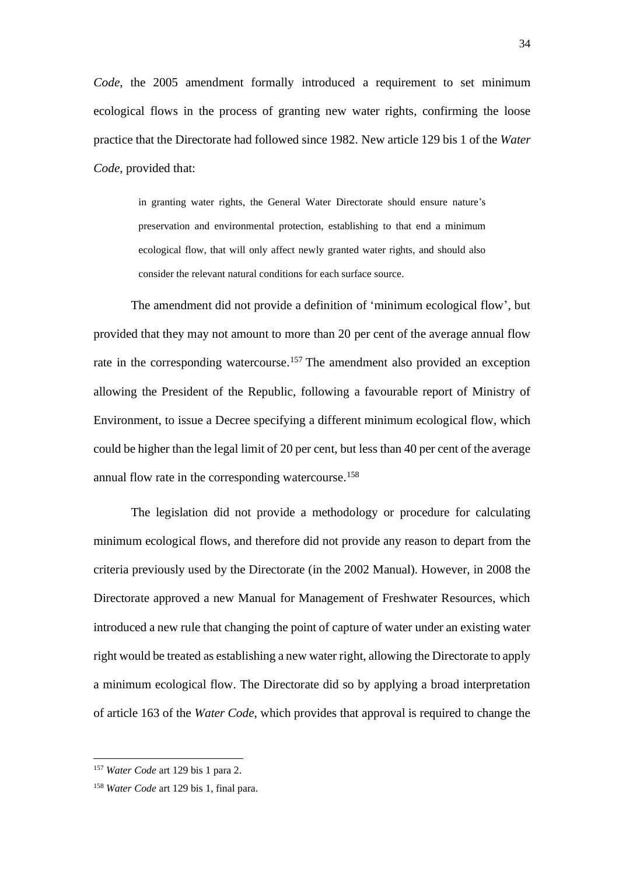*Code*, the 2005 amendment formally introduced a requirement to set minimum ecological flows in the process of granting new water rights, confirming the loose practice that the Directorate had followed since 1982. New article 129 bis 1 of the *Water Code*, provided that:

> in granting water rights, the General Water Directorate should ensure nature's preservation and environmental protection, establishing to that end a minimum ecological flow, that will only affect newly granted water rights, and should also consider the relevant natural conditions for each surface source.

The amendment did not provide a definition of 'minimum ecological flow', but provided that they may not amount to more than 20 per cent of the average annual flow rate in the corresponding watercourse.<sup>157</sup> The amendment also provided an exception allowing the President of the Republic, following a favourable report of Ministry of Environment, to issue a Decree specifying a different minimum ecological flow, which could be higher than the legal limit of 20 per cent, but less than 40 per cent of the average annual flow rate in the corresponding watercourse. 158

The legislation did not provide a methodology or procedure for calculating minimum ecological flows, and therefore did not provide any reason to depart from the criteria previously used by the Directorate (in the 2002 Manual). However, in 2008 the Directorate approved a new Manual for Management of Freshwater Resources, which introduced a new rule that changing the point of capture of water under an existing water right would be treated as establishing a new water right, allowing the Directorate to apply a minimum ecological flow. The Directorate did so by applying a broad interpretation of article 163 of the *Water Code*, which provides that approval is required to change the

<sup>157</sup> *Water Code* art 129 bis 1 para 2.

<sup>158</sup> *Water Code* art 129 bis 1, final para.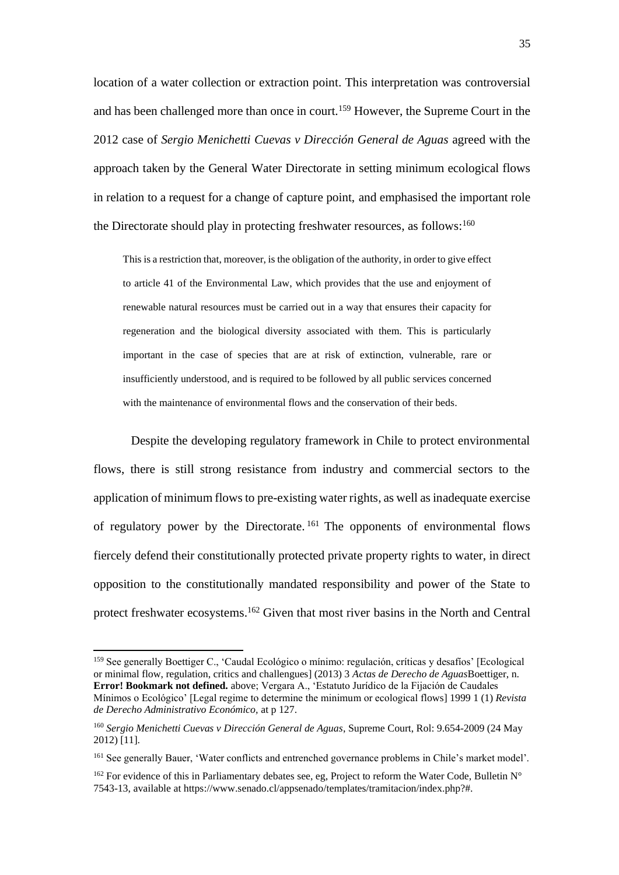location of a water collection or extraction point. This interpretation was controversial and has been challenged more than once in court. <sup>159</sup> However, the Supreme Court in the 2012 case of *Sergio Menichetti Cuevas v Dirección General de Aguas* agreed with the approach taken by the General Water Directorate in setting minimum ecological flows in relation to a request for a change of capture point, and emphasised the important role the Directorate should play in protecting freshwater resources, as follows:<sup>160</sup>

This is a restriction that, moreover, is the obligation of the authority, in order to give effect to article 41 of the Environmental Law, which provides that the use and enjoyment of renewable natural resources must be carried out in a way that ensures their capacity for regeneration and the biological diversity associated with them. This is particularly important in the case of species that are at risk of extinction, vulnerable, rare or insufficiently understood, and is required to be followed by all public services concerned with the maintenance of environmental flows and the conservation of their beds.

Despite the developing regulatory framework in Chile to protect environmental flows, there is still strong resistance from industry and commercial sectors to the application of minimum flows to pre-existing water rights, as well as inadequate exercise of regulatory power by the Directorate.<sup>161</sup> The opponents of environmental flows fiercely defend their constitutionally protected private property rights to water, in direct opposition to the constitutionally mandated responsibility and power of the State to protect freshwater ecosystems.<sup>162</sup> Given that most river basins in the North and Central

<sup>159</sup> See generally Boettiger C., 'Caudal Ecológico o mínimo: regulación, críticas y desafíos' [Ecological or minimal flow, regulation, critics and challengues] (2013) 3 *Actas de Derecho de Aguas*Boettiger, n. **Error! Bookmark not defined.** above; Vergara A., 'Estatuto Jurídico de la Fijación de Caudales Mínimos o Ecológico' [Legal regime to determine the minimum or ecological flows] 1999 1 (1) *Revista de Derecho Administrativo Económico,* at p 127.

<sup>160</sup> *Sergio Menichetti Cuevas v Dirección General de Aguas*, Supreme Court, Rol: 9.654-2009 (24 May 2012) [11].

<sup>161</sup> See generally Bauer, 'Water conflicts and entrenched governance problems in Chile's market model'.

<sup>&</sup>lt;sup>162</sup> For evidence of this in Parliamentary debates see, eg, Project to reform the Water Code, Bulletin N° 7543-13, available at https://www.senado.cl/appsenado/templates/tramitacion/index.php?#.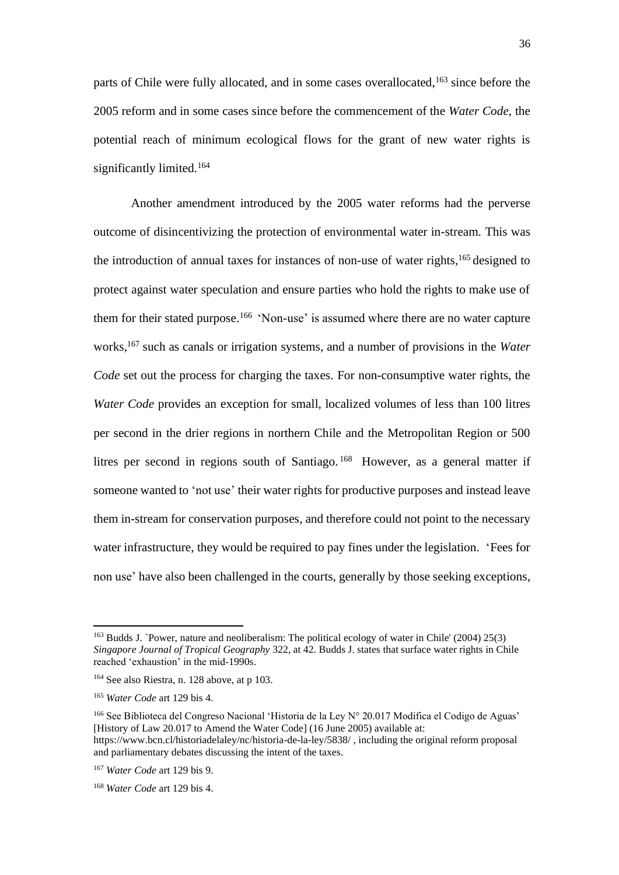parts of Chile were fully allocated, and in some cases overallocated, <sup>163</sup> since before the 2005 reform and in some cases since before the commencement of the *Water Code*, the potential reach of minimum ecological flows for the grant of new water rights is significantly limited.<sup>164</sup>

Another amendment introduced by the 2005 water reforms had the perverse outcome of disincentivizing the protection of environmental water in-stream. This was the introduction of annual taxes for instances of non-use of water rights, <sup>165</sup> designed to protect against water speculation and ensure parties who hold the rights to make use of them for their stated purpose. <sup>166</sup> 'Non-use' is assumed where there are no water capture works,<sup>167</sup> such as canals or irrigation systems, and a number of provisions in the *Water Code* set out the process for charging the taxes. For non-consumptive water rights, the *Water Code* provides an exception for small, localized volumes of less than 100 litres per second in the drier regions in northern Chile and the Metropolitan Region or 500 litres per second in regions south of Santiago.<sup>168</sup> However, as a general matter if someone wanted to 'not use' their water rights for productive purposes and instead leave them in-stream for conservation purposes, and therefore could not point to the necessary water infrastructure, they would be required to pay fines under the legislation. 'Fees for non use' have also been challenged in the courts, generally by those seeking exceptions,

<sup>166</sup> See Biblioteca del Congreso Nacional 'Historia de la Ley  $N^{\circ}$  20.017 Modifica el Codigo de Aguas' [History of Law 20.017 to Amend the Water Code] (16 June 2005) available at: https://www.bcn.cl/historiadelaley/nc/historia-de-la-ley/5838/ , including the original reform proposal and parliamentary debates discussing the intent of the taxes.

<sup>&</sup>lt;sup>163</sup> Budds J. `Power, nature and neoliberalism: The political ecology of water in Chile' (2004) 25(3) *Singapore Journal of Tropical Geography* 322, at 42. Budds J. states that surface water rights in Chile reached 'exhaustion' in the mid-1990s.

<sup>164</sup> See also Riestra, n. [128](#page-26-0) above, at p 103.

<sup>165</sup> *Water Code* art 129 bis 4.

<sup>167</sup> *Water Code* art 129 bis 9.

<sup>168</sup> *Water Code* art 129 bis 4.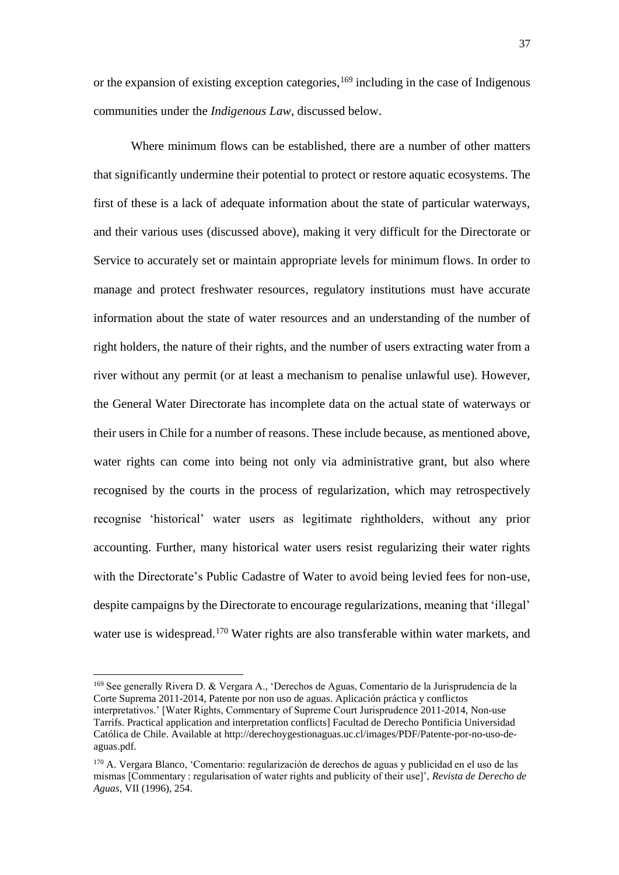or the expansion of existing exception categories, <sup>169</sup> including in the case of Indigenous communities under the *Indigenous Law*, discussed below.

Where minimum flows can be established, there are a number of other matters that significantly undermine their potential to protect or restore aquatic ecosystems. The first of these is a lack of adequate information about the state of particular waterways, and their various uses (discussed above), making it very difficult for the Directorate or Service to accurately set or maintain appropriate levels for minimum flows. In order to manage and protect freshwater resources, regulatory institutions must have accurate information about the state of water resources and an understanding of the number of right holders, the nature of their rights, and the number of users extracting water from a river without any permit (or at least a mechanism to penalise unlawful use). However, the General Water Directorate has incomplete data on the actual state of waterways or their users in Chile for a number of reasons. These include because, as mentioned above, water rights can come into being not only via administrative grant, but also where recognised by the courts in the process of regularization, which may retrospectively recognise 'historical' water users as legitimate rightholders, without any prior accounting. Further, many historical water users resist regularizing their water rights with the Directorate's Public Cadastre of Water to avoid being levied fees for non-use, despite campaigns by the Directorate to encourage regularizations, meaning that 'illegal' water use is widespread.<sup>170</sup> Water rights are also transferable within water markets, and

<sup>169</sup> See generally Rivera D. & Vergara A., 'Derechos de Aguas, Comentario de la Jurisprudencia de la Corte Suprema 2011-2014, Patente por non uso de aguas. Aplicación práctica y conflictos interpretativos.' [Water Rights, Commentary of Supreme Court Jurisprudence 2011-2014, Non-use Tarrifs. Practical application and interpretation conflicts] Facultad de Derecho Pontificia Universidad Católica de Chile. Available at http://derechoygestionaguas.uc.cl/images/PDF/Patente-por-no-uso-deaguas.pdf.

<sup>170</sup> A. Vergara Blanco, 'Comentario: regularización de derechos de aguas y publicidad en el uso de las mismas [Commentary : regularisation of water rights and publicity of their use]', *Revista de Derecho de Aguas*, VII (1996), 254.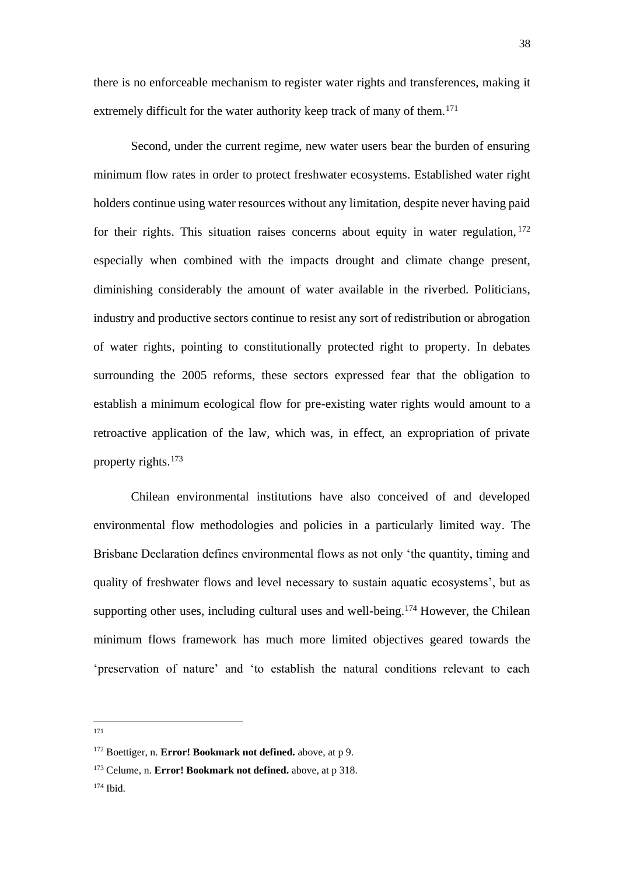there is no enforceable mechanism to register water rights and transferences, making it extremely difficult for the water authority keep track of many of them.<sup>171</sup>

Second, under the current regime, new water users bear the burden of ensuring minimum flow rates in order to protect freshwater ecosystems. Established water right holders continue using water resources without any limitation, despite never having paid for their rights. This situation raises concerns about equity in water regulation, 172 especially when combined with the impacts drought and climate change present, diminishing considerably the amount of water available in the riverbed. Politicians, industry and productive sectors continue to resist any sort of redistribution or abrogation of water rights, pointing to constitutionally protected right to property. In debates surrounding the 2005 reforms, these sectors expressed fear that the obligation to establish a minimum ecological flow for pre-existing water rights would amount to a retroactive application of the law, which was, in effect, an expropriation of private property rights.<sup>173</sup>

Chilean environmental institutions have also conceived of and developed environmental flow methodologies and policies in a particularly limited way. The Brisbane Declaration defines environmental flows as not only 'the quantity, timing and quality of freshwater flows and level necessary to sustain aquatic ecosystems', but as supporting other uses, including cultural uses and well-being.<sup>174</sup> However, the Chilean minimum flows framework has much more limited objectives geared towards the 'preservation of nature' and 'to establish the natural conditions relevant to each

171

<sup>174</sup> Ibid.

<sup>172</sup> Boettiger, n. **Error! Bookmark not defined.** above, at p 9.

<sup>173</sup> Celume, n. **Error! Bookmark not defined.** above, at p 318.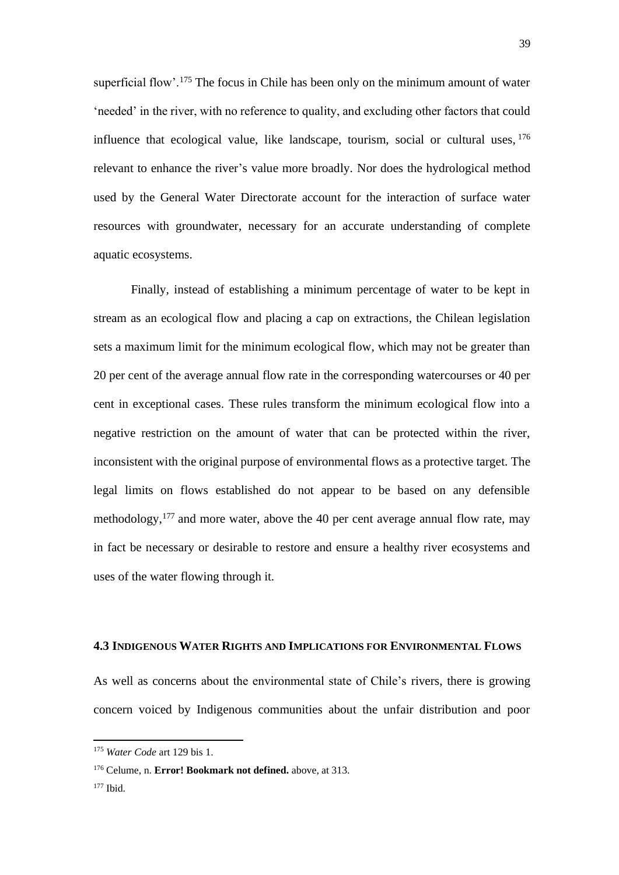superficial flow'.<sup>175</sup> The focus in Chile has been only on the minimum amount of water 'needed' in the river, with no reference to quality, and excluding other factors that could influence that ecological value, like landscape, tourism, social or cultural uses, <sup>176</sup> relevant to enhance the river's value more broadly. Nor does the hydrological method used by the General Water Directorate account for the interaction of surface water resources with groundwater, necessary for an accurate understanding of complete aquatic ecosystems.

Finally, instead of establishing a minimum percentage of water to be kept in stream as an ecological flow and placing a cap on extractions, the Chilean legislation sets a maximum limit for the minimum ecological flow, which may not be greater than 20 per cent of the average annual flow rate in the corresponding watercourses or 40 per cent in exceptional cases. These rules transform the minimum ecological flow into a negative restriction on the amount of water that can be protected within the river, inconsistent with the original purpose of environmental flows as a protective target. The legal limits on flows established do not appear to be based on any defensible methodology,  $177$  and more water, above the 40 per cent average annual flow rate, may in fact be necessary or desirable to restore and ensure a healthy river ecosystems and uses of the water flowing through it.

# **4.3 INDIGENOUS WATER RIGHTS AND IMPLICATIONS FOR ENVIRONMENTAL FLOWS**

As well as concerns about the environmental state of Chile's rivers, there is growing concern voiced by Indigenous communities about the unfair distribution and poor

<sup>175</sup> *Water Code* art 129 bis 1.

<sup>176</sup> Celume, n. **Error! Bookmark not defined.** above, at 313.

<sup>177</sup> Ibid.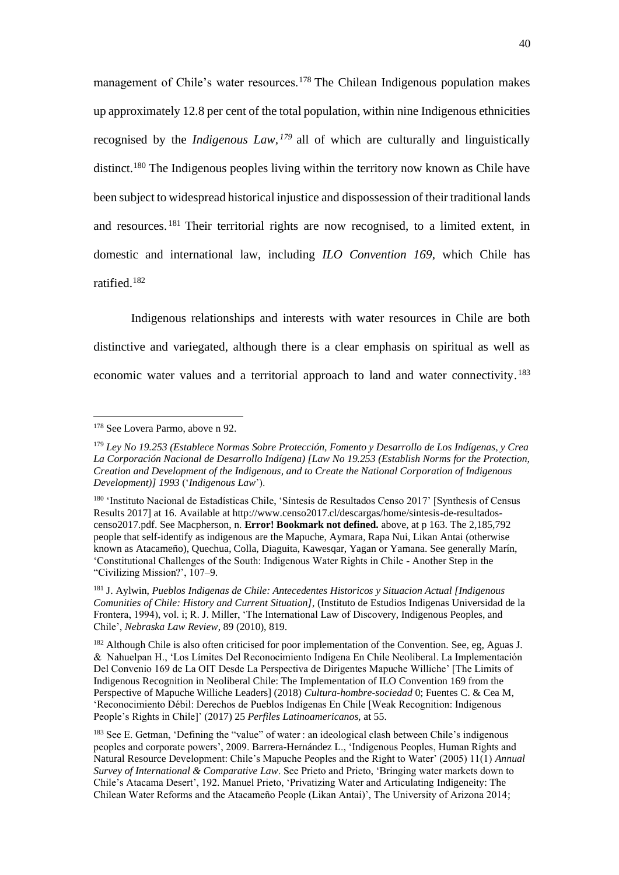management of Chile's water resources.<sup>178</sup> The Chilean Indigenous population makes up approximately 12.8 per cent of the total population, within nine Indigenous ethnicities recognised by the *Indigenous Law, <sup>179</sup>* all of which are culturally and linguistically distinct.<sup>180</sup> The Indigenous peoples living within the territory now known as Chile have been subject to widespread historical injustice and dispossession of their traditional lands and resources. <sup>181</sup> Their territorial rights are now recognised, to a limited extent, in domestic and international law, including *ILO Convention 169,* which Chile has ratified.<sup>182</sup>

Indigenous relationships and interests with water resources in Chile are both distinctive and variegated, although there is a clear emphasis on spiritual as well as economic water values and a territorial approach to land and water connectivity.<sup>183</sup>

<sup>178</sup> See Lovera Parmo, above n [92.](#page-19-0)

<sup>179</sup> *Ley No 19.253 (Establece Normas Sobre Protección, Fomento y Desarrollo de Los Indígenas, y Crea La Corporación Nacional de Desarrollo Indígena) [Law No 19.253 (Establish Norms for the Protection, Creation and Development of the Indigenous, and to Create the National Corporation of Indigenous Development)] 1993* ('*Indigenous Law*').

<sup>&</sup>lt;sup>180</sup> 'Instituto Nacional de Estadísticas Chile, 'Síntesis de Resultados Censo 2017' [Synthesis of Census Results 2017] at 16. Available at http://www.censo2017.cl/descargas/home/sintesis-de-resultadoscenso2017.pdf. See Macpherson, n. **Error! Bookmark not defined.** above, at p 163. The 2,185,792 people that self-identify as indigenous are the Mapuche, Aymara, Rapa Nui, Likan Antai (otherwise known as Atacameño), Quechua, Colla, Diaguita, Kawesqar, Yagan or Yamana. See generally Marín, 'Constitutional Challenges of the South: Indigenous Water Rights in Chile - Another Step in the "Civilizing Mission?', 107–9.

<sup>181</sup> J. Aylwin, *Pueblos Indigenas de Chile: Antecedentes Historicos y Situacion Actual [Indigenous Comunities of Chile: History and Current Situation]*, (Instituto de Estudios Indigenas Universidad de la Frontera, 1994), vol. i; R. J. Miller, 'The International Law of Discovery, Indigenous Peoples, and Chile', *Nebraska Law Review*, 89 (2010), 819.

<sup>&</sup>lt;sup>182</sup> Although Chile is also often criticised for poor implementation of the Convention. See, eg, Aguas J. & Nahuelpan H., 'Los Límites Del Reconocimiento Indígena En Chile Neoliberal. La Implementación Del Convenio 169 de La OIT Desde La Perspectiva de Dirigentes Mapuche Williche' [The Limits of Indigenous Recognition in Neoliberal Chile: The Implementation of ILO Convention 169 from the Perspective of Mapuche Williche Leaders] (2018) *Cultura-hombre-sociedad* 0; Fuentes C. & Cea M, 'Reconocimiento Débil: Derechos de Pueblos Indígenas En Chile [Weak Recognition: Indigenous People's Rights in Chile]' (2017) 25 *Perfiles Latinoamericanos,* at 55.

<sup>&</sup>lt;sup>183</sup> See E. Getman, 'Defining the "value" of water : an ideological clash between Chile's indigenous peoples and corporate powers', 2009. Barrera-Hernández L., 'Indigenous Peoples, Human Rights and Natural Resource Development: Chile's Mapuche Peoples and the Right to Water' (2005) 11(1) *Annual Survey of International & Comparative Law*. See Prieto and Prieto, 'Bringing water markets down to Chile's Atacama Desert', 192. Manuel Prieto, 'Privatizing Water and Articulating Indigeneity: The Chilean Water Reforms and the Atacameño People (Likan Antai)', The University of Arizona 2014;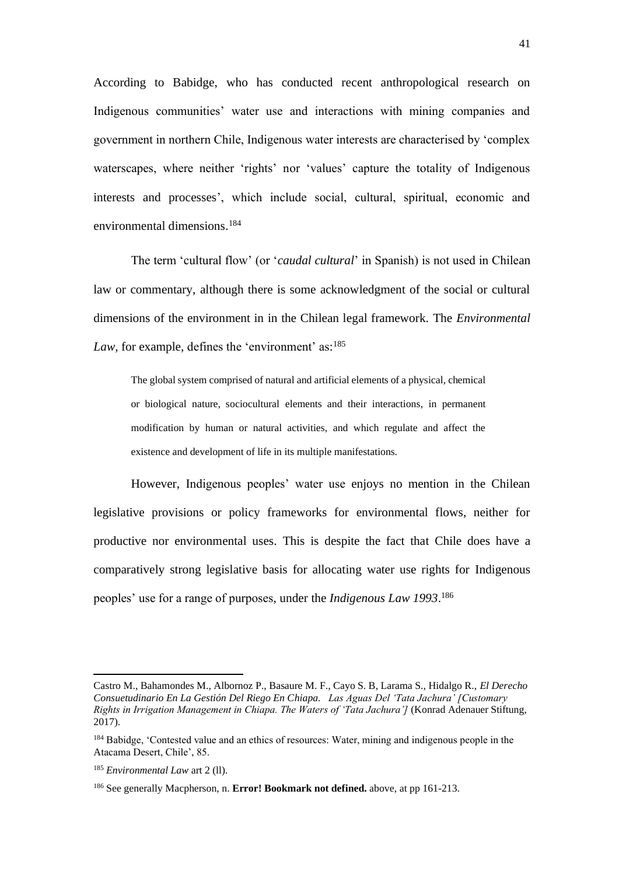According to Babidge, who has conducted recent anthropological research on Indigenous communities' water use and interactions with mining companies and government in northern Chile, Indigenous water interests are characterised by 'complex waterscapes, where neither 'rights' nor 'values' capture the totality of Indigenous interests and processes', which include social, cultural, spiritual, economic and environmental dimensions. 184

The term 'cultural flow' (or '*caudal cultural*' in Spanish) is not used in Chilean law or commentary, although there is some acknowledgment of the social or cultural dimensions of the environment in in the Chilean legal framework. The *Environmental*  Law, for example, defines the 'environment' as:<sup>185</sup>

The global system comprised of natural and artificial elements of a physical, chemical or biological nature, sociocultural elements and their interactions, in permanent modification by human or natural activities, and which regulate and affect the existence and development of life in its multiple manifestations.

However, Indigenous peoples' water use enjoys no mention in the Chilean legislative provisions or policy frameworks for environmental flows, neither for productive nor environmental uses. This is despite the fact that Chile does have a comparatively strong legislative basis for allocating water use rights for Indigenous peoples' use for a range of purposes, under the *Indigenous Law 1993*. 186

Castro M., Bahamondes M., Albornoz P., Basaure M. F., Cayo S. B, Larama S., Hidalgo R., *El Derecho Consuetudinario En La Gestión Del Riego En Chiapa. Las Aguas Del 'Tata Jachura' [Customary Rights in Irrigation Management in Chiapa. The Waters of 'Tata Jachura']* (Konrad Adenauer Stiftung, 2017).

<sup>&</sup>lt;sup>184</sup> Babidge, 'Contested value and an ethics of resources: Water, mining and indigenous people in the Atacama Desert, Chile', 85.

<sup>185</sup> *Environmental Law* art 2 (ll).

<sup>186</sup> See generally Macpherson, n. **Error! Bookmark not defined.** above, at pp 161-213.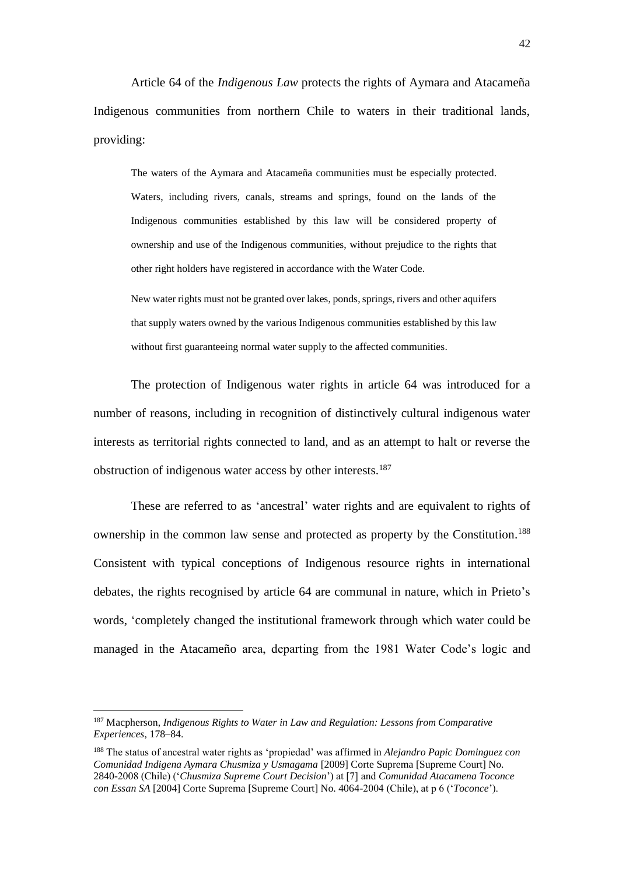Article 64 of the *Indigenous Law* protects the rights of Aymara and Atacameña Indigenous communities from northern Chile to waters in their traditional lands, providing:

The waters of the Aymara and Atacameña communities must be especially protected. Waters, including rivers, canals, streams and springs, found on the lands of the Indigenous communities established by this law will be considered property of ownership and use of the Indigenous communities, without prejudice to the rights that other right holders have registered in accordance with the Water Code.

New water rights must not be granted over lakes, ponds, springs, rivers and other aquifers that supply waters owned by the various Indigenous communities established by this law without first guaranteeing normal water supply to the affected communities.

The protection of Indigenous water rights in article 64 was introduced for a number of reasons, including in recognition of distinctively cultural indigenous water interests as territorial rights connected to land, and as an attempt to halt or reverse the obstruction of indigenous water access by other interests.<sup>187</sup>

These are referred to as 'ancestral' water rights and are equivalent to rights of ownership in the common law sense and protected as property by the Constitution. 188 Consistent with typical conceptions of Indigenous resource rights in international debates, the rights recognised by article 64 are communal in nature, which in Prieto's words, 'completely changed the institutional framework through which water could be managed in the Atacameño area, departing from the 1981 Water Code's logic and

<sup>187</sup> Macpherson, *Indigenous Rights to Water in Law and Regulation: Lessons from Comparative Experiences*, 178–84.

<sup>188</sup> The status of ancestral water rights as 'propiedad' was affirmed in *Alejandro Papic Dominguez con Comunidad Indigena Aymara Chusmiza y Usmagama* [2009] Corte Suprema [Supreme Court] No. 2840-2008 (Chile) ('*Chusmiza Supreme Court Decision*') at [7] and *Comunidad Atacamena Toconce con Essan SA* [2004] Corte Suprema [Supreme Court] No. 4064-2004 (Chile), at p 6 ('*Toconce*').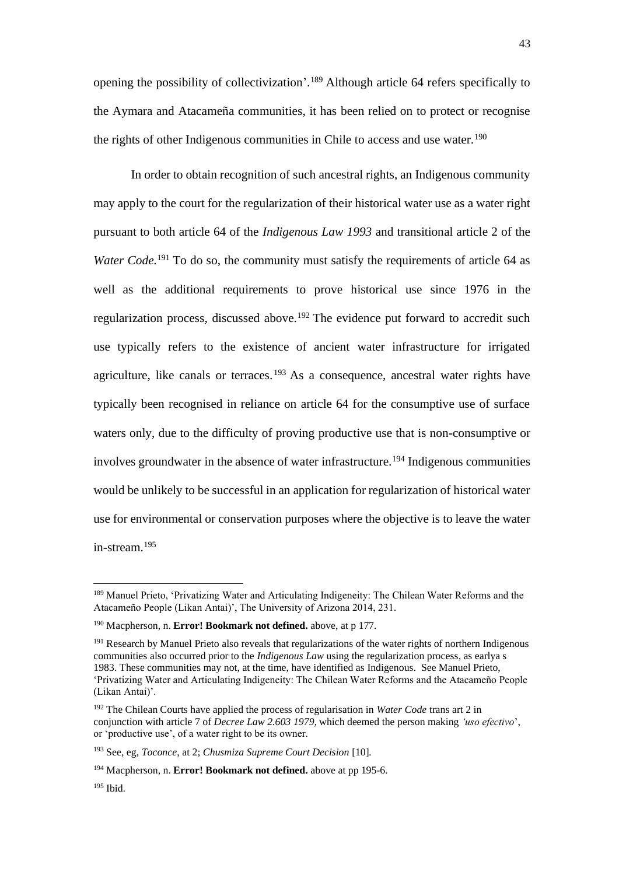opening the possibility of collectivization'.<sup>189</sup> Although article 64 refers specifically to the Aymara and Atacameña communities, it has been relied on to protect or recognise the rights of other Indigenous communities in Chile to access and use water.<sup>190</sup>

In order to obtain recognition of such ancestral rights, an Indigenous community may apply to the court for the regularization of their historical water use as a water right pursuant to both article 64 of the *Indigenous Law 1993* and transitional article 2 of the *Water Code*.<sup>191</sup> To do so, the community must satisfy the requirements of article 64 as well as the additional requirements to prove historical use since 1976 in the regularization process, discussed above.<sup>192</sup> The evidence put forward to accredit such use typically refers to the existence of ancient water infrastructure for irrigated agriculture, like canals or terraces.<sup>193</sup> As a consequence, ancestral water rights have typically been recognised in reliance on article 64 for the consumptive use of surface waters only, due to the difficulty of proving productive use that is non-consumptive or involves groundwater in the absence of water infrastructure.<sup>194</sup> Indigenous communities would be unlikely to be successful in an application for regularization of historical water use for environmental or conservation purposes where the objective is to leave the water in-stream.<sup>195</sup>

<sup>189</sup> Manuel Prieto, 'Privatizing Water and Articulating Indigeneity: The Chilean Water Reforms and the Atacameño People (Likan Antai)', The University of Arizona 2014, 231.

<sup>190</sup> Macpherson, n. **Error! Bookmark not defined.** above, at p 177.

<sup>&</sup>lt;sup>191</sup> Research by Manuel Prieto also reveals that regularizations of the water rights of northern Indigenous communities also occurred prior to the *Indigenous Law* using the regularization process, as earlya s 1983. These communities may not, at the time, have identified as Indigenous. See Manuel Prieto, 'Privatizing Water and Articulating Indigeneity: The Chilean Water Reforms and the Atacameño People (Likan Antai)'.

<sup>192</sup> The Chilean Courts have applied the process of regularisation in *Water Code* trans art 2 in conjunction with article 7 of *Decree Law 2.603 1979,* which deemed the person making *'uso efectivo*', or 'productive use', of a water right to be its owner.

<sup>193</sup> See, eg, *Toconce,* at 2; *Chusmiza Supreme Court Decision* [10]*.* 

<sup>194</sup> Macpherson, n. **Error! Bookmark not defined.** above at pp 195-6.

 $195$  Ibid.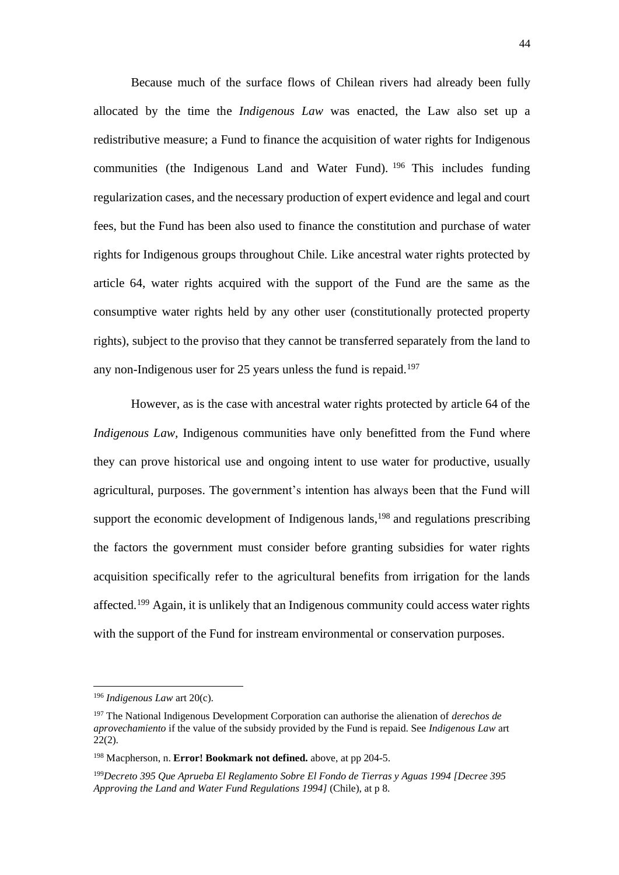Because much of the surface flows of Chilean rivers had already been fully allocated by the time the *Indigenous Law* was enacted, the Law also set up a redistributive measure; a Fund to finance the acquisition of water rights for Indigenous communities (the Indigenous Land and Water Fund). <sup>196</sup> This includes funding regularization cases, and the necessary production of expert evidence and legal and court fees, but the Fund has been also used to finance the constitution and purchase of water rights for Indigenous groups throughout Chile. Like ancestral water rights protected by article 64, water rights acquired with the support of the Fund are the same as the consumptive water rights held by any other user (constitutionally protected property rights), subject to the proviso that they cannot be transferred separately from the land to any non-Indigenous user for 25 years unless the fund is repaid.<sup>197</sup>

However, as is the case with ancestral water rights protected by article 64 of the *Indigenous Law,* Indigenous communities have only benefitted from the Fund where they can prove historical use and ongoing intent to use water for productive, usually agricultural, purposes. The government's intention has always been that the Fund will support the economic development of Indigenous lands, $198$  and regulations prescribing the factors the government must consider before granting subsidies for water rights acquisition specifically refer to the agricultural benefits from irrigation for the lands affected.<sup>199</sup> Again, it is unlikely that an Indigenous community could access water rights with the support of the Fund for instream environmental or conservation purposes.

<sup>196</sup> *Indigenous Law* art 20(c).

<sup>197</sup> The National Indigenous Development Corporation can authorise the alienation of *derechos de aprovechamiento* if the value of the subsidy provided by the Fund is repaid. See *Indigenous Law* art  $22(2)$ .

<sup>198</sup> Macpherson, n. **Error! Bookmark not defined.** above, at pp 204-5.

<sup>199</sup>*Decreto 395 Que Aprueba El Reglamento Sobre El Fondo de Tierras y Aguas 1994 [Decree 395 Approving the Land and Water Fund Regulations 1994]* (Chile), at p 8.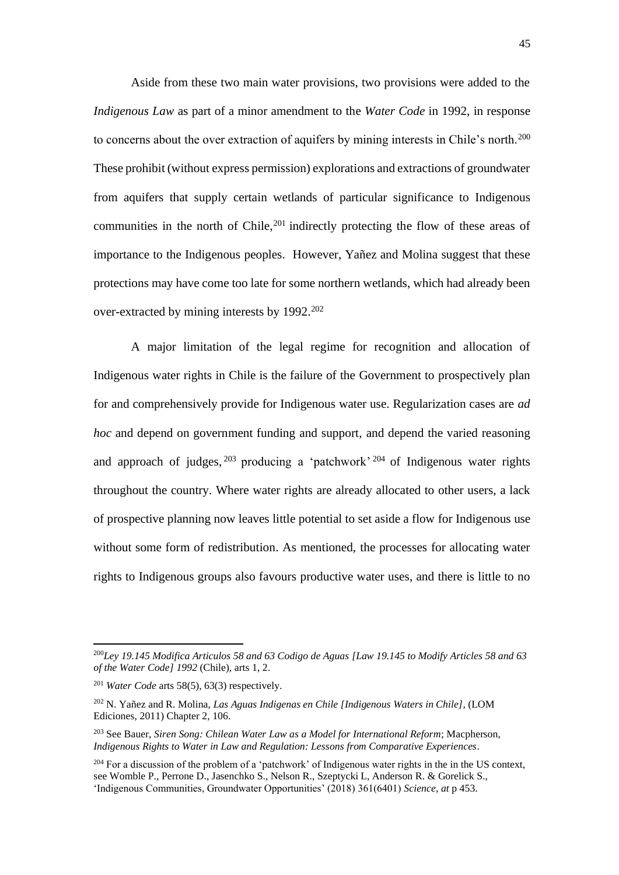Aside from these two main water provisions, two provisions were added to the *Indigenous Law* as part of a minor amendment to the *Water Code* in 1992, in response to concerns about the over extraction of aquifers by mining interests in Chile's north.<sup>200</sup> These prohibit (without express permission) explorations and extractions of groundwater from aquifers that supply certain wetlands of particular significance to Indigenous communities in the north of Chile,<sup>201</sup> indirectly protecting the flow of these areas of importance to the Indigenous peoples. However, Yañez and Molina suggest that these protections may have come too late for some northern wetlands, which had already been over-extracted by mining interests by 1992.<sup>202</sup>

A major limitation of the legal regime for recognition and allocation of Indigenous water rights in Chile is the failure of the Government to prospectively plan for and comprehensively provide for Indigenous water use. Regularization cases are *ad hoc* and depend on government funding and support, and depend the varied reasoning and approach of judges,  $203$  producing a 'patchwork'  $204$  of Indigenous water rights throughout the country. Where water rights are already allocated to other users, a lack of prospective planning now leaves little potential to set aside a flow for Indigenous use without some form of redistribution. As mentioned, the processes for allocating water rights to Indigenous groups also favours productive water uses, and there is little to no

<sup>200</sup>*Ley 19.145 Modifica Articulos 58 and 63 Codigo de Aguas [Law 19.145 to Modify Articles 58 and 63 of the Water Code] 1992* (Chile), arts 1, 2.

<sup>201</sup> *Water Code* arts 58(5), 63(3) respectively.

<sup>202</sup> N. Yañez and R. Molina, *Las Aguas Indigenas en Chile [Indigenous Waters in Chile]*, (LOM Ediciones, 2011) Chapter 2, 106.

<sup>203</sup> See Bauer, *Siren Song: Chilean Water Law as a Model for International Reform*; Macpherson, *Indigenous Rights to Water in Law and Regulation: Lessons from Comparative Experiences*.

<sup>&</sup>lt;sup>204</sup> For a discussion of the problem of a 'patchwork' of Indigenous water rights in the in the US context, see Womble P., Perrone D., Jasenchko S., Nelson R., Szeptycki L, Anderson R. & Gorelick S., 'Indigenous Communities, Groundwater Opportunities' (2018) 361(6401) *Science, at* p 453.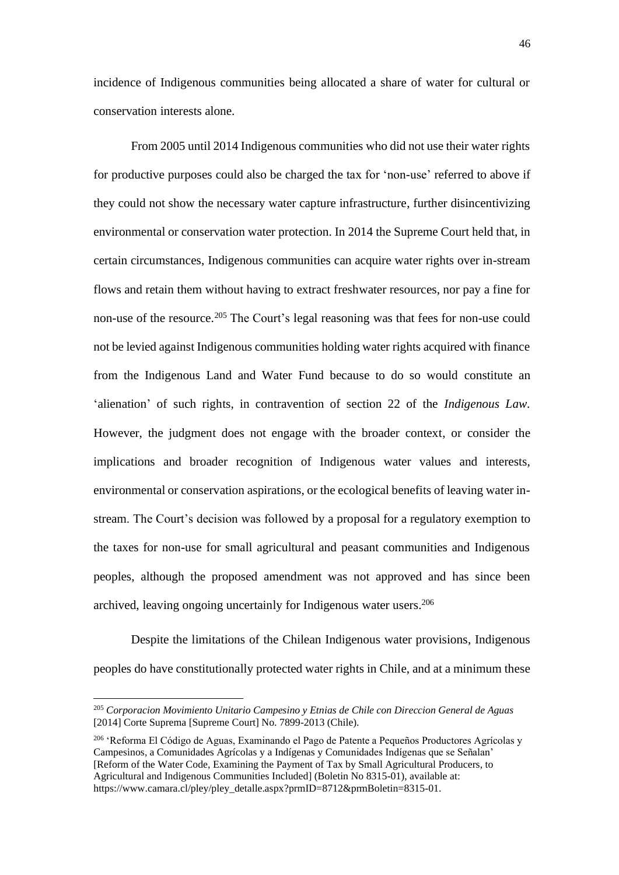incidence of Indigenous communities being allocated a share of water for cultural or conservation interests alone.

From 2005 until 2014 Indigenous communities who did not use their water rights for productive purposes could also be charged the tax for 'non-use' referred to above if they could not show the necessary water capture infrastructure, further disincentivizing environmental or conservation water protection. In 2014 the Supreme Court held that, in certain circumstances, Indigenous communities can acquire water rights over in-stream flows and retain them without having to extract freshwater resources, nor pay a fine for non-use of the resource.<sup>205</sup> The Court's legal reasoning was that fees for non-use could not be levied against Indigenous communities holding water rights acquired with finance from the Indigenous Land and Water Fund because to do so would constitute an 'alienation' of such rights, in contravention of section 22 of the *Indigenous Law.*  However, the judgment does not engage with the broader context, or consider the implications and broader recognition of Indigenous water values and interests, environmental or conservation aspirations, or the ecological benefits of leaving water instream. The Court's decision was followed by a proposal for a regulatory exemption to the taxes for non-use for small agricultural and peasant communities and Indigenous peoples, although the proposed amendment was not approved and has since been archived, leaving ongoing uncertainly for Indigenous water users.<sup>206</sup>

Despite the limitations of the Chilean Indigenous water provisions, Indigenous peoples do have constitutionally protected water rights in Chile, and at a minimum these

<sup>205</sup> *Corporacion Movimiento Unitario Campesino y Etnias de Chile con Direccion General de Aguas* [2014] Corte Suprema [Supreme Court] No. 7899-2013 (Chile).

<sup>206</sup> 'Reforma El Código de Aguas, Examinando el Pago de Patente a Pequeños Productores Agrícolas y Campesinos, a Comunidades Agrícolas y a Indígenas y Comunidades Indígenas que se Señalan' [Reform of the Water Code, Examining the Payment of Tax by Small Agricultural Producers, to Agricultural and Indigenous Communities Included] (Boletin No 8315-01), available at: https://www.camara.cl/pley/pley\_detalle.aspx?prmID=8712&prmBoletin=8315-01.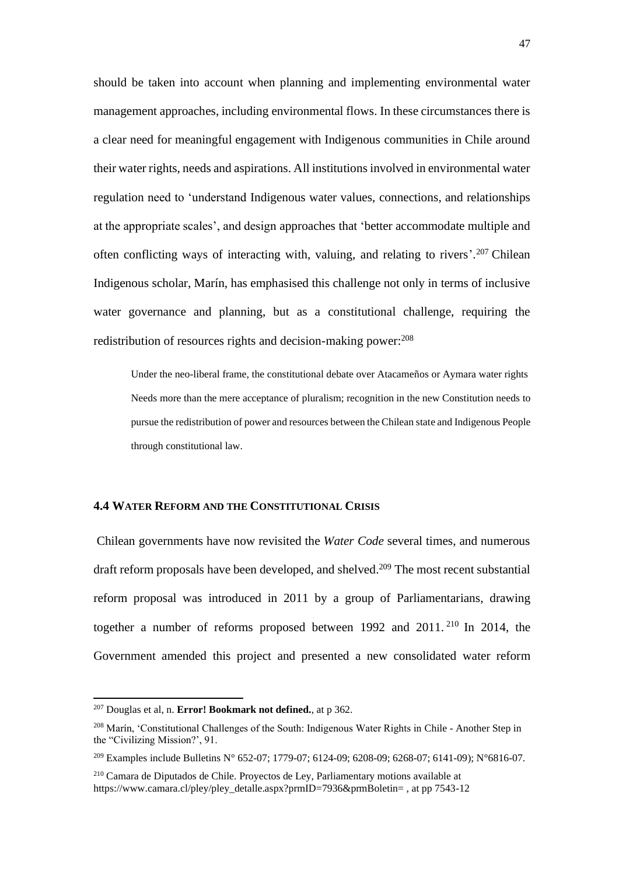should be taken into account when planning and implementing environmental water management approaches, including environmental flows. In these circumstances there is a clear need for meaningful engagement with Indigenous communities in Chile around their water rights, needs and aspirations. All institutions involved in environmental water regulation need to 'understand Indigenous water values, connections, and relationships at the appropriate scales', and design approaches that 'better accommodate multiple and often conflicting ways of interacting with, valuing, and relating to rivers'. <sup>207</sup> Chilean Indigenous scholar, Marín, has emphasised this challenge not only in terms of inclusive water governance and planning, but as a constitutional challenge, requiring the redistribution of resources rights and decision-making power: 208

Under the neo-liberal frame, the constitutional debate over Atacameños or Aymara water rights Needs more than the mere acceptance of pluralism; recognition in the new Constitution needs to pursue the redistribution of power and resources between the Chilean state and Indigenous People through constitutional law.

# **4.4 WATER REFORM AND THE CONSTITUTIONAL CRISIS**

Chilean governments have now revisited the *Water Code* several times, and numerous draft reform proposals have been developed, and shelved.<sup>209</sup> The most recent substantial reform proposal was introduced in 2011 by a group of Parliamentarians, drawing together a number of reforms proposed between 1992 and 2011. <sup>210</sup> In 2014, the Government amended this project and presented a new consolidated water reform

<sup>207</sup> Douglas et al, n. **Error! Bookmark not defined.**, at p 362.

<sup>208</sup> Marín, 'Constitutional Challenges of the South: Indigenous Water Rights in Chile - Another Step in the "Civilizing Mission?', 91.

<sup>209</sup> Examples include Bulletins N° 652-07; 1779-07; 6124-09; 6208-09; 6268-07; 6141-09); N°6816-07.

<sup>210</sup> Camara de Diputados de Chile. Proyectos de Ley, Parliamentary motions available at https://www.camara.cl/pley/pley\_detalle.aspx?prmID=7936&prmBoletin=, at pp 7543-12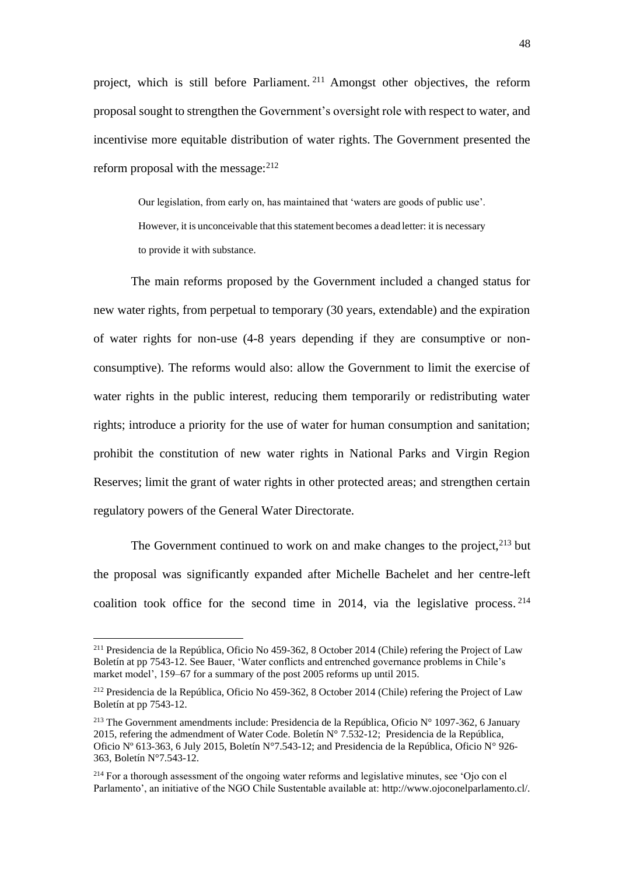project, which is still before Parliament. <sup>211</sup> Amongst other objectives, the reform proposal sought to strengthen the Government's oversight role with respect to water, and incentivise more equitable distribution of water rights. The Government presented the reform proposal with the message: $212$ 

> Our legislation, from early on, has maintained that 'waters are goods of public use'. However, it is unconceivable that this statement becomes a dead letter: it is necessary to provide it with substance.

The main reforms proposed by the Government included a changed status for new water rights, from perpetual to temporary (30 years, extendable) and the expiration of water rights for non-use (4-8 years depending if they are consumptive or nonconsumptive). The reforms would also: allow the Government to limit the exercise of water rights in the public interest, reducing them temporarily or redistributing water rights; introduce a priority for the use of water for human consumption and sanitation; prohibit the constitution of new water rights in National Parks and Virgin Region Reserves; limit the grant of water rights in other protected areas; and strengthen certain regulatory powers of the General Water Directorate.

The Government continued to work on and make changes to the project, $2^{13}$  but the proposal was significantly expanded after Michelle Bachelet and her centre-left coalition took office for the second time in 2014, via the legislative process. 214

<sup>&</sup>lt;sup>211</sup> Presidencia de la República, Oficio No 459-362, 8 October 2014 (Chile) refering the Project of Law Boletín at pp 7543-12. See Bauer, 'Water conflicts and entrenched governance problems in Chile's market model', 159–67 for a summary of the post 2005 reforms up until 2015.

<sup>212</sup> Presidencia de la República, Oficio No 459-362, 8 October 2014 (Chile) refering the Project of Law Boletín at pp 7543-12.

<sup>213</sup> The Government amendments include: Presidencia de la República, Oficio N° 1097-362, 6 January 2015, refering the admendment of Water Code. Boletín  $N^{\circ}$  7.532-12; Presidencia de la República, Oficio Nº 613-363, 6 July 2015, Boletín N°7.543-12; and Presidencia de la República, Oficio N° 926- 363, Boletín N°7.543-12.

<sup>&</sup>lt;sup>214</sup> For a thorough assessment of the ongoing water reforms and legislative minutes, see 'Ojo con el Parlamento', an initiative of the NGO Chile Sustentable available at: http://www.ojoconelparlamento.cl/.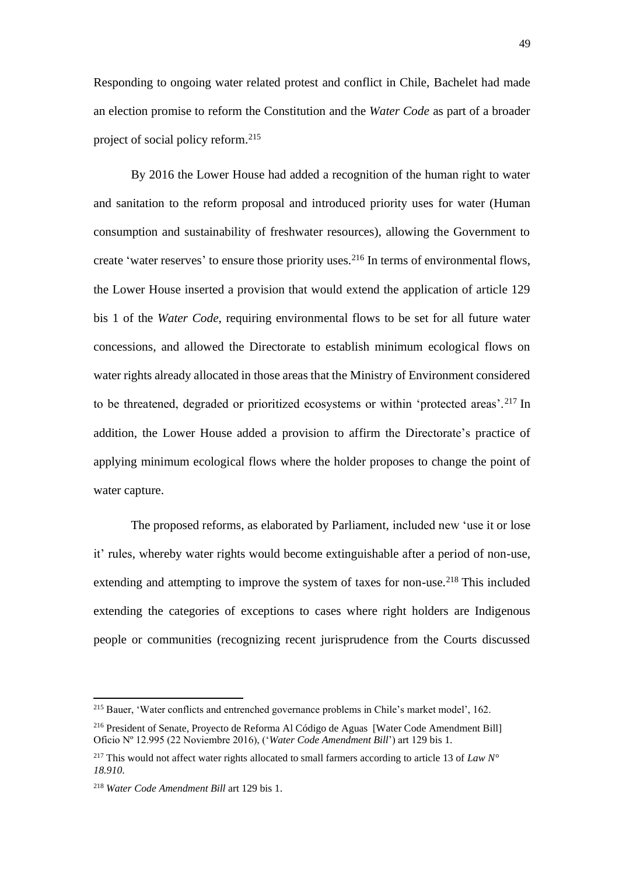Responding to ongoing water related protest and conflict in Chile, Bachelet had made an election promise to reform the Constitution and the *Water Code* as part of a broader project of social policy reform. 215

By 2016 the Lower House had added a recognition of the human right to water and sanitation to the reform proposal and introduced priority uses for water (Human consumption and sustainability of freshwater resources), allowing the Government to create 'water reserves' to ensure those priority uses.<sup>216</sup> In terms of environmental flows, the Lower House inserted a provision that would extend the application of article 129 bis 1 of the *Water Code*, requiring environmental flows to be set for all future water concessions, and allowed the Directorate to establish minimum ecological flows on water rights already allocated in those areas that the Ministry of Environment considered to be threatened, degraded or prioritized ecosystems or within 'protected areas'.<sup>217</sup> In addition, the Lower House added a provision to affirm the Directorate's practice of applying minimum ecological flows where the holder proposes to change the point of water capture.

The proposed reforms, as elaborated by Parliament, included new 'use it or lose it' rules, whereby water rights would become extinguishable after a period of non-use, extending and attempting to improve the system of taxes for non-use.<sup>218</sup> This included extending the categories of exceptions to cases where right holders are Indigenous people or communities (recognizing recent jurisprudence from the Courts discussed

<sup>215</sup> Bauer, 'Water conflicts and entrenched governance problems in Chile's market model', 162.

<sup>216</sup> President of Senate, Proyecto de Reforma Al Código de Aguas [Water Code Amendment Bill] Oficio Nº 12.995 (22 Noviembre 2016), ('*Water Code Amendment Bill*') art 129 bis 1.

<sup>217</sup> This would not affect water rights allocated to small farmers according to article 13 of *Law N° 18.910*.

<sup>218</sup> *Water Code Amendment Bill* art 129 bis 1.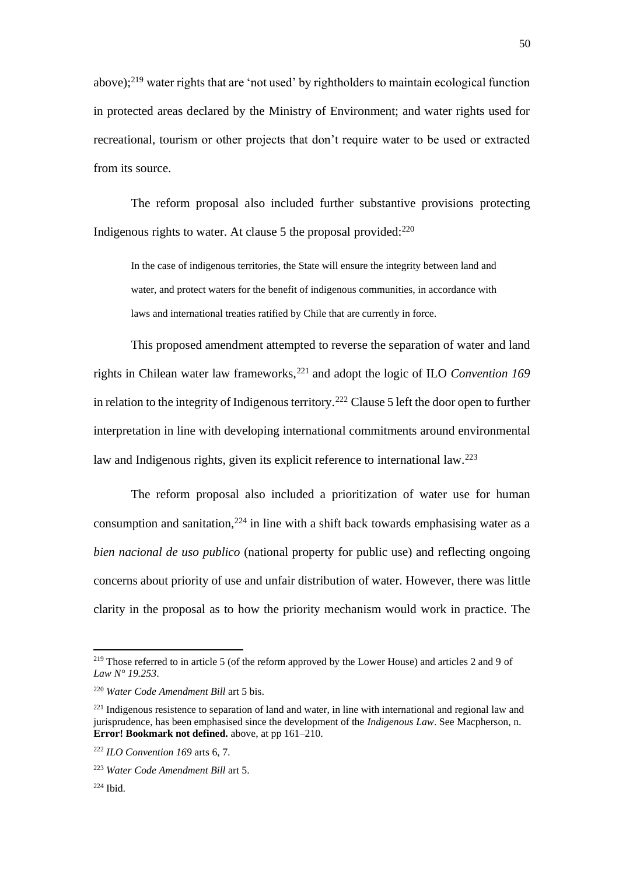above);<sup>219</sup> water rights that are 'not used' by rightholders to maintain ecological function in protected areas declared by the Ministry of Environment; and water rights used for recreational, tourism or other projects that don't require water to be used or extracted from its source.

The reform proposal also included further substantive provisions protecting Indigenous rights to water. At clause 5 the proposal provided: 220

In the case of indigenous territories, the State will ensure the integrity between land and water, and protect waters for the benefit of indigenous communities, in accordance with laws and international treaties ratified by Chile that are currently in force.

This proposed amendment attempted to reverse the separation of water and land rights in Chilean water law frameworks,<sup>221</sup> and adopt the logic of ILO *Convention 169* in relation to the integrity of Indigenous territory.<sup>222</sup> Clause 5 left the door open to further interpretation in line with developing international commitments around environmental law and Indigenous rights, given its explicit reference to international law.<sup>223</sup>

The reform proposal also included a prioritization of water use for human consumption and sanitation,  $224$  in line with a shift back towards emphasising water as a *bien nacional de uso publico* (national property for public use) and reflecting ongoing concerns about priority of use and unfair distribution of water. However, there was little clarity in the proposal as to how the priority mechanism would work in practice. The

<sup>219</sup> Those referred to in article 5 (of the reform approved by the Lower House) and articles 2 and 9 of *Law N° 19.253*.

<sup>220</sup> *Water Code Amendment Bill* art 5 bis.

<sup>&</sup>lt;sup>221</sup> Indigenous resistence to separation of land and water, in line with international and regional law and jurisprudence, has been emphasised since the development of the *Indigenous Law*. See Macpherson, n. **Error! Bookmark not defined.** above, at pp 161–210.

<sup>222</sup> *ILO Convention 169* arts 6, 7.

<sup>223</sup> *Water Code Amendment Bill* art 5.

 $224$  Ibid.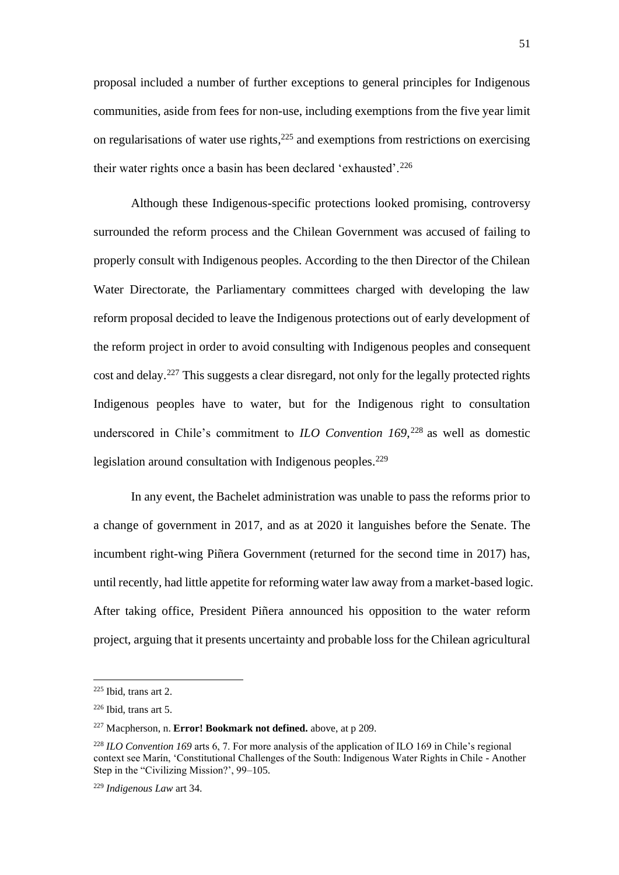proposal included a number of further exceptions to general principles for Indigenous communities, aside from fees for non-use, including exemptions from the five year limit on regularisations of water use rights, <sup>225</sup> and exemptions from restrictions on exercising their water rights once a basin has been declared 'exhausted'.<sup>226</sup>

Although these Indigenous-specific protections looked promising, controversy surrounded the reform process and the Chilean Government was accused of failing to properly consult with Indigenous peoples. According to the then Director of the Chilean Water Directorate, the Parliamentary committees charged with developing the law reform proposal decided to leave the Indigenous protections out of early development of the reform project in order to avoid consulting with Indigenous peoples and consequent cost and delay.<sup>227</sup> This suggests a clear disregard, not only for the legally protected rights Indigenous peoples have to water, but for the Indigenous right to consultation underscored in Chile's commitment to *ILO Convention 169*, <sup>228</sup> as well as domestic legislation around consultation with Indigenous peoples.<sup>229</sup>

In any event, the Bachelet administration was unable to pass the reforms prior to a change of government in 2017, and as at 2020 it languishes before the Senate. The incumbent right-wing Piñera Government (returned for the second time in 2017) has, until recently, had little appetite for reforming water law away from a market-based logic. After taking office, President Piñera announced his opposition to the water reform project, arguing that it presents uncertainty and probable loss for the Chilean agricultural

<sup>225</sup> Ibid, trans art 2.

<sup>226</sup> Ibid, trans art 5.

<sup>227</sup> Macpherson, n. **Error! Bookmark not defined.** above, at p 209.

<sup>228</sup> *ILO Convention 169* arts 6, 7. For more analysis of the application of ILO 169 in Chile's regional context see Marín, 'Constitutional Challenges of the South: Indigenous Water Rights in Chile - Another Step in the "Civilizing Mission?', 99–105.

<sup>229</sup> *Indigenous Law* art 34.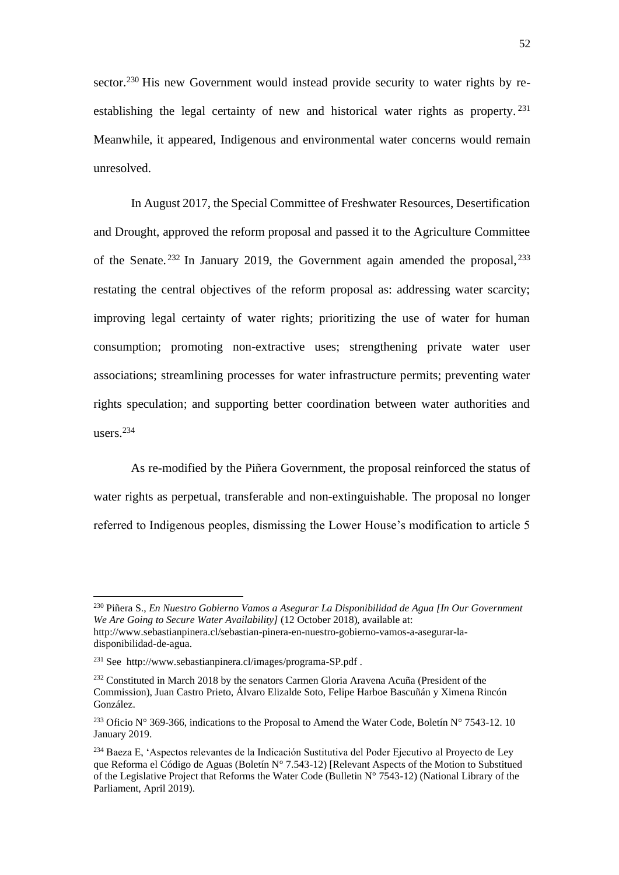sector.<sup>230</sup> His new Government would instead provide security to water rights by reestablishing the legal certainty of new and historical water rights as property.<sup>231</sup> Meanwhile, it appeared, Indigenous and environmental water concerns would remain unresolved.

In August 2017, the Special Committee of Freshwater Resources, Desertification and Drought, approved the reform proposal and passed it to the Agriculture Committee of the Senate.<sup>232</sup> In January 2019, the Government again amended the proposal,  $^{233}$ restating the central objectives of the reform proposal as: addressing water scarcity; improving legal certainty of water rights; prioritizing the use of water for human consumption; promoting non-extractive uses; strengthening private water user associations; streamlining processes for water infrastructure permits; preventing water rights speculation; and supporting better coordination between water authorities and users. $234$ 

As re-modified by the Piñera Government, the proposal reinforced the status of water rights as perpetual, transferable and non-extinguishable. The proposal no longer referred to Indigenous peoples, dismissing the Lower House's modification to article 5

<sup>230</sup> Piñera S., *En Nuestro Gobierno Vamos a Asegurar La Disponibilidad de Agua [In Our Government We Are Going to Secure Water Availability]* (12 October 2018), available at: http://www.sebastianpinera.cl/sebastian-pinera-en-nuestro-gobierno-vamos-a-asegurar-ladisponibilidad-de-agua.

<sup>231</sup> See http://www.sebastianpinera.cl/images/programa-SP.pdf .

<sup>&</sup>lt;sup>232</sup> Constituted in March 2018 by the senators Carmen Gloria Aravena Acuña (President of the Commission), Juan Castro Prieto, Álvaro Elizalde Soto, Felipe Harboe Bascuñán y Ximena Rincón González.

<sup>&</sup>lt;sup>233</sup> Oficio N° 369-366, indications to the Proposal to Amend the Water Code, Boletín N° 7543-12. 10 January 2019.

<sup>234</sup> Baeza E, 'Aspectos relevantes de la Indicación Sustitutiva del Poder Ejecutivo al Proyecto de Ley que Reforma el Código de Aguas (Boletín N° 7.543-12) [Relevant Aspects of the Motion to Substitued of the Legislative Project that Reforms the Water Code (Bulletin N° 7543-12) (National Library of the Parliament, April 2019).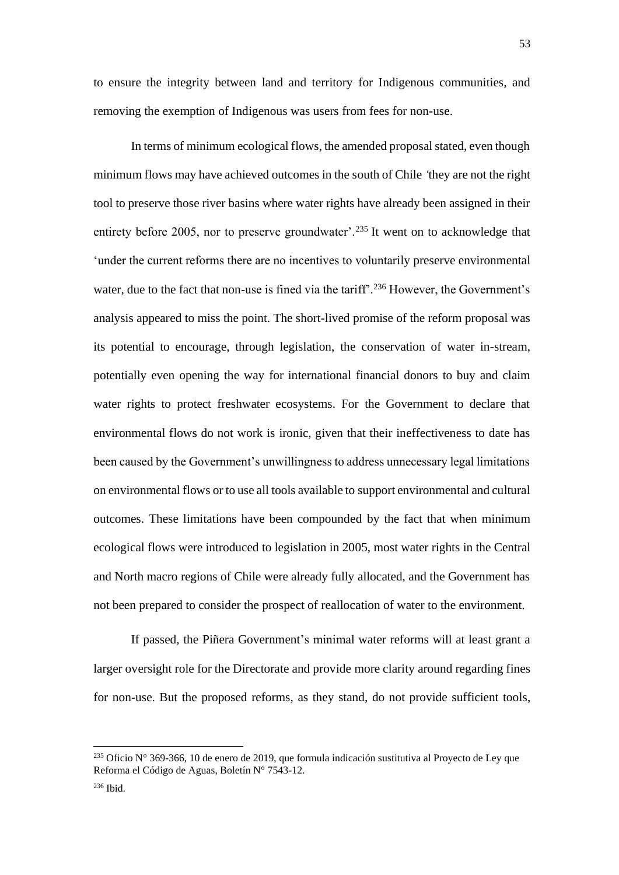to ensure the integrity between land and territory for Indigenous communities, and removing the exemption of Indigenous was users from fees for non-use.

In terms of minimum ecological flows, the amended proposal stated, even though minimum flows may have achieved outcomes in the south of Chile *'*they are not the right tool to preserve those river basins where water rights have already been assigned in their entirety before 2005, nor to preserve groundwater'.<sup>235</sup> It went on to acknowledge that 'under the current reforms there are no incentives to voluntarily preserve environmental water, due to the fact that non-use is fined via the tariff'.<sup>236</sup> However, the Government's analysis appeared to miss the point. The short-lived promise of the reform proposal was its potential to encourage, through legislation, the conservation of water in-stream, potentially even opening the way for international financial donors to buy and claim water rights to protect freshwater ecosystems. For the Government to declare that environmental flows do not work is ironic, given that their ineffectiveness to date has been caused by the Government's unwillingness to address unnecessary legal limitations on environmental flows or to use all tools available to support environmental and cultural outcomes. These limitations have been compounded by the fact that when minimum ecological flows were introduced to legislation in 2005, most water rights in the Central and North macro regions of Chile were already fully allocated, and the Government has not been prepared to consider the prospect of reallocation of water to the environment.

If passed, the Piñera Government's minimal water reforms will at least grant a larger oversight role for the Directorate and provide more clarity around regarding fines for non-use. But the proposed reforms, as they stand, do not provide sufficient tools,

 $235$  Oficio N° 369-366, 10 de enero de 2019, que formula indicación sustitutiva al Proyecto de Ley que Reforma el Código de Aguas, Boletín N° 7543-12.

<sup>236</sup> Ibid.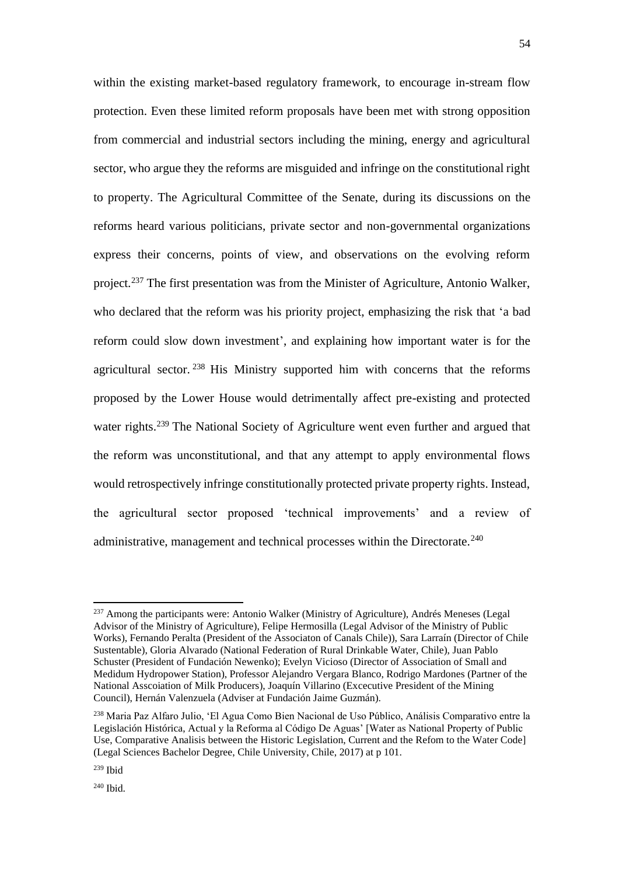within the existing market-based regulatory framework, to encourage in-stream flow protection. Even these limited reform proposals have been met with strong opposition from commercial and industrial sectors including the mining, energy and agricultural sector, who argue they the reforms are misguided and infringe on the constitutional right to property. The Agricultural Committee of the Senate, during its discussions on the reforms heard various politicians, private sector and non-governmental organizations express their concerns, points of view, and observations on the evolving reform project.<sup>237</sup> The first presentation was from the Minister of Agriculture, Antonio Walker, who declared that the reform was his priority project, emphasizing the risk that 'a bad reform could slow down investment', and explaining how important water is for the agricultural sector. <sup>238</sup> His Ministry supported him with concerns that the reforms proposed by the Lower House would detrimentally affect pre-existing and protected water rights.<sup>239</sup> The National Society of Agriculture went even further and argued that the reform was unconstitutional, and that any attempt to apply environmental flows would retrospectively infringe constitutionally protected private property rights. Instead, the agricultural sector proposed 'technical improvements' and a review of administrative, management and technical processes within the Directorate.<sup>240</sup>

<sup>240</sup> Ibid.

<sup>&</sup>lt;sup>237</sup> Among the participants were: Antonio Walker (Ministry of Agriculture), Andrés Meneses (Legal Advisor of the Ministry of Agriculture), Felipe Hermosilla (Legal Advisor of the Ministry of Public Works), Fernando Peralta (President of the Associaton of Canals Chile)), Sara Larraín (Director of Chile Sustentable), Gloria Alvarado (National Federation of Rural Drinkable Water, Chile), Juan Pablo Schuster (President of Fundación Newenko); Evelyn Vicioso (Director of Association of Small and Medidum Hydropower Station), Professor Alejandro Vergara Blanco, Rodrigo Mardones (Partner of the National Asscoiation of Milk Producers), Joaquín Villarino (Excecutive President of the Mining Council), Hernán Valenzuela (Adviser at Fundación Jaime Guzmán).

<sup>238</sup> Maria Paz Alfaro Julio, 'El Agua Como Bien Nacional de Uso Público, Análisis Comparativo entre la Legislación Histórica, Actual y la Reforma al Código De Aguas' [Water as National Property of Public Use, Comparative Analisis between the Historic Legislation, Current and the Refom to the Water Code] (Legal Sciences Bachelor Degree, Chile University, Chile, 2017) at p 101.

<sup>239</sup> Ibid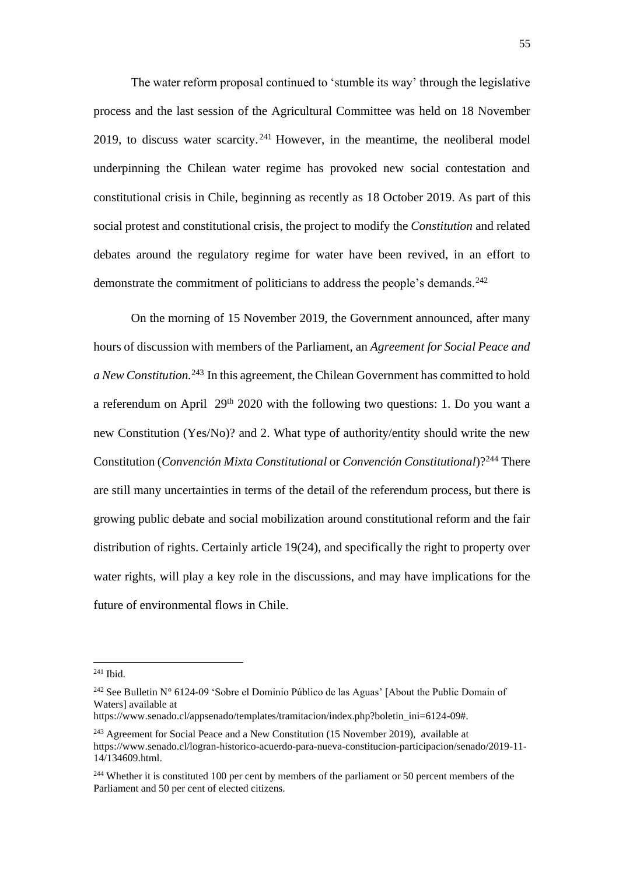The water reform proposal continued to 'stumble its way' through the legislative process and the last session of the Agricultural Committee was held on 18 November 2019, to discuss water scarcity.<sup> $241$ </sup> However, in the meantime, the neoliberal model underpinning the Chilean water regime has provoked new social contestation and constitutional crisis in Chile, beginning as recently as 18 October 2019. As part of this social protest and constitutional crisis, the project to modify the *Constitution* and related debates around the regulatory regime for water have been revived, in an effort to demonstrate the commitment of politicians to address the people's demands.<sup>242</sup>

On the morning of 15 November 2019, the Government announced, after many hours of discussion with members of the Parliament, an *Agreement for Social Peace and a New Constitution.*<sup>243</sup> In this agreement, the Chilean Government has committed to hold a referendum on April 29th 2020 with the following two questions: 1. Do you want a new Constitution (Yes/No)? and 2. What type of authority/entity should write the new Constitution (*Convención Mixta Constitutional* or *Convención Constitutional*)?<sup>244</sup> There are still many uncertainties in terms of the detail of the referendum process, but there is growing public debate and social mobilization around constitutional reform and the fair distribution of rights. Certainly article 19(24), and specifically the right to property over water rights, will play a key role in the discussions, and may have implications for the future of environmental flows in Chile.

<sup>241</sup> Ibid.

<sup>242</sup> See Bulletin N° 6124-09 'Sobre el Dominio Público de las Aguas' [About the Public Domain of Waters] available at

https://www.senado.cl/appsenado/templates/tramitacion/index.php?boletin\_ini=6124-09#.

 $243$  Agreement for Social Peace and a New Constitution (15 November 2019), available at https://www.senado.cl/logran-historico-acuerdo-para-nueva-constitucion-participacion/senado/2019-11- 14/134609.html.

<sup>&</sup>lt;sup>244</sup> Whether it is constituted 100 per cent by members of the parliament or 50 percent members of the Parliament and 50 per cent of elected citizens.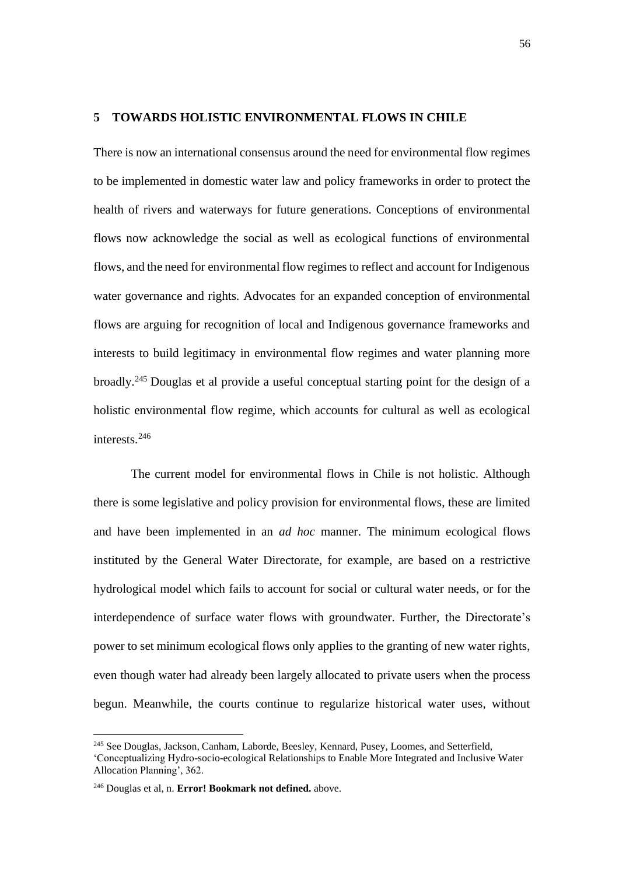## **5 TOWARDS HOLISTIC ENVIRONMENTAL FLOWS IN CHILE**

There is now an international consensus around the need for environmental flow regimes to be implemented in domestic water law and policy frameworks in order to protect the health of rivers and waterways for future generations. Conceptions of environmental flows now acknowledge the social as well as ecological functions of environmental flows, and the need for environmental flow regimes to reflect and account for Indigenous water governance and rights. Advocates for an expanded conception of environmental flows are arguing for recognition of local and Indigenous governance frameworks and interests to build legitimacy in environmental flow regimes and water planning more broadly.<sup>245</sup> Douglas et al provide a useful conceptual starting point for the design of a holistic environmental flow regime, which accounts for cultural as well as ecological interests.<sup>246</sup>

The current model for environmental flows in Chile is not holistic. Although there is some legislative and policy provision for environmental flows, these are limited and have been implemented in an *ad hoc* manner. The minimum ecological flows instituted by the General Water Directorate, for example, are based on a restrictive hydrological model which fails to account for social or cultural water needs, or for the interdependence of surface water flows with groundwater. Further, the Directorate's power to set minimum ecological flows only applies to the granting of new water rights, even though water had already been largely allocated to private users when the process begun. Meanwhile, the courts continue to regularize historical water uses, without

<sup>245</sup> See Douglas, Jackson, Canham, Laborde, Beesley, Kennard, Pusey, Loomes, and Setterfield,

<sup>&#</sup>x27;Conceptualizing Hydro-socio-ecological Relationships to Enable More Integrated and Inclusive Water Allocation Planning', 362.

<sup>246</sup> Douglas et al, n. **Error! Bookmark not defined.** above.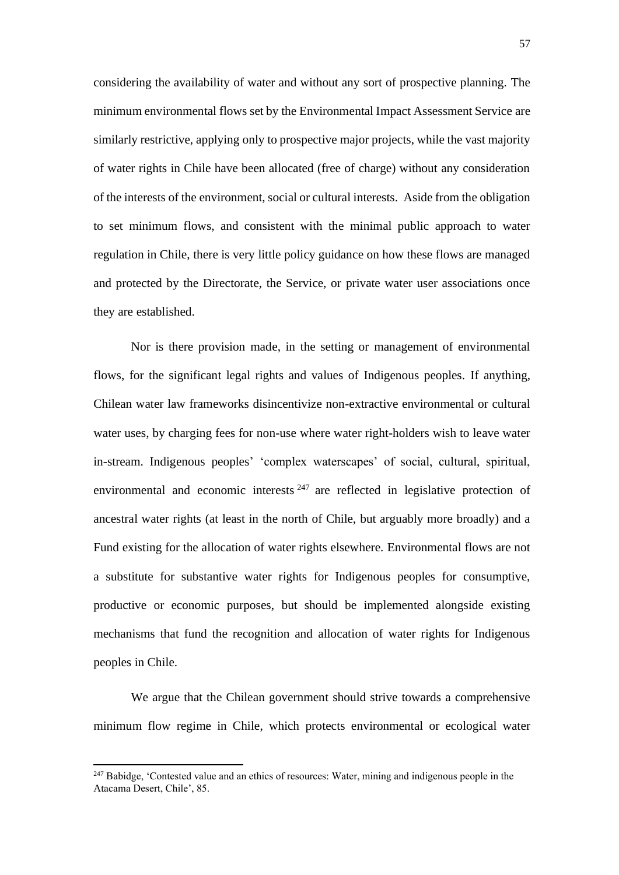considering the availability of water and without any sort of prospective planning. The minimum environmental flows set by the Environmental Impact Assessment Service are similarly restrictive, applying only to prospective major projects, while the vast majority of water rights in Chile have been allocated (free of charge) without any consideration of the interests of the environment, social or cultural interests. Aside from the obligation to set minimum flows, and consistent with the minimal public approach to water regulation in Chile, there is very little policy guidance on how these flows are managed and protected by the Directorate, the Service, or private water user associations once they are established.

Nor is there provision made, in the setting or management of environmental flows, for the significant legal rights and values of Indigenous peoples. If anything, Chilean water law frameworks disincentivize non-extractive environmental or cultural water uses, by charging fees for non-use where water right-holders wish to leave water in-stream. Indigenous peoples' 'complex waterscapes' of social, cultural, spiritual, environmental and economic interests  $247$  are reflected in legislative protection of ancestral water rights (at least in the north of Chile, but arguably more broadly) and a Fund existing for the allocation of water rights elsewhere. Environmental flows are not a substitute for substantive water rights for Indigenous peoples for consumptive, productive or economic purposes, but should be implemented alongside existing mechanisms that fund the recognition and allocation of water rights for Indigenous peoples in Chile.

We argue that the Chilean government should strive towards a comprehensive minimum flow regime in Chile, which protects environmental or ecological water

<sup>&</sup>lt;sup>247</sup> Babidge, 'Contested value and an ethics of resources: Water, mining and indigenous people in the Atacama Desert, Chile', 85.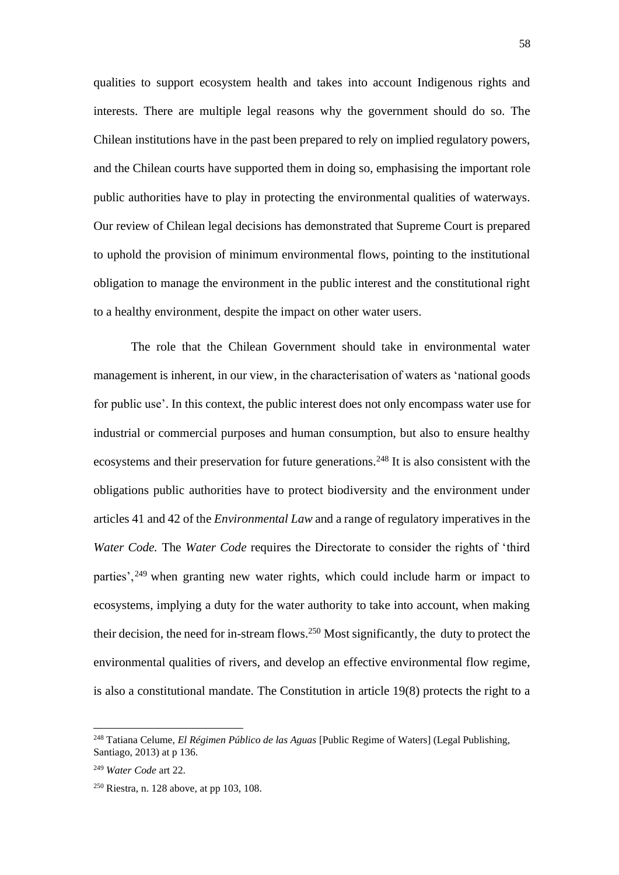qualities to support ecosystem health and takes into account Indigenous rights and interests. There are multiple legal reasons why the government should do so. The Chilean institutions have in the past been prepared to rely on implied regulatory powers, and the Chilean courts have supported them in doing so, emphasising the important role public authorities have to play in protecting the environmental qualities of waterways. Our review of Chilean legal decisions has demonstrated that Supreme Court is prepared to uphold the provision of minimum environmental flows, pointing to the institutional obligation to manage the environment in the public interest and the constitutional right to a healthy environment, despite the impact on other water users.

The role that the Chilean Government should take in environmental water management is inherent, in our view, in the characterisation of waters as 'national goods for public use'. In this context, the public interest does not only encompass water use for industrial or commercial purposes and human consumption, but also to ensure healthy ecosystems and their preservation for future generations.<sup>248</sup> It is also consistent with the obligations public authorities have to protect biodiversity and the environment under articles 41 and 42 of the *Environmental Law* and a range of regulatory imperatives in the *Water Code.* The *Water Code* requires the Directorate to consider the rights of 'third parties',<sup>249</sup> when granting new water rights, which could include harm or impact to ecosystems, implying a duty for the water authority to take into account, when making their decision, the need for in-stream flows. <sup>250</sup> Most significantly, the duty to protect the environmental qualities of rivers, and develop an effective environmental flow regime, is also a constitutional mandate. The Constitution in article 19(8) protects the right to a

<sup>248</sup> Tatiana Celume, *El Régimen Público de las Aguas* [Public Regime of Waters] (Legal Publishing, Santiago, 2013) at p 136.

<sup>249</sup> *Water Code* art 22.

 $250$  Riestra, n[. 128](#page-26-0) above, at pp 103, 108.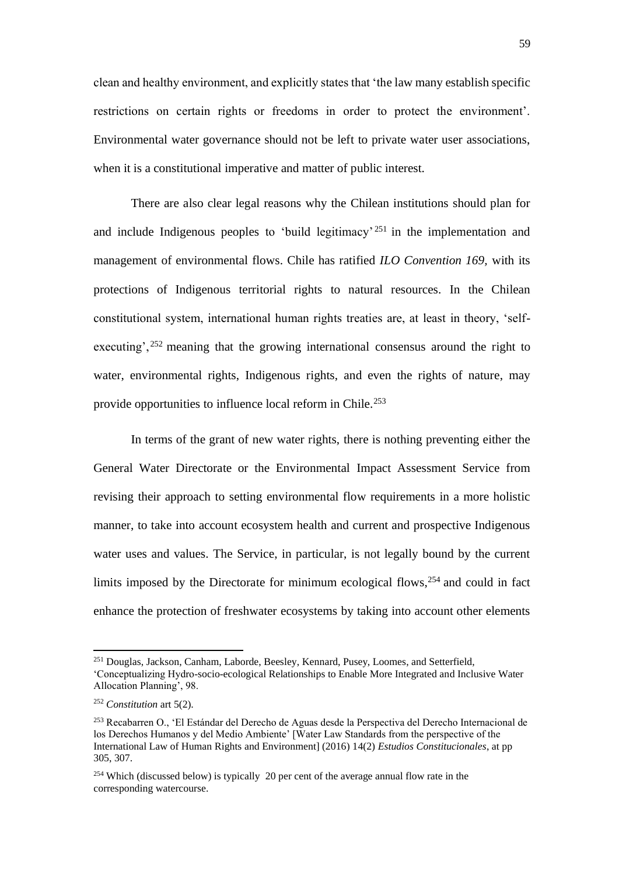clean and healthy environment, and explicitly states that 'the law many establish specific restrictions on certain rights or freedoms in order to protect the environment'. Environmental water governance should not be left to private water user associations, when it is a constitutional imperative and matter of public interest.

There are also clear legal reasons why the Chilean institutions should plan for and include Indigenous peoples to 'build legitimacy' <sup>251</sup> in the implementation and management of environmental flows. Chile has ratified *ILO Convention 169,* with its protections of Indigenous territorial rights to natural resources. In the Chilean constitutional system, international human rights treaties are, at least in theory, 'selfexecuting', <sup>252</sup> meaning that the growing international consensus around the right to water, environmental rights, Indigenous rights, and even the rights of nature, may provide opportunities to influence local reform in Chile.<sup>253</sup>

In terms of the grant of new water rights, there is nothing preventing either the General Water Directorate or the Environmental Impact Assessment Service from revising their approach to setting environmental flow requirements in a more holistic manner, to take into account ecosystem health and current and prospective Indigenous water uses and values. The Service, in particular, is not legally bound by the current limits imposed by the Directorate for minimum ecological flows,<sup>254</sup> and could in fact enhance the protection of freshwater ecosystems by taking into account other elements

<sup>251</sup> Douglas, Jackson, Canham, Laborde, Beesley, Kennard, Pusey, Loomes, and Setterfield, 'Conceptualizing Hydro-socio-ecological Relationships to Enable More Integrated and Inclusive Water Allocation Planning', 98.

<sup>252</sup> *Constitution* art 5(2).

<sup>253</sup> Recabarren O., 'El Estándar del Derecho de Aguas desde la Perspectiva del Derecho Internacional de los Derechos Humanos y del Medio Ambiente' [Water Law Standards from the perspective of the International Law of Human Rights and Environment] (2016) 14(2) *Estudios Constitucionales*, at pp 305, 307.

<sup>254</sup> Which (discussed below) is typically 20 per cent of the average annual flow rate in the corresponding watercourse.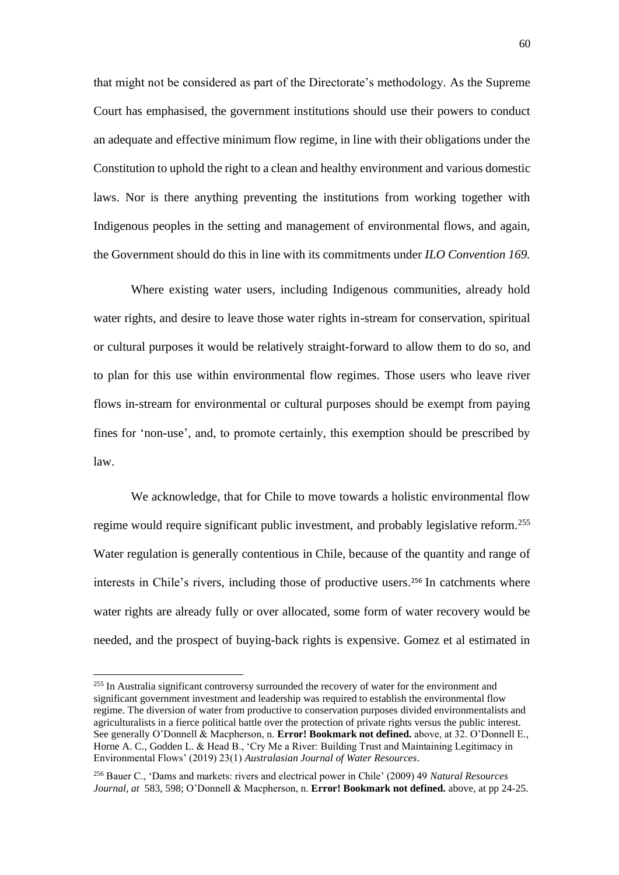that might not be considered as part of the Directorate's methodology. As the Supreme Court has emphasised, the government institutions should use their powers to conduct an adequate and effective minimum flow regime, in line with their obligations under the Constitution to uphold the right to a clean and healthy environment and various domestic laws. Nor is there anything preventing the institutions from working together with Indigenous peoples in the setting and management of environmental flows, and again, the Government should do this in line with its commitments under *ILO Convention 169.*

Where existing water users, including Indigenous communities, already hold water rights, and desire to leave those water rights in-stream for conservation, spiritual or cultural purposes it would be relatively straight-forward to allow them to do so, and to plan for this use within environmental flow regimes. Those users who leave river flows in-stream for environmental or cultural purposes should be exempt from paying fines for 'non-use', and, to promote certainly, this exemption should be prescribed by law.

We acknowledge, that for Chile to move towards a holistic environmental flow regime would require significant public investment, and probably legislative reform.<sup>255</sup> Water regulation is generally contentious in Chile, because of the quantity and range of interests in Chile's rivers, including those of productive users. <sup>256</sup> In catchments where water rights are already fully or over allocated, some form of water recovery would be needed, and the prospect of buying-back rights is expensive. Gomez et al estimated in

<sup>&</sup>lt;sup>255</sup> In Australia significant controversy surrounded the recovery of water for the environment and significant government investment and leadership was required to establish the environmental flow regime. The diversion of water from productive to conservation purposes divided environmentalists and agriculturalists in a fierce political battle over the protection of private rights versus the public interest. See generally O'Donnell & Macpherson, n. **Error! Bookmark not defined.** above, at 32. O'Donnell E., Horne A. C., Godden L. & Head B., 'Cry Me a River: Building Trust and Maintaining Legitimacy in Environmental Flows' (2019) 23(1) *Australasian Journal of Water Resources*.

<sup>256</sup> Bauer C., 'Dams and markets: rivers and electrical power in Chile' (2009) 49 *Natural Resources Journal, at* 583, 598; O'Donnell & Macpherson, n. **Error! Bookmark not defined.** above, at pp 24-25.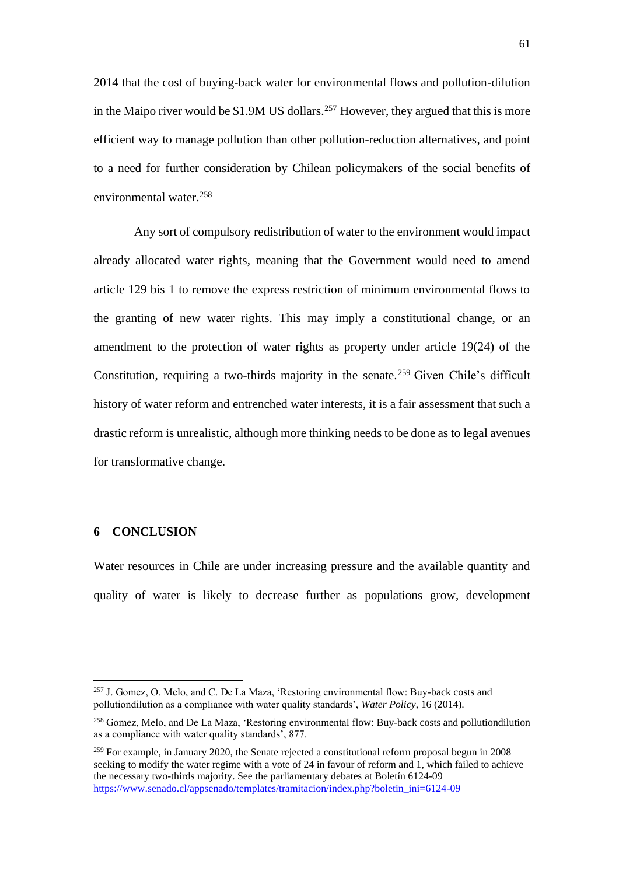2014 that the cost of buying-back water for environmental flows and pollution-dilution in the Maipo river would be \$1.9M US dollars. <sup>257</sup> However, they argued that this is more efficient way to manage pollution than other pollution-reduction alternatives, and point to a need for further consideration by Chilean policymakers of the social benefits of environmental water. 258

Any sort of compulsory redistribution of water to the environment would impact already allocated water rights, meaning that the Government would need to amend article 129 bis 1 to remove the express restriction of minimum environmental flows to the granting of new water rights. This may imply a constitutional change, or an amendment to the protection of water rights as property under article 19(24) of the Constitution, requiring a two-thirds majority in the senate. <sup>259</sup> Given Chile's difficult history of water reform and entrenched water interests, it is a fair assessment that such a drastic reform is unrealistic, although more thinking needs to be done as to legal avenues for transformative change.

# **6 CONCLUSION**

Water resources in Chile are under increasing pressure and the available quantity and quality of water is likely to decrease further as populations grow, development

<sup>257</sup> J. Gomez, O. Melo, and C. De La Maza, 'Restoring environmental flow: Buy-back costs and pollutiondilution as a compliance with water quality standards', *Water Policy*, 16 (2014).

<sup>258</sup> Gomez, Melo, and De La Maza, 'Restoring environmental flow: Buy-back costs and pollutiondilution as a compliance with water quality standards', 877.

 $^{259}$  For example, in January 2020, the Senate rejected a constitutional reform proposal begun in 2008 seeking to modify the water regime with a vote of 24 in favour of reform and 1, which failed to achieve the necessary two-thirds majority. See the parliamentary debates at Boletín 6124-09 [https://www.senado.cl/appsenado/templates/tramitacion/index.php?boletin\\_ini=6124-09](https://www.senado.cl/appsenado/templates/tramitacion/index.php?boletin_ini=6124-09)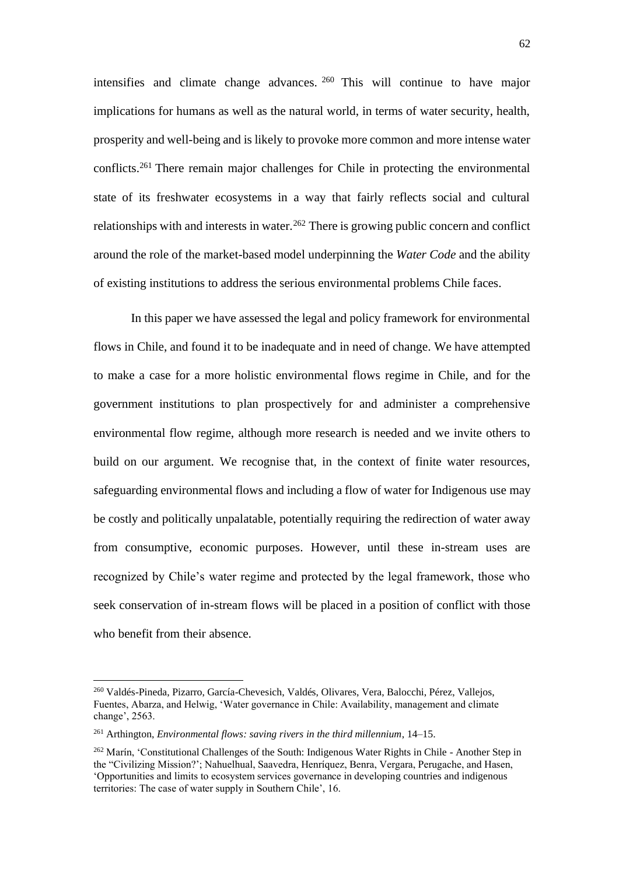intensifies and climate change advances. <sup>260</sup> This will continue to have major implications for humans as well as the natural world, in terms of water security, health, prosperity and well-being and is likely to provoke more common and more intense water conflicts. <sup>261</sup> There remain major challenges for Chile in protecting the environmental state of its freshwater ecosystems in a way that fairly reflects social and cultural relationships with and interests in water.<sup>262</sup> There is growing public concern and conflict around the role of the market-based model underpinning the *Water Code* and the ability of existing institutions to address the serious environmental problems Chile faces.

In this paper we have assessed the legal and policy framework for environmental flows in Chile, and found it to be inadequate and in need of change. We have attempted to make a case for a more holistic environmental flows regime in Chile, and for the government institutions to plan prospectively for and administer a comprehensive environmental flow regime, although more research is needed and we invite others to build on our argument. We recognise that, in the context of finite water resources, safeguarding environmental flows and including a flow of water for Indigenous use may be costly and politically unpalatable, potentially requiring the redirection of water away from consumptive, economic purposes. However, until these in-stream uses are recognized by Chile's water regime and protected by the legal framework, those who seek conservation of in-stream flows will be placed in a position of conflict with those who benefit from their absence.

<sup>260</sup> Valdés-Pineda, Pizarro, García-Chevesich, Valdés, Olivares, Vera, Balocchi, Pérez, Vallejos, Fuentes, Abarza, and Helwig, 'Water governance in Chile: Availability, management and climate change', 2563.

<sup>261</sup> Arthington, *Environmental flows: saving rivers in the third millennium*, 14–15.

<sup>&</sup>lt;sup>262</sup> Marín, 'Constitutional Challenges of the South: Indigenous Water Rights in Chile - Another Step in the "Civilizing Mission?'; Nahuelhual, Saavedra, Henríquez, Benra, Vergara, Perugache, and Hasen, 'Opportunities and limits to ecosystem services governance in developing countries and indigenous territories: The case of water supply in Southern Chile', 16.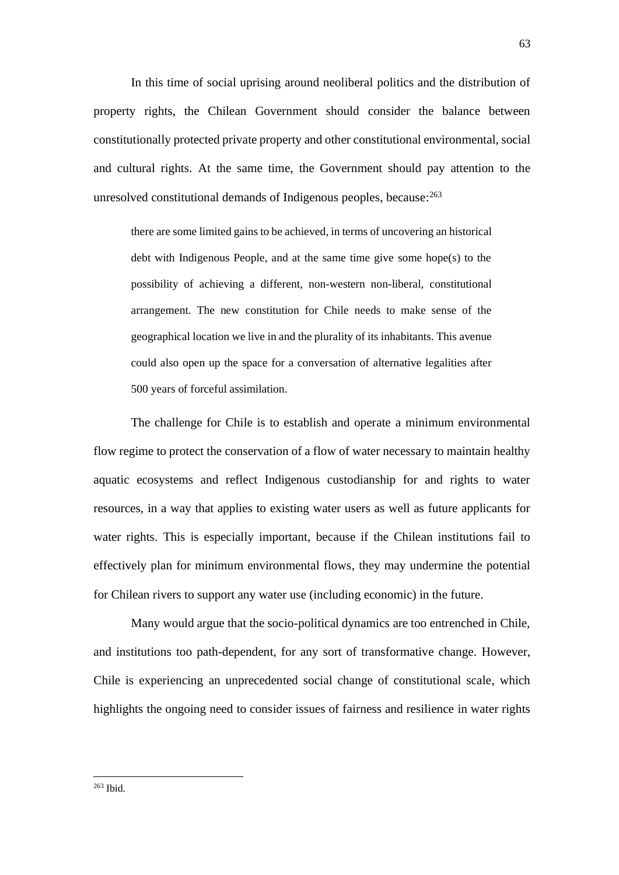In this time of social uprising around neoliberal politics and the distribution of property rights, the Chilean Government should consider the balance between constitutionally protected private property and other constitutional environmental, social and cultural rights. At the same time, the Government should pay attention to the unresolved constitutional demands of Indigenous peoples, because:<sup>263</sup>

there are some limited gains to be achieved, in terms of uncovering an historical debt with Indigenous People, and at the same time give some hope(s) to the possibility of achieving a different, non-western non-liberal, constitutional arrangement. The new constitution for Chile needs to make sense of the geographical location we live in and the plurality of its inhabitants. This avenue could also open up the space for a conversation of alternative legalities after 500 years of forceful assimilation.

The challenge for Chile is to establish and operate a minimum environmental flow regime to protect the conservation of a flow of water necessary to maintain healthy aquatic ecosystems and reflect Indigenous custodianship for and rights to water resources, in a way that applies to existing water users as well as future applicants for water rights. This is especially important, because if the Chilean institutions fail to effectively plan for minimum environmental flows, they may undermine the potential for Chilean rivers to support any water use (including economic) in the future.

Many would argue that the socio-political dynamics are too entrenched in Chile, and institutions too path-dependent, for any sort of transformative change. However, Chile is experiencing an unprecedented social change of constitutional scale, which highlights the ongoing need to consider issues of fairness and resilience in water rights

<sup>263</sup> Ibid.